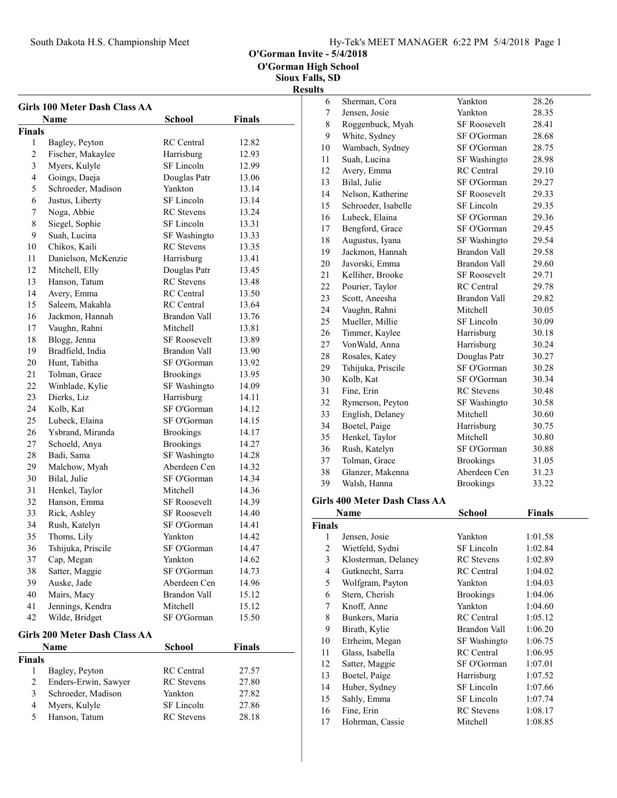South Dakota H.S. Championship Meet

O'Gorman Invite - 5/4/2018

O'Gorman High School

|                | <b>Girls 100 Meter Dash Class AA</b><br>Name | <b>School</b>       | <b>Finals</b> |
|----------------|----------------------------------------------|---------------------|---------------|
|                |                                              |                     |               |
| <b>Finals</b>  |                                              |                     |               |
| 1              | Bagley, Peyton                               | <b>RC</b> Central   | 12.82         |
| 2              | Fischer, Makaylee                            | Harrisburg          | 12.93         |
| 3              | Myers, Kulyle                                | SF Lincoln          | 12.99         |
| 4              | Goings, Daeja                                | Douglas Patr        | 13.06         |
| 5              | Schroeder, Madison                           | Yankton             | 13.14         |
| 6              | Justus, Liberty                              | SF Lincoln          | 13.14         |
| 7              | Noga, Abbie                                  | <b>RC</b> Stevens   | 13.24         |
| 8              | Siegel, Sophie                               | SF Lincoln          | 13.31         |
| 9              | Suah, Lucina                                 | SF Washingto        | 13.33         |
| 10             | Chikos, Kaili                                | <b>RC</b> Stevens   | 13.35         |
| 11             | Danielson, McKenzie                          | Harrisburg          | 13.41         |
| 12             | Mitchell, Elly                               | Douglas Patr        | 13.45         |
| 13             | Hanson, Tatum                                | <b>RC</b> Stevens   | 13.48         |
| 14             | Avery, Emma                                  | <b>RC</b> Central   | 13.50         |
| 15             | Saleem, Makahla                              | <b>RC</b> Central   | 13.64         |
| 16             | Jackmon, Hannah                              | Brandon Vall        | 13.76         |
| 17             | Vaughn, Rahni                                | Mitchell            | 13.81         |
| 18             | Blogg, Jenna                                 | <b>SF Roosevelt</b> | 13.89         |
| 19             | Bradfield, India                             | Brandon Vall        | 13.90         |
| 20             | Hunt, Tabitha                                | SF O'Gorman         | 13.92         |
| 21             | Tolman, Grace                                | <b>Brookings</b>    | 13.95         |
| 22             | Winblade, Kylie                              | SF Washingto        | 14.09         |
| 23             | Dierks, Liz                                  | Harrisburg          | 14.11         |
| 24             | Kolb, Kat                                    | SF O'Gorman         | 14.12         |
| 25             | Lubeck, Elaina                               | SF O'Gorman         | 14.15         |
| 26             | Ysbrand, Miranda                             | <b>Brookings</b>    | 14.17         |
| 27             | Schoeld, Anya                                | <b>Brookings</b>    | 14.27         |
| 28             | Badi, Sama                                   | SF Washingto        | 14.28         |
| 29             | Malchow, Myah                                | Aberdeen Cen        | 14.32         |
| 30             | Bilal, Julie                                 | SF O'Gorman         | 14.34         |
| 31             | Henkel, Taylor                               | Mitchell            | 14.36         |
| 32             | Hanson, Emma                                 | <b>SF Roosevelt</b> | 14.39         |
| 33             | Rick, Ashley                                 | <b>SF Roosevelt</b> | 14.40         |
| 34             | Rush, Katelyn                                | SF O'Gorman         | 14.41         |
| 35             | Thoms, Lily                                  | Yankton             | 14.42         |
| 36             | Tshijuka, Priscile                           | SF O'Gorman         | 14.47         |
| 37             | Cap, Megan                                   | Yankton             | 14.62         |
| 38             | Satter, Maggie                               | SF O'Gorman         | 14.73         |
| 39             | Auske, Jade                                  | Aberdeen Cen        | 14.96         |
| 40             | Mairs, Macy                                  | <b>Brandon Vall</b> | 15.12         |
| 41             | Jennings, Kendra                             | Mitchell            | 15.12         |
| 42             | Wilde, Bridget                               | SF O'Gorman         | 15.50         |
|                |                                              |                     |               |
|                | Girls 200 Meter Dash Class AA                |                     |               |
|                | Name                                         | School              | <b>Finals</b> |
| <b>Finals</b>  |                                              |                     |               |
| 1              | Bagley, Peyton                               | <b>RC</b> Central   | 27.57         |
| $\overline{c}$ | Enders-Erwin, Sawyer                         | <b>RC</b> Stevens   | 27.80         |
| 3              | Schroeder, Madison                           | Yankton             | 27.82         |
| 4              | Myers, Kulyle                                | SF Lincoln          | 27.86         |
| 5              | Hanson, Tatum                                | <b>RC</b> Stevens   | 28.18         |

|    | <b>Name</b>                   | <b>School</b>       | <b>Finals</b> |  |  |
|----|-------------------------------|---------------------|---------------|--|--|
|    | Girls 400 Meter Dash Class AA |                     |               |  |  |
| 39 | Walsh, Hanna                  | <b>Brookings</b>    | 33.22         |  |  |
| 38 | Glanzer, Makenna              | Aberdeen Cen        | 31.23         |  |  |
| 37 | Tolman, Grace                 | <b>Brookings</b>    | 31.05         |  |  |
| 36 | Rush, Katelyn                 | SF O'Gorman         | 30.88         |  |  |
| 35 | Henkel, Taylor                | Mitchell            | 30.80         |  |  |
| 34 | Boetel, Paige                 | Harrisburg          | 30.75         |  |  |
| 33 | English, Delaney              | Mitchell            | 30.60         |  |  |
| 32 | Rymerson, Peyton              | SF Washingto        | 30.58         |  |  |
| 31 | Fine, Erin                    | <b>RC</b> Stevens   | 30.48         |  |  |
| 30 | Kolb, Kat                     | SF O'Gorman         | 30.34         |  |  |
| 29 | Tshijuka, Priscile            | SF O'Gorman         | 30.28         |  |  |
| 28 | Rosales, Katey                | Douglas Patr        | 30.27         |  |  |
| 27 | VonWald, Anna                 | Harrisburg          | 30.24         |  |  |
| 26 | Timmer, Kaylee                | Harrisburg          | 30.18         |  |  |
| 25 | Mueller, Millie               | SF Lincoln          | 30.09         |  |  |
| 24 | Vaughn, Rahni                 | Mitchell            | 30.05         |  |  |
| 23 | Scott, Aneesha                | <b>Brandon Vall</b> | 29.82         |  |  |
| 22 | Pourier, Taylor               | <b>RC</b> Central   | 29.78         |  |  |
| 21 | Kelliher, Brooke              | <b>SF Roosevelt</b> | 29.71         |  |  |
| 20 | Javorski, Emma                | <b>Brandon Vall</b> | 29.60         |  |  |
| 19 | Jackmon, Hannah               | <b>Brandon Vall</b> | 29.58         |  |  |
| 18 | Augustus, Iyana               | SF Washingto        | 29.54         |  |  |
| 17 | Bengford, Grace               | SF O'Gorman         | 29.45         |  |  |
| 16 | Lubeck, Elaina                | SF O'Gorman         | 29.36         |  |  |
| 15 | Schroeder, Isabelle           | SF Lincoln          | 29.35         |  |  |
| 14 | Nelson, Katherine             | <b>SF Roosevelt</b> | 29.33         |  |  |
| 13 | Bilal, Julie                  | SF O'Gorman         | 29.27         |  |  |
| 12 | Avery, Emma                   | <b>RC</b> Central   | 29.10         |  |  |
| 11 | Suah, Lucina                  | SF Washingto        | 28.98         |  |  |
| 10 | Wambach, Sydney               | SF O'Gorman         | 28.75         |  |  |
| 9  | White, Sydney                 | SF O'Gorman         | 28.68         |  |  |
| 8  | Roggenbuck, Myah              | <b>SF Roosevelt</b> | 28.41         |  |  |
| 7  | Jensen, Josie                 | Yankton             | 28.35         |  |  |
| 6  | Sherman, Cora                 | Yankton             | 28.26         |  |  |
|    |                               |                     |               |  |  |

|                | Name                | School            | <b>Finals</b> |
|----------------|---------------------|-------------------|---------------|
| <b>Finals</b>  |                     |                   |               |
| 1              | Jensen, Josie       | Yankton           | 1:01.58       |
| $\overline{c}$ | Wietfeld, Sydni     | SF Lincoln        | 1:02.84       |
| 3              | Klosterman, Delaney | <b>RC</b> Stevens | 1:02.89       |
| 4              | Gutknecht, Sarra    | <b>RC</b> Central | 1:04.02       |
| 5              | Wolfgram, Payton    | Yankton           | 1:04.03       |
| 6              | Stern, Cherish      | <b>Brookings</b>  | 1:04.06       |
| 7              | Knoff, Anne         | Yankton           | 1:04.60       |
| 8              | Bunkers, Maria      | <b>RC</b> Central | 1:05.12       |
| 9              | Birath, Kylie       | Brandon Vall      | 1:06.20       |
| 10             | Etrheim, Megan      | SF Washingto      | 1:06.75       |
| 11             | Glass, Isabella     | <b>RC</b> Central | 1:06.95       |
| 12             | Satter, Maggie      | SF O'Gorman       | 1:07.01       |
| 13             | Boetel, Paige       | Harrisburg        | 1:07.52       |
| 14             | Huber, Sydney       | SF Lincoln        | 1:07.66       |
| 15             | Sahly, Emma         | SF Lincoln        | 1:07.74       |
| 16             | Fine, Erin          | <b>RC</b> Stevens | 1:08.17       |
| 17             | Hohrman, Cassie     | Mitchell          | 1:08.85       |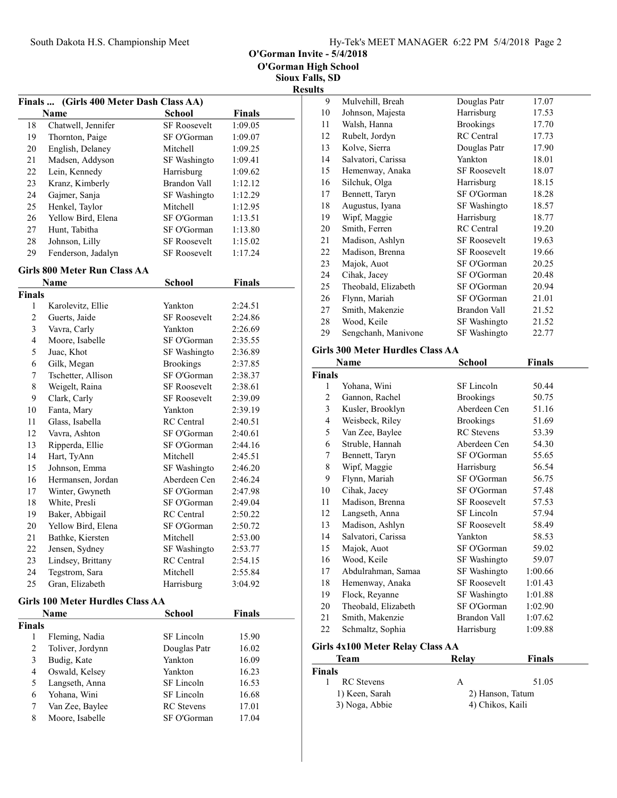O'Gorman Invite - 5/4/2018

Sioux Falls, SD Results

| <b>Finals</b>  | (Girls 400 Meter Dash Class AA)         |                                 |                |  |
|----------------|-----------------------------------------|---------------------------------|----------------|--|
|                | Name                                    | <b>School</b>                   | <b>Finals</b>  |  |
| 18             | Chatwell, Jennifer                      | <b>SF Roosevelt</b>             | 1:09.05        |  |
| 19             | Thornton, Paige                         | SF O'Gorman                     | 1:09.07        |  |
| 20             | English, Delaney                        | Mitchell                        | 1:09.25        |  |
| 21             | Madsen, Addyson                         | SF Washingto                    | 1:09.41        |  |
| 22             | Lein, Kennedy                           | Harrisburg                      | 1:09.62        |  |
| 23             | Kranz, Kimberly                         | Brandon Vall                    | 1:12.12        |  |
| 24             | Gajmer, Sanja                           | SF Washingto                    | 1:12.29        |  |
| 25             | Henkel, Taylor                          | Mitchell                        | 1:12.95        |  |
| 26             | Yellow Bird, Elena                      | SF O'Gorman                     | 1:13.51        |  |
| 27             | Hunt, Tabitha                           | SF O'Gorman                     | 1:13.80        |  |
| 28             | Johnson, Lilly                          | <b>SF Roosevelt</b>             | 1:15.02        |  |
| 29             | Fenderson, Jadalyn                      | <b>SF Roosevelt</b>             | 1:17.24        |  |
|                | Girls 800 Meter Run Class AA            |                                 |                |  |
|                | Name                                    | School                          | <b>Finals</b>  |  |
| <b>Finals</b>  |                                         |                                 |                |  |
| 1              | Karolevitz, Ellie                       | Yankton                         | 2:24.51        |  |
| $\overline{c}$ | Guerts, Jaide                           | <b>SF Roosevelt</b>             | 2:24.86        |  |
| 3              | Vavra, Carly                            | Yankton                         | 2:26.69        |  |
| 4              | Moore, Isabelle                         | SF O'Gorman                     | 2:35.55        |  |
| 5              | Juac, Khot                              | SF Washingto                    | 2:36.89        |  |
| 6              | Gilk, Megan                             | <b>Brookings</b>                | 2:37.85        |  |
| 7              | Tschetter, Allison                      | SF O'Gorman                     | 2:38.37        |  |
| 8              | Weigelt, Raina                          | <b>SF Roosevelt</b>             | 2:38.61        |  |
| 9              | Clark, Carly                            | <b>SF Roosevelt</b>             | 2:39.09        |  |
| 10             | Fanta, Mary                             | Yankton                         | 2:39.19        |  |
| 11             | Glass, Isabella                         | <b>RC</b> Central               | 2:40.51        |  |
| 12             | Vavra, Ashton                           | SF O'Gorman                     | 2:40.61        |  |
| 13             | Ripperda, Ellie                         | SF O'Gorman                     | 2:44.16        |  |
| 14             | Hart, TyAnn                             | Mitchell                        | 2:45.51        |  |
| 15             | Johnson, Emma                           | SF Washingto                    | 2:46.20        |  |
| 16             | Hermansen, Jordan                       | Aberdeen Cen                    | 2:46.24        |  |
| 17             | Winter, Gwyneth                         | SF O'Gorman                     | 2:47.98        |  |
| 18             | White, Presli                           | SF O'Gorman                     | 2:49.04        |  |
| 19             | Baker, Abbigail                         | <b>RC</b> Central               | 2:50.22        |  |
| 20             | Yellow Bird, Elena                      | SF O'Gorman                     | 2:50.72        |  |
| 21             | Bathke, Kiersten                        | Mitchell                        | 2:53.00        |  |
| 22             | Jensen, Sydney                          | SF Washingto                    | 2:53.77        |  |
| 23             | Lindsey, Brittany                       | RC Central                      | 2:54.15        |  |
| 24             | Tegstrom, Sara                          | Mitchell                        | 2:55.84        |  |
| 25             | Gran, Elizabeth                         | Harrisburg                      | 3:04.92        |  |
|                | <b>Girls 100 Meter Hurdles Class AA</b> |                                 |                |  |
|                | Name                                    | School                          | <b>Finals</b>  |  |
|                |                                         |                                 |                |  |
| Finals<br>1    | Fleming, Nadia                          | <b>SF</b> Lincoln               | 15.90          |  |
| $\overline{c}$ | Toliver, Jordynn                        | Douglas Patr                    | 16.02          |  |
| 3              | Budig, Kate                             | Yankton                         |                |  |
| 4              | Oswald, Kelsey                          | Yankton                         | 16.09<br>16.23 |  |
| 5              |                                         | SF Lincoln                      |                |  |
|                | Langseth, Anna<br>Yohana, Wini          |                                 | 16.53          |  |
| 6<br>7         |                                         | SF Lincoln<br><b>RC</b> Stevens | 16.68          |  |
| 8              | Van Zee, Baylee                         | SF O'Gorman                     | 17.01          |  |
|                | Moore, Isabelle                         |                                 | 17.04          |  |

| 9  | Mulvehill, Breah                          | Douglas Patr        | 17.07 |  |
|----|-------------------------------------------|---------------------|-------|--|
| 10 | Johnson, Majesta                          | Harrisburg          | 17.53 |  |
| 11 | Walsh, Hanna                              | <b>Brookings</b>    | 17.70 |  |
| 12 | Rubelt, Jordyn                            | <b>RC</b> Central   | 17.73 |  |
| 13 | Kolve, Sierra                             | Douglas Patr        | 17.90 |  |
| 14 | Salvatori, Carissa                        | Yankton             | 18.01 |  |
| 15 | Hemenway, Anaka                           | SF Roosevelt        | 18.07 |  |
| 16 | Silchuk, Olga                             | Harrisburg          | 18.15 |  |
| 17 | Bennett, Taryn                            | SF O'Gorman         | 18.28 |  |
| 18 | Augustus, Iyana                           | SF Washingto        | 18.57 |  |
| 19 | Wipf, Maggie                              | Harrisburg          | 18.77 |  |
| 20 | Smith, Ferren                             | <b>RC</b> Central   | 19.20 |  |
| 21 | Madison, Ashlyn                           | <b>SF Roosevelt</b> | 19.63 |  |
| 22 | Madison, Brenna                           | <b>SF Roosevelt</b> | 19.66 |  |
| 23 | Majok, Auot                               | SF O'Gorman         | 20.25 |  |
| 24 | Cihak, Jacey                              | SF O'Gorman         | 20.48 |  |
| 25 | Theobald, Elizabeth                       | SF O'Gorman         | 20.94 |  |
| 26 | Flynn, Mariah                             | SF O'Gorman         | 21.01 |  |
| 27 | Smith, Makenzie                           | Brandon Vall        | 21.52 |  |
| 28 | Wood, Keile                               | SF Washingto        | 21.52 |  |
| 29 | Sengchanh, Manivone                       | SF Washingto        | 22.77 |  |
|    | $\sim$ $\sim$ $\sim$ $\sim$ $\sim$ $\sim$ |                     |       |  |

#### Girls 300 Meter Hurdles Class AA

|                | Name                                    | School              | <b>Finals</b> |
|----------------|-----------------------------------------|---------------------|---------------|
| Finals         |                                         |                     |               |
| 1              | Yohana, Wini                            | SF Lincoln          | 50.44         |
| $\overline{2}$ | Gannon, Rachel                          | <b>Brookings</b>    | 50.75         |
| 3              | Kusler, Brooklyn                        | Aberdeen Cen        | 51.16         |
| $\overline{4}$ | Weisbeck, Riley                         | <b>Brookings</b>    | 51.69         |
| 5              | Van Zee, Baylee                         | <b>RC</b> Stevens   | 53.39         |
| 6              | Struble, Hannah                         | Aberdeen Cen        | 54.30         |
| 7              | Bennett, Taryn                          | SF O'Gorman         | 55.65         |
| 8              | Wipf, Maggie                            | Harrisburg          | 56.54         |
| 9              | Flynn, Mariah                           | SF O'Gorman         | 56.75         |
| 10             | Cihak, Jacey                            | SF O'Gorman         | 57.48         |
| 11             | Madison, Brenna                         | <b>SF Roosevelt</b> | 57.53         |
| 12             | Langseth, Anna                          | SF Lincoln          | 57.94         |
| 13             | Madison, Ashlyn                         | <b>SF Roosevelt</b> | 58.49         |
| 14             | Salvatori, Carissa                      | Yankton             | 58.53         |
| 15             | Majok, Auot                             | SF O'Gorman         | 59.02         |
| 16             | Wood, Keile                             | SF Washingto        | 59.07         |
| 17             | Abdulrahman, Samaa                      | SF Washingto        | 1:00.66       |
| 18             | Hemenway, Anaka                         | <b>SF Roosevelt</b> | 1:01.43       |
| 19             | Flock, Reyanne                          | SF Washingto        | 1:01.88       |
| 20             | Theobald, Elizabeth                     | SF O'Gorman         | 1:02.90       |
| 21             | Smith, Makenzie                         | <b>Brandon Vall</b> | 1:07.62       |
| 22             | Schmaltz, Sophia                        | Harrisburg          | 1:09.88       |
|                | <b>Girls 4x100 Meter Relay Class AA</b> |                     |               |
|                | Team                                    | Relay               | <b>Finals</b> |
| Finals         |                                         |                     |               |

| inals |                |                  |       |  |
|-------|----------------|------------------|-------|--|
|       | RC Stevens     | A                | 51.05 |  |
|       | 1) Keen, Sarah | 2) Hanson, Tatum |       |  |
|       | 3) Noga, Abbie | 4) Chikos, Kaili |       |  |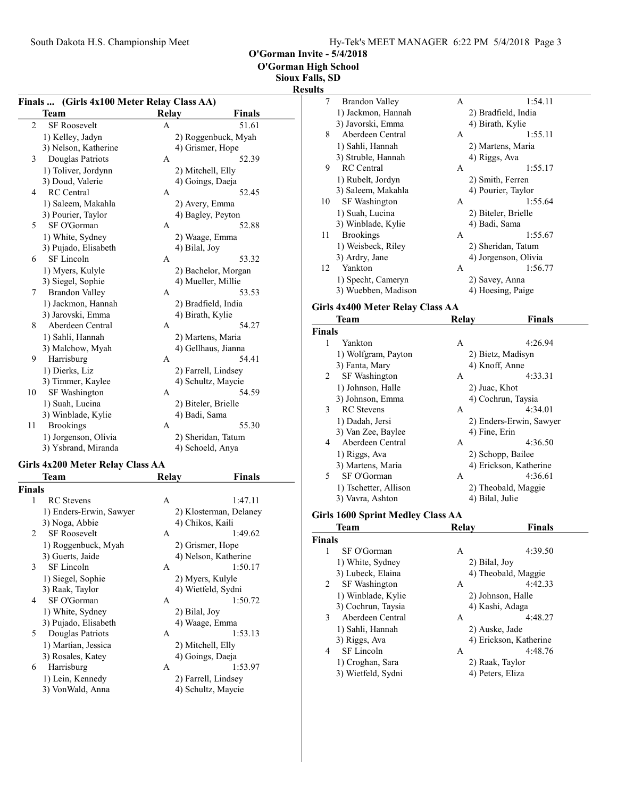O'Gorman High School

Sioux Falls, SD

#### Result

| Finals  (Girls 4x100 Meter Relay Class AA) |                       |   |                     |  |
|--------------------------------------------|-----------------------|---|---------------------|--|
| Team<br><b>Finals</b><br><b>Relay</b>      |                       |   |                     |  |
| 2                                          | SF Roosevelt          | A | 51.61               |  |
|                                            | 1) Kelley, Jadyn      |   | 2) Roggenbuck, Myah |  |
|                                            | 3) Nelson, Katherine  |   | 4) Grismer, Hope    |  |
| 3                                          | Douglas Patriots      | Α | 52.39               |  |
|                                            | 1) Toliver, Jordynn   |   | 2) Mitchell, Elly   |  |
|                                            | 3) Doud, Valerie      |   | 4) Goings, Daeja    |  |
| 4                                          | <b>RC</b> Central     | А | 52.45               |  |
|                                            | 1) Saleem, Makahla    |   | 2) Avery, Emma      |  |
|                                            | 3) Pourier, Taylor    |   | 4) Bagley, Peyton   |  |
| 5                                          | SF O'Gorman           | А | 52.88               |  |
|                                            | 1) White, Sydney      |   | 2) Waage, Emma      |  |
|                                            | 3) Pujado, Elisabeth  |   | 4) Bilal, Joy       |  |
| 6                                          | SF Lincoln            | A | 53.32               |  |
|                                            | 1) Myers, Kulyle      |   | 2) Bachelor, Morgan |  |
|                                            | 3) Siegel, Sophie     |   | 4) Mueller, Millie  |  |
| 7                                          | <b>Brandon Valley</b> | A | 53.53               |  |
|                                            | 1) Jackmon, Hannah    |   | 2) Bradfield, India |  |
|                                            | 3) Jarovski, Emma     |   | 4) Birath, Kylie    |  |
| 8                                          | Aberdeen Central      | A | 54.27               |  |
|                                            | 1) Sahli, Hannah      |   | 2) Martens, Maria   |  |
|                                            | 3) Malchow, Myah      |   | 4) Gellhaus, Jianna |  |
| 9                                          | Harrisburg            | A | 54.41               |  |
|                                            | 1) Dierks, Liz        |   | 2) Farrell, Lindsey |  |
|                                            | 3) Timmer, Kaylee     |   | 4) Schultz, Maycie  |  |
| 10                                         | SF Washington         | А | 54.59               |  |
|                                            | 1) Suah, Lucina       |   | 2) Biteler, Brielle |  |
|                                            | 3) Winblade, Kylie    |   | 4) Badi, Sama       |  |
| 11                                         | <b>Brookings</b>      | A | 55.30               |  |
|                                            | 1) Jorgenson, Olivia  |   | 2) Sheridan, Tatum  |  |
|                                            | 3) Ysbrand, Miranda   |   | 4) Schoeld, Anya    |  |
| Girls 4x200 Meter Relay Class AA           |                       |   |                     |  |
| Team<br>Finals<br>Relay                    |                       |   |                     |  |

| <b>Finals</b> |                         |              |                        |
|---------------|-------------------------|--------------|------------------------|
| 1             | <b>RC</b> Stevens       | A            | 1:47.11                |
|               | 1) Enders-Erwin, Sawyer |              | 2) Klosterman, Delaney |
|               | 3) Noga, Abbie          |              | 4) Chikos, Kaili       |
| $2^{\circ}$   | <b>SF Roosevelt</b>     | A            | 1:49.62                |
|               | 1) Roggenbuck, Myah     |              | 2) Grismer, Hope       |
|               | 3) Guerts, Jaide        |              | 4) Nelson, Katherine   |
| 3             | SF Lincoln              | A            | 1:50.17                |
|               | 1) Siegel, Sophie       |              | 2) Myers, Kulyle       |
|               | 3) Raak, Taylor         |              | 4) Wietfeld, Sydni     |
| 4             | SF O'Gorman             | A            | 1:50.72                |
|               | 1) White, Sydney        |              | 2) Bilal, Joy          |
|               | 3) Pujado, Elisabeth    |              | 4) Waage, Emma         |
| 5.            | Douglas Patriots        | $\mathsf{A}$ | 1:53.13                |
|               | 1) Martian, Jessica     |              | 2) Mitchell, Elly      |
|               | 3) Rosales, Katey       |              | 4) Goings, Daeja       |
| 6             | Harrisburg              | A            | 1:53.97                |
|               | 1) Lein, Kennedy        |              | 2) Farrell, Lindsey    |
|               | 3) VonWald, Anna        |              | 4) Schultz, Maycie     |
|               |                         |              |                        |

| ts |                      |   |                      |
|----|----------------------|---|----------------------|
| 7  | Brandon Valley       | A | 1:54.11              |
|    | 1) Jackmon, Hannah   |   | 2) Bradfield, India  |
|    | 3) Javorski, Emma    |   | 4) Birath, Kylie     |
| 8  | Aberdeen Central     | A | 1:55.11              |
|    | 1) Sahli, Hannah     |   | 2) Martens, Maria    |
|    | 3) Struble, Hannah   |   | 4) Riggs, Ava        |
| 9  | <b>RC</b> Central    | A | 1:55.17              |
|    | 1) Rubelt, Jordyn    |   | 2) Smith, Ferren     |
|    | 3) Saleem, Makahla   |   | 4) Pourier, Taylor   |
| 10 | <b>SF</b> Washington | A | 1:55.64              |
|    | 1) Suah, Lucina      |   | 2) Biteler, Brielle  |
|    | 3) Winblade, Kylie   |   | 4) Badi, Sama        |
| 11 | <b>Brookings</b>     | A | 1:55.67              |
|    | 1) Weisbeck, Riley   |   | 2) Sheridan, Tatum   |
|    | 3) Ardry, Jane       |   | 4) Jorgenson, Olivia |
| 12 | Yankton              | A | 1:56.77              |
|    | 1) Specht, Cameryn   |   | 2) Savey, Anna       |
|    | 3) Wuebben, Madison  |   | 4) Hoesing, Paige    |
|    |                      |   |                      |

#### Girls 4x400 Meter Relay Class AA

| Team                                     | Relay           | Finals                  |
|------------------------------------------|-----------------|-------------------------|
| <b>Finals</b>                            |                 |                         |
| 1<br>Yankton                             | A               | 4:26.94                 |
| 1) Wolfgram, Payton                      |                 | 2) Bietz, Madisyn       |
| 3) Fanta, Mary                           | 4) Knoff, Anne  |                         |
| <b>SF</b> Washington<br>2                | A               | 4:33.31                 |
| 1) Johnson, Halle                        | 2) Juac, Khot   |                         |
| 3) Johnson, Emma                         |                 | 4) Cochrun, Taysia      |
| 3<br><b>RC</b> Stevens                   | A               | 4:34.01                 |
| 1) Dadah, Jersi                          |                 | 2) Enders-Erwin, Sawyer |
| 3) Van Zee, Baylee                       | 4) Fine, Erin   |                         |
| Aberdeen Central<br>4                    | A               | 4:36.50                 |
| 1) Riggs, Ava                            |                 | 2) Schopp, Bailee       |
| 3) Martens, Maria                        |                 | 4) Erickson, Katherine  |
| SF O'Gorman<br>5.                        | A               | 4:36.61                 |
| 1) Tschetter, Allison                    |                 | 2) Theobald, Maggie     |
| 3) Vavra, Ashton                         | 4) Bilal, Julie |                         |
| <b>Girls 1600 Sprint Medley Class AA</b> |                 |                         |
| Team                                     | Relav           | Finals                  |

| 1 сані                | лески у           | т піано                |  |
|-----------------------|-------------------|------------------------|--|
| <b>Finals</b>         |                   |                        |  |
| SF O'Gorman<br>1      | A                 | 4:39.50                |  |
| 1) White, Sydney      | 2) Bilal, Joy     |                        |  |
| 3) Lubeck, Elaina     |                   | 4) Theobald, Maggie    |  |
| SF Washington<br>2    | А                 | 4:42.33                |  |
| 1) Winblade, Kylie    | 2) Johnson, Halle |                        |  |
| 3) Cochrun, Taysia    | 4) Kashi, Adaga   |                        |  |
| Aberdeen Central<br>3 | A                 | 4:48.27                |  |
| 1) Sahli, Hannah      | 2) Auske, Jade    |                        |  |
| 3) Riggs, Ava         |                   | 4) Erickson, Katherine |  |
| SF Lincoln<br>4       | А                 | 4:48.76                |  |
| 1) Croghan, Sara      | 2) Raak, Taylor   |                        |  |
| 3) Wietfeld, Sydni    | 4) Peters, Eliza  |                        |  |
|                       |                   |                        |  |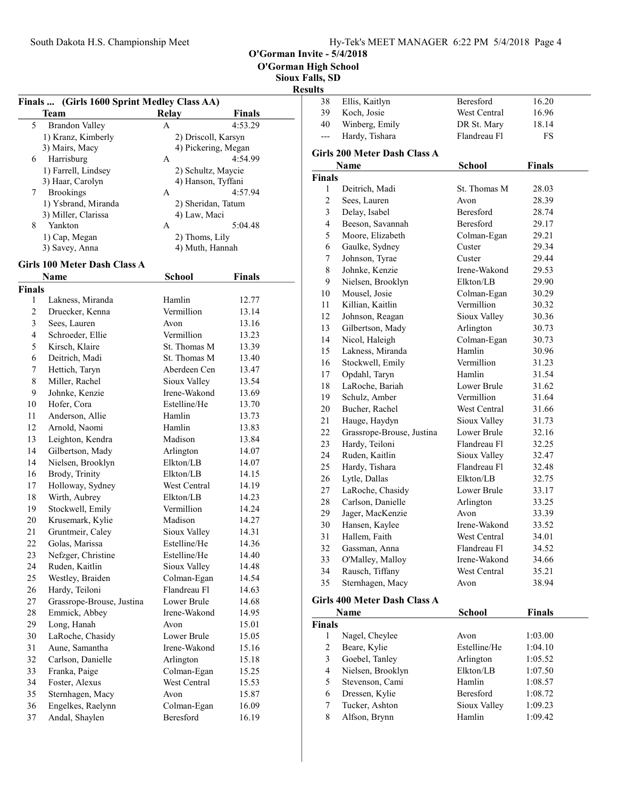O'Gorman High School

Sioux Falls, SD

### Results

|                | Finals  (Girls 1600 Sprint Medley Class AA) |                     |               |  |
|----------------|---------------------------------------------|---------------------|---------------|--|
|                | Team                                        | <b>Relay</b>        | <b>Finals</b> |  |
| 5              | <b>Brandon Valley</b>                       | A                   | 4:53.29       |  |
|                | 1) Kranz, Kimberly                          | 2) Driscoll, Karsyn |               |  |
|                | 3) Mairs, Macy                              | 4) Pickering, Megan |               |  |
| 6              | Harrisburg                                  | А                   | 4:54.99       |  |
|                | 1) Farrell, Lindsey                         | 2) Schultz, Maycie  |               |  |
|                | 3) Haar, Carolyn                            | 4) Hanson, Tyffani  |               |  |
| 7              | <b>Brookings</b>                            | A                   | 4:57.94       |  |
|                | 1) Ysbrand, Miranda                         | 2) Sheridan, Tatum  |               |  |
|                | 3) Miller, Clarissa                         | 4) Law, Maci        |               |  |
| 8              | Yankton                                     | A                   | 5:04.48       |  |
|                | 1) Cap, Megan                               | 2) Thoms, Lily      |               |  |
|                | 3) Savey, Anna                              | 4) Muth, Hannah     |               |  |
|                | <b>Girls 100 Meter Dash Class A</b>         |                     |               |  |
|                | Name                                        | School              | <b>Finals</b> |  |
| <b>Finals</b>  |                                             |                     |               |  |
| 1              | Lakness, Miranda                            | Hamlin              | 12.77         |  |
| 2              | Druecker, Kenna                             | Vermillion          | 13.14         |  |
| 3              |                                             |                     | 13.16         |  |
| $\overline{4}$ | Sees, Lauren                                | Avon<br>Vermillion  |               |  |
|                | Schroeder, Ellie                            | St. Thomas M        | 13.23         |  |
| 5              | Kirsch, Klaire                              |                     | 13.39         |  |
| 6              | Deitrich, Madi                              | St. Thomas M        | 13.40         |  |
| 7              | Hettich, Taryn                              | Aberdeen Cen        | 13.47         |  |
| 8              | Miller, Rachel                              | Sioux Valley        | 13.54         |  |
| 9              | Johnke, Kenzie                              | Irene-Wakond        | 13.69         |  |
| 10             | Hofer, Cora                                 | Estelline/He        | 13.70         |  |
| 11             | Anderson, Allie                             | Hamlin              | 13.73         |  |
| 12             | Arnold, Naomi                               | Hamlin              | 13.83         |  |
| 13             | Leighton, Kendra                            | Madison             | 13.84         |  |
| 14             | Gilbertson, Mady                            | Arlington           | 14.07         |  |
| 14             | Nielsen, Brooklyn                           | Elkton/LB           | 14.07         |  |
| 16             | Brody, Trinity                              | Elkton/LB           | 14.15         |  |
| 17             | Holloway, Sydney                            | West Central        | 14.19         |  |
| 18             | Wirth, Aubrey                               | Elkton/LB           | 14.23         |  |
| 19             | Stockwell, Emily                            | Vermillion          | 14.24         |  |
| 20             | Krusemark, Kylie                            | Madison             | 14.27         |  |
| 21             | Gruntmeir, Caley                            | Sioux Valley        | 14.31         |  |
| 22             | Golas, Marissa                              | Estelline/He        | 14.36         |  |
| 23             | Nefzger, Christine                          | Estelline/He        | 14.40         |  |
| 24             | Ruden, Kaitlin                              | Sioux Valley        | 14.48         |  |
| 25             | Westley, Braiden                            | Colman-Egan         | 14.54         |  |
| 26             | Hardy, Teiloni                              | Flandreau Fl        | 14.63         |  |
| 27             | Grassrope-Brouse, Justina                   | Lower Brule         | 14.68         |  |
| 28             | Emmick, Abbey                               | Irene-Wakond        | 14.95         |  |
| 29             | Long, Hanah                                 | Avon                | 15.01         |  |
| 30             | LaRoche, Chasidy                            | Lower Brule         | 15.05         |  |
| 31             | Aune, Samantha                              | Irene-Wakond        | 15.16         |  |
| 32             | Carlson, Danielle                           | Arlington           | 15.18         |  |
| 33             | Franka, Paige                               | Colman-Egan         | 15.25         |  |
| 34             | Foster, Alexus                              | West Central        | 15.53         |  |
| 35             | Sternhagen, Macy                            | Avon                | 15.87         |  |
| 36             | Engelkes, Raelynn                           | Colman-Egan         | 16.09         |  |
| 37             | Andal, Shaylen                              | Beresford           | 16.19         |  |
|                |                                             |                     |               |  |

| ultə          |                              |               |               |  |
|---------------|------------------------------|---------------|---------------|--|
| 38            | Ellis, Kaitlyn               | Beresford     | 16.20         |  |
| 39            | Koch, Josie                  | West Central  | 16.96         |  |
| 40            | Winberg, Emily               | DR St. Mary   | 18.14         |  |
| $---$         | Hardy, Tishara               | Flandreau Fl  | FS            |  |
|               | Girls 200 Meter Dash Class A |               |               |  |
|               | Name                         | <b>School</b> | <b>Finals</b> |  |
| <b>Finals</b> |                              |               |               |  |
| 1             | Deitrich, Madi               | St. Thomas M  | 28.03         |  |
| 2             | Sees, Lauren                 | Avon          | 28.39         |  |
| 3             | Delay, Isabel                | Beresford     | 28.74         |  |
| 4             | Beeson, Savannah             | Beresford     | 29.17         |  |
| 5             | Moore, Elizabeth             | Colman-Egan   | 29.21         |  |
| 6             | Gaulke, Sydney               | Custer        | 29.34         |  |
| 7             | Johnson, Tyrae               | Custer        | 29.44         |  |
| 8             | Johnke, Kenzie               | Irene-Wakond  | 29.53         |  |
| 9             | Nielsen, Brooklyn            | Elkton/LB     | 29.90         |  |
| 10            | Mousel, Josie                | Colman-Egan   | 30.29         |  |
| 11            | Killian, Kaitlin             | Vermillion    | 30.32         |  |
| 12            | Johnson, Reagan              | Sioux Valley  | 30.36         |  |
| 13            | Gilbertson, Mady             | Arlington     | 30.73         |  |
| 14            | Nicol, Haleigh               | Colman-Egan   | 30.73         |  |
| 15            | Lakness, Miranda             | Hamlin        | 30.96         |  |
| 16            | Stockwell, Emily             | Vermillion    | 31.23         |  |
| 17            | Opdahl, Taryn                | Hamlin        | 31.54         |  |
| 18            | LaRoche, Bariah              | Lower Brule   | 31.62         |  |
| 19            | Schulz, Amber                | Vermillion    | 31.64         |  |
| 20            | Bucher, Rachel               | West Central  | 31.66         |  |
| 21            | Hauge, Haydyn                | Sioux Valley  | 31.73         |  |
| 22            | Grassrope-Brouse, Justina    | Lower Brule   | 32.16         |  |
| 23            | Hardy, Teiloni               | Flandreau Fl  | 32.25         |  |
| 24            | Ruden, Kaitlin               | Sioux Valley  | 32.47         |  |
| 25            | Hardy, Tishara               | Flandreau Fl  | 32.48         |  |
| 26            | Lytle, Dallas                | Elkton/LB     | 32.75         |  |
| 27            | LaRoche, Chasidy             | Lower Brule   | 33.17         |  |
| 28            | Carlson, Danielle            | Arlington     | 33.25         |  |
| 29            | Jager, MacKenzie             | Avon          | 33.39         |  |
| 30            | Hansen, Kaylee               | Irene-Wakond  | 33.52         |  |
| 31            | Hallem. Faith                | West Central  | 34.01         |  |
| 32            | Gassman, Anna                | Flandreau Fl  | 34.52         |  |
| 33            | O'Malley, Malloy             | Irene-Wakond  | 34.66         |  |
| 34            | Rausch, Tiffany              | West Central  | 35.21         |  |
| 35            | Sternhagen, Macy             | Avon          | 38.94         |  |
|               | Girls 400 Meter Dash Class A |               |               |  |
|               | Name                         | School        | <b>Finals</b> |  |
| <b>Finals</b> |                              |               |               |  |
| $1 \quad$     | Nagel, Chevlee               | Avon          | 1:03.00       |  |

| <b>Finals</b> |                   |                  |         |
|---------------|-------------------|------------------|---------|
|               | Nagel, Cheylee    | Avon             | 1:03.00 |
| 2             | Beare, Kylie      | Estelline/He     | 1:04.10 |
| 3             | Goebel, Tanley    | Arlington        | 1:05.52 |
| 4             | Nielsen, Brooklyn | Elkton/LB        | 1:07.50 |
| 5             | Stevenson, Cami   | Hamlin           | 1:08.57 |
| 6             | Dressen, Kylie    | <b>Beresford</b> | 1:08.72 |
|               | Tucker, Ashton    | Sioux Valley     | 1:09.23 |
| 8             | Alfson, Brynn     | Hamlin           | 1:09.42 |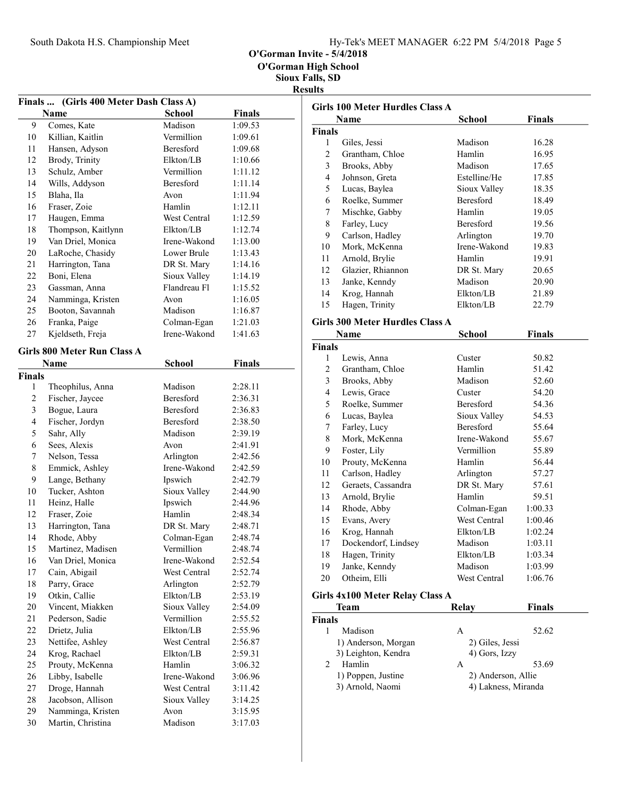O'Gorman High School

|                | Finals  (Girls 400 Meter Dash Class A) |                  |               |
|----------------|----------------------------------------|------------------|---------------|
|                | <b>Name</b>                            | <b>School</b>    | <b>Finals</b> |
| 9              | Comes, Kate                            | Madison          | 1:09.53       |
| 10             | Killian, Kaitlin                       | Vermillion       | 1:09.61       |
| 11             | Hansen, Adyson                         | <b>Beresford</b> | 1:09.68       |
| 12             | Brody, Trinity                         | Elkton/LB        | 1:10.66       |
| 13             | Schulz, Amber                          | Vermillion       | 1:11.12       |
| 14             | Wills, Addyson                         | Beresford        | 1:11.14       |
| 15             | Blaha, Ila                             | Avon             | 1:11.94       |
| 16             | Fraser, Zoie                           | Hamlin           | 1:12.11       |
| 17             | Haugen, Emma                           | West Central     | 1:12.59       |
| 18             | Thompson, Kaitlynn                     | Elkton/LB        | 1:12.74       |
| 19             | Van Driel, Monica                      | Irene-Wakond     | 1:13.00       |
| 20             | LaRoche, Chasidy                       | Lower Brule      | 1:13.43       |
| 21             | Harrington, Tana                       | DR St. Mary      | 1:14.16       |
| 22             | Boni, Elena                            | Sioux Valley     | 1:14.19       |
| 23             | Gassman, Anna                          | Flandreau Fl     | 1:15.52       |
| 24             | Namminga, Kristen                      | Avon             | 1:16.05       |
| 25             | Booton, Savannah                       | Madison          | 1:16.87       |
| 26             | Franka, Paige                          | Colman-Egan      | 1:21.03       |
| 27             | Kjeldseth, Freja                       | Irene-Wakond     | 1:41.63       |
|                |                                        |                  |               |
|                | <b>Girls 800 Meter Run Class A</b>     |                  |               |
|                | <b>Name</b>                            | School           | <b>Finals</b> |
| <b>Finals</b>  |                                        |                  |               |
| 1              | Theophilus, Anna                       | Madison          | 2:28.11       |
| $\overline{c}$ | Fischer, Jaycee                        | <b>Beresford</b> | 2:36.31       |
| 3              | Bogue, Laura                           | Beresford        | 2:36.83       |
| $\overline{4}$ | Fischer, Jordyn                        | Beresford        | 2:38.50       |
| 5              | Sahr, Ally                             | Madison          | 2:39.19       |
| 6              | Sees, Alexis                           | Avon             | 2:41.91       |
| 7              | Nelson, Tessa                          | Arlington        | 2:42.56       |
| 8              | Emmick, Ashley                         | Irene-Wakond     | 2:42.59       |
| 9              | Lange, Bethany                         | Ipswich          | 2:42.79       |
| 10             | Tucker, Ashton                         | Sioux Valley     | 2:44.90       |
| 11             | Heinz, Halle                           | Ipswich          | 2:44.96       |
| 12             | Fraser, Zoie                           | Hamlin           | 2:48.34       |
| 13             | Harrington, Tana                       | DR St. Mary      | 2:48.71       |
| 14             | Rhode, Abby                            | Colman-Egan      | 2:48.74       |
| 15             | Martinez, Madisen                      | Vermillion       | 2:48.74       |
| 16             | Van Driel, Monica                      | Irene-Wakond     | 2:52.54       |
| 17             | Cain, Abigail                          | West Central     | 2:52.74       |
| 18             | Parry, Grace                           | Arlington        | 2:52.79       |
| 19             | Otkin, Callie                          | Elkton/LB        | 2:53.19       |
| 20             | Vincent, Miakken                       | Sioux Valley     | 2:54.09       |
| 21             | Pederson, Sadie                        | Vermillion       | 2:55.52       |
| 22             | Drietz, Julia                          | Elkton/LB        | 2:55.96       |
| 23             | Nettifee, Ashley                       | West Central     | 2:56.87       |
| 24             | Krog, Rachael                          | Elkton/LB        | 2:59.31       |
| 25             | Prouty, McKenna                        | Hamlin           | 3:06.32       |
| 26             | Libby, Isabelle                        | Irene-Wakond     | 3:06.96       |
| 27             | Droge, Hannah                          | West Central     | 3:11.42       |
| 28             | Jacobson, Allison                      | Sioux Valley     | 3:14.25       |
| 29             | Namminga, Kristen                      | Avon             | 3:15.95       |
| 30             | Martin, Christina                      | Madison          | 3:17.03       |

|                | <b>Girls 100 Meter Hurdles Class A</b> |                     |               |  |
|----------------|----------------------------------------|---------------------|---------------|--|
| Name           |                                        | School              | <b>Finals</b> |  |
| <b>Finals</b>  |                                        |                     |               |  |
| 1              | Giles, Jessi                           | Madison             | 16.28         |  |
| $\overline{c}$ | Grantham, Chloe                        | Hamlin              | 16.95         |  |
| 3              | Brooks, Abby                           | Madison             | 17.65         |  |
| $\overline{4}$ | Johnson, Greta                         | Estelline/He        | 17.85         |  |
| 5              | Lucas, Baylea                          | Sioux Valley        | 18.35         |  |
| 6              | Roelke, Summer                         | Beresford           | 18.49         |  |
| 7              | Mischke, Gabby                         | Hamlin              | 19.05         |  |
| 8              | Farley, Lucy                           | Beresford           | 19.56         |  |
| 9              | Carlson, Hadley                        | Arlington           | 19.70         |  |
| 10             | Mork, McKenna                          | Irene-Wakond        | 19.83         |  |
| 11             | Arnold, Brylie                         | Hamlin              | 19.91         |  |
| 12             | Glazier, Rhiannon                      | DR St. Mary         | 20.65         |  |
| 13             | Janke, Kenndy                          | Madison             | 20.90         |  |
| 14             | Krog, Hannah                           | Elkton/LB           | 21.89         |  |
| 15             | Hagen, Trinity                         | Elkton/LB           | 22.79         |  |
|                | <b>Girls 300 Meter Hurdles Class A</b> |                     |               |  |
|                | Name                                   | <b>School</b>       | <b>Finals</b> |  |
| <b>Finals</b>  |                                        |                     |               |  |
| 1              | Lewis, Anna                            | Custer              | 50.82         |  |
| $\overline{c}$ | Grantham, Chloe                        | Hamlin              | 51.42         |  |
| 3              | Brooks, Abby                           | Madison             | 52.60         |  |
| $\overline{4}$ | Lewis, Grace                           | Custer              | 54.20         |  |
| 5              | Roelke, Summer                         | Beresford           | 54.36         |  |
| 6              | Lucas, Baylea                          | Sioux Valley        | 54.53         |  |
| 7              | Farley, Lucy                           | Beresford           | 55.64         |  |
| 8              | Mork, McKenna                          | Irene-Wakond        | 55.67         |  |
| 9              | Foster, Lily                           | Vermillion          | 55.89         |  |
| 10             | Prouty, McKenna                        | Hamlin              | 56.44         |  |
| 11             | Carlson, Hadley                        | Arlington           | 57.27         |  |
| 12             | Geraets, Cassandra                     | DR St. Mary         | 57.61         |  |
| 13             | Arnold, Brylie                         | Hamlin              | 59.51         |  |
| 14             | Rhode, Abby                            | Colman-Egan         | 1:00.33       |  |
| 15             | Evans, Avery                           | <b>West Central</b> | 1:00.46       |  |
| 16             | Krog, Hannah                           | Elkton/LB           | 1:02.24       |  |
| 17             | Dockendorf, Lindsey                    | Madison             | 1:03.11       |  |
| $1\,8$         | Hagen, Trinity                         | Elkton/LB           | 1:03.34       |  |
| 19             | Janke, Kenndy                          | Madison             | 1:03.99       |  |
| 20             | Otheim, Elli                           | West Central        | 1:06.76       |  |
|                |                                        |                     |               |  |
|                | Girls 4x100 Meter Relay Class A        |                     |               |  |
|                | Team                                   | Relay               | <b>Finals</b> |  |
| Finals<br>1    | Madison                                |                     | 5262          |  |

| inals |                     |                     |       |
|-------|---------------------|---------------------|-------|
|       | Madison             | А                   | 52.62 |
|       | 1) Anderson, Morgan | 2) Giles, Jessi     |       |
|       | 3) Leighton, Kendra | 4) Gors, Izzy       |       |
|       | Hamlin              | А                   | 53.69 |
|       | 1) Poppen, Justine  | 2) Anderson, Allie  |       |
|       | 3) Arnold, Naomi    | 4) Lakness, Miranda |       |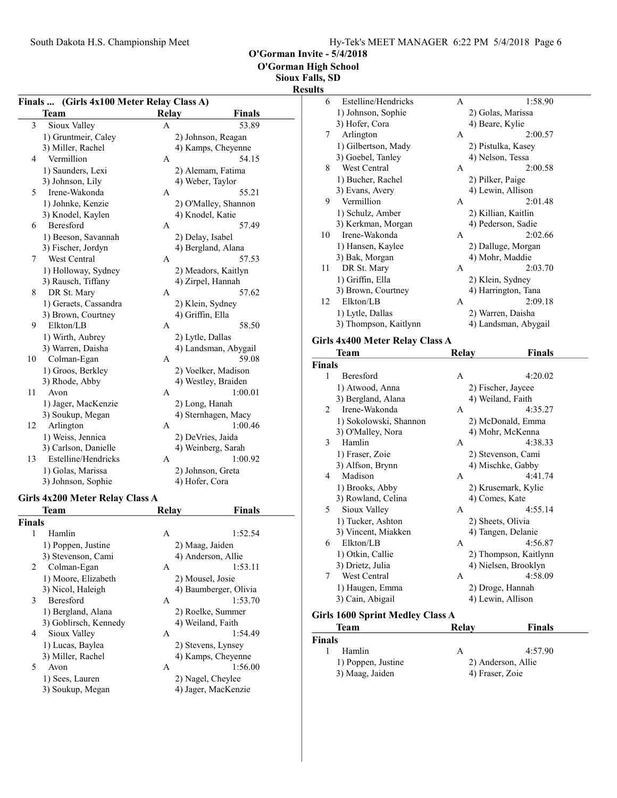O'Gorman High School

Sioux Falls, SD

#### Result

|    | Finals  (Girls 4x100 Meter Relay Class A) |   |                      |  |  |
|----|-------------------------------------------|---|----------------------|--|--|
|    | <b>Relay</b><br>Team<br>Finals            |   |                      |  |  |
| 3  | Sioux Valley                              | A | 53.89                |  |  |
|    | 1) Gruntmeir, Caley                       |   | 2) Johnson, Reagan   |  |  |
|    | 3) Miller, Rachel                         |   | 4) Kamps, Cheyenne   |  |  |
| 4  | Vermillion                                | A | 54.15                |  |  |
|    | 1) Saunders, Lexi                         |   | 2) Alemam, Fatima    |  |  |
|    | 3) Johnson, Lily                          |   | 4) Weber, Taylor     |  |  |
| 5  | Irene-Wakonda                             | A | 55.21                |  |  |
|    | 1) Johnke, Kenzie                         |   | 2) O'Malley, Shannon |  |  |
|    | 3) Knodel, Kaylen                         |   | 4) Knodel, Katie     |  |  |
| 6  | <b>Beresford</b>                          | A | 57.49                |  |  |
|    | 1) Beeson, Savannah                       |   | 2) Delay, Isabel     |  |  |
|    | 3) Fischer, Jordyn                        |   | 4) Bergland, Alana   |  |  |
| 7  | West Central                              | A | 57.53                |  |  |
|    | 1) Holloway, Sydney                       |   | 2) Meadors, Kaitlyn  |  |  |
|    | 3) Rausch, Tiffany                        |   | 4) Zirpel, Hannah    |  |  |
| 8  | DR St. Mary                               | A | 57.62                |  |  |
|    | 1) Geraets, Cassandra                     |   | 2) Klein, Sydney     |  |  |
|    | 3) Brown, Courtney                        |   | 4) Griffin, Ella     |  |  |
| 9  | Elkton/LB                                 | A | 58.50                |  |  |
|    | 1) Wirth, Aubrey                          |   | 2) Lytle, Dallas     |  |  |
|    | 3) Warren, Daisha                         |   | 4) Landsman, Abygail |  |  |
| 10 | Colman-Egan                               | A | 59.08                |  |  |
|    | 1) Groos, Berkley                         |   | 2) Voelker, Madison  |  |  |
|    | 3) Rhode, Abby                            |   | 4) Westley, Braiden  |  |  |
| 11 | Avon                                      | A | 1:00.01              |  |  |
|    | 1) Jager, MacKenzie                       |   | 2) Long, Hanah       |  |  |
|    | 3) Soukup, Megan                          |   | 4) Sternhagen, Macy  |  |  |
| 12 | Arlington                                 | A | 1:00.46              |  |  |
|    | 1) Weiss, Jennica                         |   | 2) DeVries, Jaida    |  |  |
|    | 3) Carlson, Danielle                      |   | 4) Weinberg, Sarah   |  |  |
| 13 | Estelline/Hendricks                       | A | 1:00.92              |  |  |
|    | 1) Golas, Marissa                         |   | 2) Johnson, Greta    |  |  |
|    | 3) Johnson, Sophie                        |   | 4) Hofer, Cora       |  |  |

# Girls 4x200 Meter Relay Class A<br>Team Relay

|                | <b>Team</b>           | Relay              | <b>Finals</b>         |
|----------------|-----------------------|--------------------|-----------------------|
| Finals         |                       |                    |                       |
| 1              | Hamlin                | A                  | 1:52.54               |
|                | 1) Poppen, Justine    | 2) Maag, Jaiden    |                       |
|                | 3) Stevenson, Cami    |                    | 4) Anderson, Allie    |
| $\overline{2}$ | Colman-Egan           | A                  | 1:53.11               |
|                | 1) Moore, Elizabeth   |                    | 2) Mousel, Josie      |
|                | 3) Nicol, Haleigh     |                    | 4) Baumberger, Olivia |
| 3              | <b>Beresford</b>      | A                  | 1:53.70               |
|                | 1) Bergland, Alana    |                    | 2) Roelke, Summer     |
|                | 3) Goblirsch, Kennedy |                    | 4) Weiland, Faith     |
| 4              | Sioux Valley          | A                  | 1:54.49               |
|                | 1) Lucas, Baylea      | 2) Stevens, Lynsey |                       |
|                | 3) Miller, Rachel     |                    | 4) Kamps, Cheyenne    |
| 5              | Avon                  | A                  | 1:56.00               |
|                | 1) Sees, Lauren       |                    | 2) Nagel, Cheylee     |
|                | 3) Soukup, Megan      |                    | 4) Jager, MacKenzie   |

| ĽS |                       |              |                      |  |
|----|-----------------------|--------------|----------------------|--|
| 6  | Estelline/Hendricks   | A            | 1:58.90              |  |
|    | 1) Johnson, Sophie    |              | 2) Golas, Marissa    |  |
|    | 3) Hofer, Cora        |              | 4) Beare, Kylie      |  |
| 7  | Arlington             | A            | 2:00.57              |  |
|    | 1) Gilbertson, Mady   |              | 2) Pistulka, Kasey   |  |
|    | 3) Goebel, Tanley     |              | 4) Nelson, Tessa     |  |
| 8  | West Central          | A            | 2:00.58              |  |
|    | 1) Bucher, Rachel     |              | 2) Pilker, Paige     |  |
|    | 3) Evans, Avery       |              | 4) Lewin, Allison    |  |
| 9  | Vermillion            | A            | 2:01.48              |  |
|    | 1) Schulz, Amber      |              | 2) Killian, Kaitlin  |  |
|    | 3) Kerkman, Morgan    |              | 4) Pederson, Sadie   |  |
| 10 | Irene-Wakonda         | $\mathsf{A}$ | 2:02.66              |  |
|    | 1) Hansen, Kaylee     |              | 2) Dalluge, Morgan   |  |
|    | 3) Bak, Morgan        |              | 4) Mohr, Maddie      |  |
| 11 | DR St. Mary           | A            | 2:03.70              |  |
|    | 1) Griffin, Ella      |              | 2) Klein, Sydney     |  |
|    | 3) Brown, Courtney    |              | 4) Harrington, Tana  |  |
| 12 | Elkton/LB             | A            | 2:09.18              |  |
|    | 1) Lytle, Dallas      |              | 2) Warren, Daisha    |  |
|    | 3) Thompson, Kaitlynn |              | 4) Landsman, Abygail |  |
|    |                       |              |                      |  |

#### Girls 4x400 Meter Relay Class A

|                | Team                             | Relay | <b>Finals</b>         |
|----------------|----------------------------------|-------|-----------------------|
| Finals         |                                  |       |                       |
| 1              | <b>Beresford</b>                 | A     | 4:20.02               |
|                | 1) Atwood, Anna                  |       | 2) Fischer, Jaycee    |
|                | 3) Bergland, Alana               |       | 4) Weiland, Faith     |
| $\mathfrak{D}$ | Irene-Wakonda                    | A     | 4:35.27               |
|                | 1) Sokolowski, Shannon           |       | 2) McDonald, Emma     |
|                | 3) O'Malley, Nora                |       | 4) Mohr, McKenna      |
| 3              | Hamlin                           | A     | 4:38.33               |
|                | 1) Fraser, Zoie                  |       | 2) Stevenson, Cami    |
|                | 3) Alfson, Brynn                 |       | 4) Mischke, Gabby     |
| 4              | Madison                          | A     | 4:41.74               |
|                | 1) Brooks, Abby                  |       | 2) Krusemark, Kylie   |
|                | 3) Rowland, Celina               |       | 4) Comes, Kate        |
| 5              | Sioux Valley                     | A     | 4:55.14               |
|                | 1) Tucker, Ashton                |       | 2) Sheets, Olivia     |
|                | 3) Vincent, Miakken              |       | 4) Tangen, Delanie    |
| 6              | Elkton/LB                        | A     | 4:56.87               |
|                | 1) Otkin, Callie                 |       | 2) Thompson, Kaitlynn |
|                | 3) Drietz, Julia                 |       | 4) Nielsen, Brooklyn  |
| 7              | West Central                     | A     | 4:58.09               |
|                | 1) Haugen, Emma                  |       | 2) Droge, Hannah      |
|                | 3) Cain, Abigail                 |       | 4) Lewin, Allison     |
|                | Girls 1600 Sprint Medley Class A |       |                       |
|                | Team                             | Relay | Finals                |

| IXUIA V | т піаіз            |
|---------|--------------------|
|         |                    |
|         | 4:57.90            |
|         | 2) Anderson, Allie |
|         |                    |
|         | 4) Fraser, Zoie    |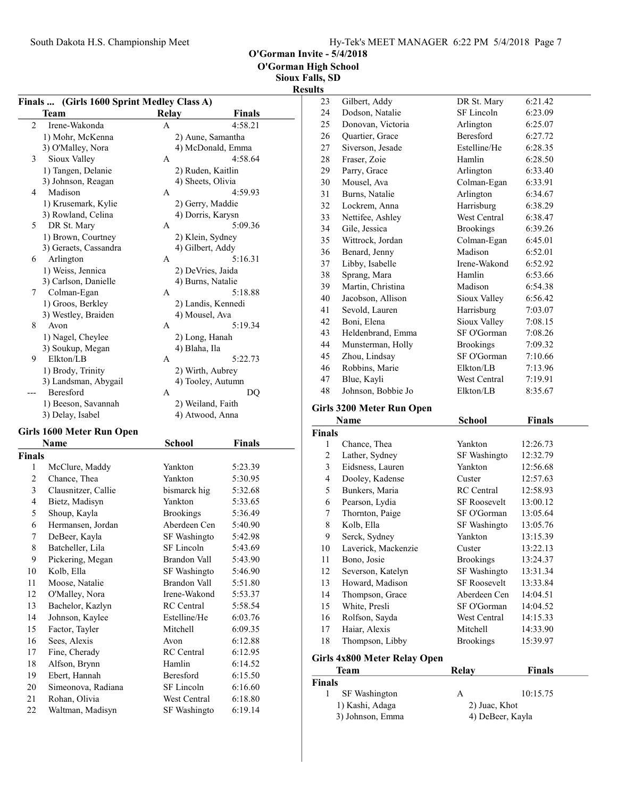O'Gorman High School

Sioux Falls, SD Results

|                | Finals  (Girls 1600 Sprint Medley Class A)<br>Team |                        | <b>Finals</b> |
|----------------|----------------------------------------------------|------------------------|---------------|
|                |                                                    | <b>Relay</b>           |               |
| $\overline{c}$ | Irene-Wakonda                                      | A                      | 4:58.21       |
|                | 1) Mohr, McKenna                                   | 2) Aune, Samantha      |               |
| 3              | 3) O'Malley, Nora                                  | 4) McDonald, Emma<br>А | 4:58.64       |
|                | Sioux Valley                                       |                        |               |
|                | 1) Tangen, Delanie                                 | 2) Ruden, Kaitlin      |               |
|                | 3) Johnson, Reagan<br>Madison                      | 4) Sheets, Olivia      |               |
| 4              |                                                    | A                      | 4:59.93       |
|                | 1) Krusemark, Kylie                                | 2) Gerry, Maddie       |               |
|                | 3) Rowland, Celina                                 | 4) Dorris, Karysn      |               |
| 5              | DR St. Mary                                        | A                      | 5:09.36       |
|                | 1) Brown, Courtney                                 | 2) Klein, Sydney       |               |
|                | 3) Geraets, Cassandra                              | 4) Gilbert, Addy       |               |
| 6              | Arlington                                          | А                      | 5:16.31       |
|                | 1) Weiss, Jennica                                  | 2) DeVries, Jaida      |               |
|                | 3) Carlson, Danielle                               | 4) Burns, Natalie      |               |
| 7              | Colman-Egan                                        | А                      | 5:18.88       |
|                | 1) Groos, Berkley                                  | 2) Landis, Kennedi     |               |
|                | 3) Westley, Braiden                                | 4) Mousel, Ava         |               |
| 8              | Avon                                               | А                      | 5:19.34       |
|                | 1) Nagel, Cheylee                                  | 2) Long, Hanah         |               |
| 9              | 3) Soukup, Megan<br>Elkton/LB                      | 4) Blaha, Ila          |               |
|                |                                                    | A                      | 5:22.73       |
|                | 1) Brody, Trinity                                  | 2) Wirth, Aubrey       |               |
|                | 3) Landsman, Abygail<br>Beresford                  | 4) Tooley, Autumn      |               |
|                |                                                    | А                      | DQ            |
|                | 1) Beeson, Savannah                                | 2) Weiland, Faith      |               |
|                | 3) Delay, Isabel                                   | 4) Atwood, Anna        |               |
|                | <b>Girls 1600 Meter Run Open</b>                   |                        |               |
| Finals         | Name                                               | School                 | Finals        |
| 1              | McClure, Maddy                                     | Yankton                | 5:23.39       |
| $\overline{c}$ | Chance, Thea                                       | Yankton                | 5:30.95       |
| 3              | Clausnitzer, Callie                                | bismarck hig           | 5:32.68       |
| 4              |                                                    | Yankton                |               |
|                | Bietz, Madisyn                                     |                        | 5:33.65       |
| 5              | Shoup, Kayla                                       | <b>Brookings</b>       | 5:36.49       |
| 6              | Hermansen, Jordan                                  | Aberdeen Cen           | 5:40.90       |
| 7              | DeBeer, Kayla                                      | SF Washingto           | 5:42.98       |
| 8              | Batcheller, Lila                                   | SF Lincoln             | 5:43.69       |
| 9              | Pickering, Megan                                   | <b>Brandon Vall</b>    | 5:43.90       |
| 10             | Kolb, Ella                                         | SF Washingto           | 5:46.90       |
| 11             | Moose, Natalie                                     | Brandon Vall           | 5:51.80       |
| 12             | O'Malley, Nora                                     | Irene-Wakond           | 5:53.37       |
| 13             | Bachelor, Kazlyn                                   | RC Central             | 5:58.54       |
| 14             | Johnson, Kaylee                                    | Estelline/He           | 6:03.76       |
| 15             | Factor, Tayler                                     | Mitchell               | 6:09.35       |
| 16             | Sees, Alexis                                       | Avon                   | 6:12.88       |
| 17             | Fine, Cherady                                      | RC Central             | 6:12.95       |
| 18             | Alfson, Brynn                                      | Hamlin                 | 6:14.52       |
| 19             | Ebert, Hannah                                      | Beresford              | 6:15.50       |
| 20             | Simeonova, Radiana                                 | SF Lincoln             | 6:16.60       |
| 21             | Rohan, Olivia                                      | West Central           | 6:18.80       |
| 22             | Waltman, Madisyn                                   | SF Washingto           | 6:19.14       |
|                |                                                    |                        |               |

| 23 | Gilbert, Addy      | DR St. Mary      | 6:21.42 |  |
|----|--------------------|------------------|---------|--|
| 24 | Dodson, Natalie    | SF Lincoln       | 6:23.09 |  |
| 25 | Donovan, Victoria  | Arlington        | 6:25.07 |  |
| 26 | Quartier, Grace    | <b>Beresford</b> | 6:27.72 |  |
| 27 | Siverson, Jesade   | Estelline/He     | 6:28.35 |  |
| 28 | Fraser, Zoie       | Hamlin           | 6:28.50 |  |
| 29 | Parry, Grace       | Arlington        | 6:33.40 |  |
| 30 | Mousel, Ava        | Colman-Egan      | 6:33.91 |  |
| 31 | Burns, Natalie     | Arlington        | 6:34.67 |  |
| 32 | Lockrem, Anna      | Harrisburg       | 6:38.29 |  |
| 33 | Nettifee, Ashley   | West Central     | 6:38.47 |  |
| 34 | Gile, Jessica      | <b>Brookings</b> | 6:39.26 |  |
| 35 | Wittrock, Jordan   | Colman-Egan      | 6:45.01 |  |
| 36 | Benard, Jenny      | Madison          | 6:52.01 |  |
| 37 | Libby, Isabelle    | Irene-Wakond     | 6:52.92 |  |
| 38 | Sprang, Mara       | Hamlin           | 6:53.66 |  |
| 39 | Martin, Christina  | Madison          | 6:54.38 |  |
| 40 | Jacobson, Allison  | Sioux Valley     | 6:56.42 |  |
| 41 | Sevold, Lauren     | Harrisburg       | 7:03.07 |  |
| 42 | Boni, Elena        | Sioux Valley     | 7:08.15 |  |
| 43 | Heldenbrand, Emma  | SF O'Gorman      | 7:08.26 |  |
| 44 | Munsterman, Holly  | <b>Brookings</b> | 7:09.32 |  |
| 45 | Zhou, Lindsay      | SF O'Gorman      | 7:10.66 |  |
| 46 | Robbins, Marie     | Elkton/LB        | 7:13.96 |  |
| 47 | Blue, Kayli        | West Central     | 7:19.91 |  |
| 48 | Johnson, Bobbie Jo | Elkton/LB        | 8:35.67 |  |
|    |                    |                  |         |  |

## Girls 3200 Meter Run Open

| Name          |                              | School              | <b>Finals</b> |  |  |
|---------------|------------------------------|---------------------|---------------|--|--|
| <b>Finals</b> |                              |                     |               |  |  |
| 1             | Chance, Thea                 | Yankton             | 12:26.73      |  |  |
| 2             | Lather, Sydney               | SF Washingto        | 12:32.79      |  |  |
| 3             | Eidsness, Lauren             | Yankton             | 12:56.68      |  |  |
| 4             | Dooley, Kadense              | Custer              | 12:57.63      |  |  |
| 5             | Bunkers, Maria               | <b>RC</b> Central   | 12:58.93      |  |  |
| 6             | Pearson, Lydia               | <b>SF Roosevelt</b> | 13:00.12      |  |  |
| 7             | Thornton, Paige              | SF O'Gorman         | 13:05.64      |  |  |
| 8             | Kolb, Ella                   | SF Washingto        | 13:05.76      |  |  |
| 9             | Serck, Sydney                | Yankton             | 13:15.39      |  |  |
| 10            | Laverick, Mackenzie          | Custer              | 13:22.13      |  |  |
| 11            | Bono, Josie                  | <b>Brookings</b>    | 13:24.37      |  |  |
| 12            | Severson, Katelyn            | SF Washingto        | 13:31.34      |  |  |
| 13            | Howard, Madison              | <b>SF Roosevelt</b> | 13:33.84      |  |  |
| 14            | Thompson, Grace              | Aberdeen Cen        | 14:04.51      |  |  |
| 15            | White, Presli                | SF O'Gorman         | 14:04.52      |  |  |
| 16            | Rolfson, Sayda               | West Central        | 14:15.33      |  |  |
| 17            | Haiar, Alexis                | Mitchell            | 14:33.90      |  |  |
| 18            | Thompson, Libby              | <b>Brookings</b>    | 15:39.97      |  |  |
|               | Girls 4x800 Meter Relay Open |                     |               |  |  |

| Team                 | Relay         | <b>Finals</b>    |
|----------------------|---------------|------------------|
| Finals               |               |                  |
| <b>SF</b> Washington | Α             | 10:15.75         |
| 1) Kashi, Adaga      | 2) Juac, Khot |                  |
| 3) Johnson, Emma     |               | 4) DeBeer, Kayla |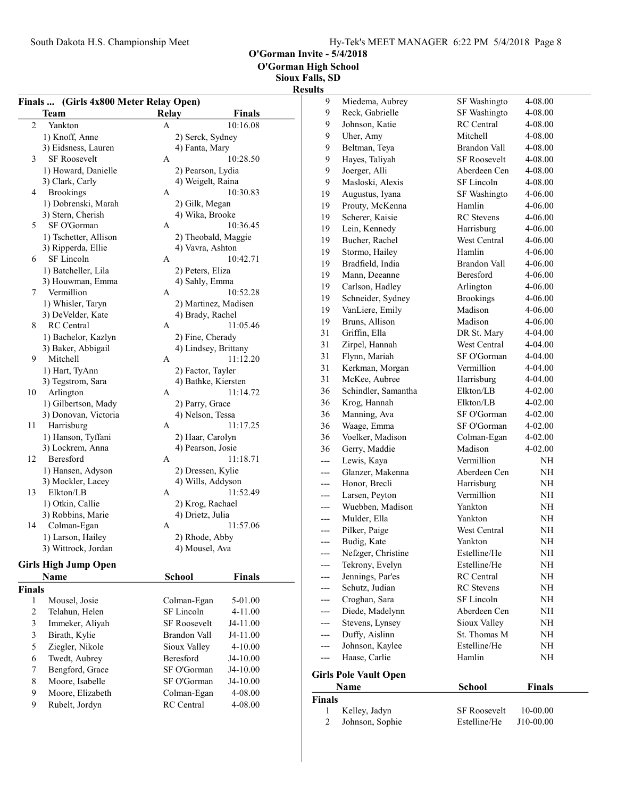9 Moore, Elizabeth Colman-Egan 4-08.00<br>9 Rubelt, Jordyn RC Central 4-08.00

Rubelt, Jordyn

O'Gorman Invite - 5/4/2018

O'Gorman High School

Sioux Falls, SD

|                |                                        |                                        |               | <b>Results</b> |                                              |                     |                    |
|----------------|----------------------------------------|----------------------------------------|---------------|----------------|----------------------------------------------|---------------------|--------------------|
|                | Finals  (Girls 4x800 Meter Relay Open) |                                        |               | 9              | Miedema, Aubrey                              | SF Washingto        | 4-08.00            |
|                | <b>Team</b>                            | Relay                                  | <b>Finals</b> | 9              | Reck, Gabrielle                              | SF Washingto        | 4-08.00            |
| 2              | Yankton                                | $\mathbf{A}$                           | 10:16.08      | 9              | Johnson, Katie                               | RC Central          | 4-08.00            |
|                | 1) Knoff, Anne                         | 2) Serck, Sydney                       |               | 9              | Uher, Amy                                    | Mitchell            | 4-08.00            |
|                | 3) Eidsness, Lauren                    | 4) Fanta, Mary                         |               | 9              | Beltman, Teya                                | <b>Brandon Vall</b> | 4-08.00            |
| 3              | <b>SF Roosevelt</b>                    | A                                      | 10:28.50      | 9              | Hayes, Taliyah                               | <b>SF Roosevelt</b> | 4-08.00            |
|                | 1) Howard, Danielle                    | 2) Pearson, Lydia                      |               | 9              | Joerger, Alli                                | Aberdeen Cen        | 4-08.00            |
|                | 3) Clark, Carly                        | 4) Weigelt, Raina                      |               | 9              | Masloski, Alexis                             | SF Lincoln          | 4-08.00            |
| 4              | <b>Brookings</b>                       | A                                      | 10:30.83      | 19             | Augustus, Iyana                              | SF Washingto        | 4-06.00            |
|                | 1) Dobrenski, Marah                    | 2) Gilk, Megan                         |               | 19             | Prouty, McKenna                              | Hamlin              | 4-06.00            |
|                | 3) Stern, Cherish                      | 4) Wika, Brooke                        |               | 19             | Scherer, Kaisie                              | <b>RC</b> Stevens   | 4-06.00            |
| 5              | SF O'Gorman                            | $\mathbf{A}$                           | 10:36.45      | 19             | Lein, Kennedy                                | Harrisburg          | 4-06.00            |
|                | 1) Tschetter, Allison                  | 2) Theobald, Maggie                    |               | 19             | Bucher, Rachel                               | West Central        | 4-06.00            |
|                | 3) Ripperda, Ellie                     | 4) Vavra, Ashton                       |               | 19             | Stormo, Hailey                               | Hamlin              | 4-06.00            |
| 6              | SF Lincoln                             | $\mathbf{A}$                           | 10:42.71      | 19             | Bradfield, India                             | Brandon Vall        | 4-06.00            |
|                | 1) Batcheller, Lila                    | 2) Peters, Eliza                       |               | 19             | Mann, Deeanne                                | Beresford           | 4-06.00            |
|                | 3) Houwman, Emma                       | 4) Sahly, Emma                         |               | 19             | Carlson, Hadley                              | Arlington           | 4-06.00            |
| 7              | Vermillion                             | A                                      | 10:52.28      | 19             | Schneider, Sydney                            | <b>Brookings</b>    | 4-06.00            |
|                | 1) Whisler, Taryn                      | 2) Martinez, Madisen                   |               | 19             | VanLiere, Emily                              | Madison             | 4-06.00            |
|                | 3) DeVelder, Kate                      | 4) Brady, Rachel                       |               | 19             | Bruns, Allison                               | Madison             | 4-06.00            |
| 8              | RC Central                             | A                                      | 11:05.46      | 31             | Griffin, Ella                                | DR St. Mary         | 4-04.00            |
|                | 1) Bachelor, Kazlyn                    | 2) Fine, Cherady                       |               | 31             | Zirpel, Hannah                               | West Central        | 4-04.00            |
|                | 3) Baker, Abbigail                     | 4) Lindsey, Brittany                   |               | 31             | Flynn, Mariah                                | SF O'Gorman         | 4-04.00            |
| 9              | Mitchell                               | A                                      | 11:12.20      | 31             | Kerkman, Morgan                              | Vermillion          | 4-04.00            |
|                | 1) Hart, TyAnn                         | 2) Factor, Tayler                      |               | 31             | McKee, Aubree                                | Harrisburg          | 4-04.00            |
|                | 3) Tegstrom, Sara                      | 4) Bathke, Kiersten                    |               | 36             | Schindler, Samantha                          | Elkton/LB           | 4-02.00            |
| 10             | Arlington                              | $\mathbf{A}$                           | 11:14.72      |                |                                              |                     |                    |
|                | 1) Gilbertson, Mady                    | 2) Parry, Grace                        |               | 36             | Krog, Hannah                                 | Elkton/LB           | 4-02.00            |
|                | 3) Donovan, Victoria                   | 4) Nelson, Tessa                       |               | 36             | Manning, Ava                                 | SF O'Gorman         | 4-02.00            |
| 11             | Harrisburg                             | A                                      | 11:17.25      | 36             | Waage, Emma                                  | SF O'Gorman         | 4-02.00            |
|                | 1) Hanson, Tyffani                     | 2) Haar, Carolyn                       |               | 36             | Voelker, Madison                             | Colman-Egan         | 4-02.00            |
|                | 3) Lockrem, Anna<br>Beresford          | 4) Pearson, Josie                      | 11:18.71      | 36             | Gerry, Maddie                                | Madison             | 4-02.00            |
| 12             |                                        | A                                      |               | $---$          | Lewis, Kaya                                  | Vermillion          | $\rm NH$           |
|                | 1) Hansen, Adyson<br>3) Mockler, Lacey | 2) Dressen, Kylie<br>4) Wills, Addyson |               | $---$          | Glanzer, Makenna                             | Aberdeen Cen        | NH                 |
| 13             | Elkton/LB                              | A                                      | 11:52.49      | ---            | Honor, Brecli                                | Harrisburg          | $\rm NH$           |
|                | 1) Otkin, Callie                       | 2) Krog, Rachael                       |               | ---            | Larsen, Peyton                               | Vermillion          | NH                 |
|                | 3) Robbins, Marie                      | 4) Drietz, Julia                       |               | $---$          | Wuebben, Madison                             | Yankton             | NH                 |
| 14             | Colman-Egan                            | A                                      | 11:57.06      | ---            | Mulder, Ella                                 | Yankton             | NH                 |
|                | 1) Larson, Hailey                      | 2) Rhode, Abby                         |               | ---            | Pilker, Paige                                | West Central        | NH                 |
|                | 3) Wittrock, Jordan                    | 4) Mousel, Ava                         |               | ---            | Budig, Kate                                  | Yankton             | $\rm NH$           |
|                |                                        |                                        |               | ---            | Nefzger, Christine                           | Estelline/He        | $\rm NH$           |
|                | <b>Girls High Jump Open</b>            |                                        |               | ---            | Tekrony, Evelyn                              | Estelline/He        | $\rm NH$           |
|                | Name                                   | <b>School</b>                          | <b>Finals</b> | ---            | Jennings, Par'es                             | RC Central          | NH                 |
| <b>Finals</b>  |                                        |                                        |               | $---$          | Schutz, Judian                               | RC Stevens          | NH                 |
| 1              | Mousel, Josie                          | Colman-Egan                            | 5-01.00       | ---            | Croghan, Sara                                | SF Lincoln          | $\rm NH$           |
| $\overline{c}$ | Telahun, Helen                         | SF Lincoln                             | 4-11.00       | ---            | Diede, Madelynn                              | Aberdeen Cen        | $\rm NH$           |
| 3              | Immeker, Aliyah                        | SF Roosevelt                           | J4-11.00      | ---            | Stevens, Lynsey                              | Sioux Valley        | $\rm NH$           |
| 3              | Birath, Kylie                          | Brandon Vall                           | J4-11.00      | $---$          | Duffy, Aislinn                               | St. Thomas M        | NH                 |
| 5              | Ziegler, Nikole                        | Sioux Valley                           | $4 - 10.00$   | ---            | Johnson, Kaylee                              | Estelline/He        | $\rm NH$           |
| 6              | Twedt, Aubrey                          | Beresford                              | J4-10.00      | $---$          | Haase, Carlie                                | Hamlin              | NH                 |
| 7              | Bengford, Grace                        | SF O'Gorman                            | J4-10.00      |                |                                              |                     |                    |
| 8              | Moore, Isabelle                        | SF O'Gorman                            | J4-10.00      |                | <b>Girls Pole Vault Open</b><br>$\mathbf{N}$ | $C_1$ $C_2$ $C_3$   | $E_{\text{total}}$ |

|               | <b>Name</b>     | School              | <b>Finals</b> |  |
|---------------|-----------------|---------------------|---------------|--|
| <b>Finals</b> |                 |                     |               |  |
| $\mathbf{1}$  | Kelley, Jadyn   | <b>SF Roosevelt</b> | $10-00.00$    |  |
| 2             | Johnson, Sophie | Estelline/He        | J10-00.00     |  |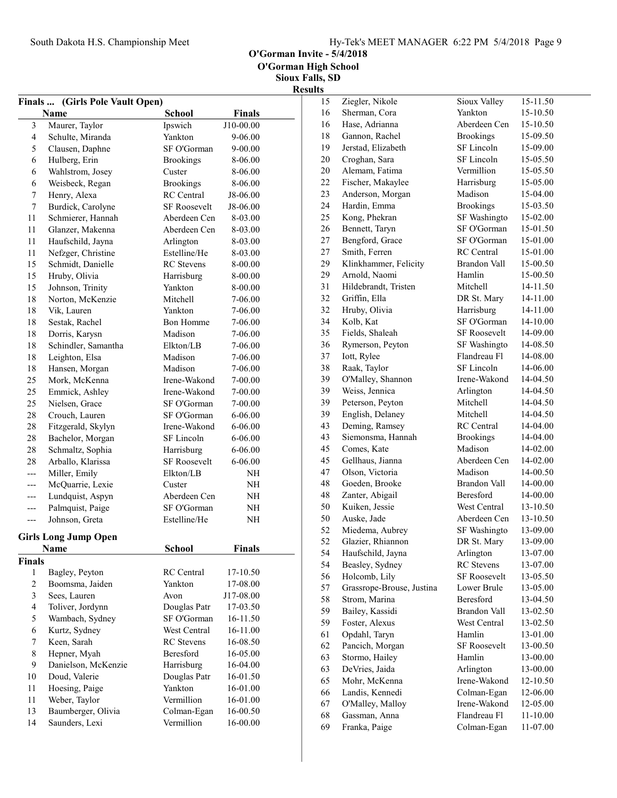O'Gorman High School

| Finals         |                                            |                                       |               |  |  |
|----------------|--------------------------------------------|---------------------------------------|---------------|--|--|
|                | (Girls Pole Vault Open)<br><b>Name</b>     | <b>School</b>                         | <b>Finals</b> |  |  |
| 3              | Maurer, Taylor                             | Ipswich                               | J10-00.00     |  |  |
| $\overline{4}$ | Schulte, Miranda                           | Yankton                               | 9-06.00       |  |  |
| 5              | Clausen, Daphne                            | SF O'Gorman                           | 9-00.00       |  |  |
| 6              | Hulberg, Erin                              | <b>Brookings</b>                      | 8-06.00       |  |  |
| 6              |                                            | Custer                                | 8-06.00       |  |  |
| 6              | Wahlstrom, Josey                           |                                       |               |  |  |
|                | Weisbeck, Regan                            | <b>Brookings</b><br><b>RC</b> Central | 8-06.00       |  |  |
| 7              | Henry, Alexa                               |                                       | J8-06.00      |  |  |
| 7              | Burdick, Carolyne                          | <b>SF Roosevelt</b>                   | J8-06.00      |  |  |
| 11             | Schmierer, Hannah                          | Aberdeen Cen                          | 8-03.00       |  |  |
| 11             | Glanzer, Makenna                           | Aberdeen Cen                          | 8-03.00       |  |  |
| 11             | Haufschild, Jayna                          | Arlington                             | 8-03.00       |  |  |
| 11             | Nefzger, Christine                         | Estelline/He                          | 8-03.00       |  |  |
| 15             | Schmidt, Danielle                          | <b>RC</b> Stevens                     | 8-00.00       |  |  |
| 15             | Hruby, Olivia                              | Harrisburg                            | 8-00.00       |  |  |
| 15             | Johnson, Trinity                           | Yankton                               | 8-00.00       |  |  |
| 18             | Norton, McKenzie                           | <b>Mitchell</b>                       | 7-06.00       |  |  |
| 18             | Vik, Lauren                                | Yankton                               | 7-06.00       |  |  |
| 18             | Sestak, Rachel                             | <b>Bon Homme</b>                      | 7-06.00       |  |  |
| 18             | Dorris, Karysn                             | Madison                               | 7-06.00       |  |  |
| 18             | Schindler, Samantha                        | Elkton/LB                             | 7-06.00       |  |  |
| 18             | Leighton, Elsa                             | Madison                               | 7-06.00       |  |  |
| 18             | Hansen, Morgan                             | Madison                               | 7-06.00       |  |  |
| 25             | Mork, McKenna                              | Irene-Wakond                          | 7-00.00       |  |  |
| 25             | Emmick, Ashley                             | Irene-Wakond                          | 7-00.00       |  |  |
| 25             | Nielsen, Grace                             | SF O'Gorman                           | 7-00.00       |  |  |
| 28             | Crouch, Lauren                             | SF O'Gorman                           | 6-06.00       |  |  |
| 28             | Fitzgerald, Skylyn                         | Irene-Wakond                          | 6-06.00       |  |  |
| 28             | Bachelor, Morgan                           | SF Lincoln                            | 6-06.00       |  |  |
| 28             | Schmaltz, Sophia                           | Harrisburg                            | 6-06.00       |  |  |
| 28             | Arballo, Klarissa                          | <b>SF Roosevelt</b>                   | 6-06.00       |  |  |
| $---$          | Miller, Emily                              | Elkton/LB                             | NH            |  |  |
| ---            | McQuarrie, Lexie                           | Custer                                | NH            |  |  |
| ---            | Lundquist, Aspyn                           | Aberdeen Cen                          | NH            |  |  |
| $---$          | Palmquist, Paige                           | SF O'Gorman                           | NH            |  |  |
| ---            | Johnson, Greta                             | Estelline/He                          | NH            |  |  |
|                |                                            |                                       |               |  |  |
|                | <b>Girls Long Jump Open</b><br><b>Name</b> | <b>School</b>                         | <b>Finals</b> |  |  |
| <b>Finals</b>  |                                            |                                       |               |  |  |
| 1              | Bagley, Peyton                             | <b>RC</b> Central                     | 17-10.50      |  |  |
| $\overline{c}$ | Boomsma, Jaiden                            | Yankton                               | 17-08.00      |  |  |
| $\mathfrak{Z}$ | Sees, Lauren                               | Avon                                  | J17-08.00     |  |  |
| $\overline{4}$ |                                            | Douglas Patr                          | 17-03.50      |  |  |
|                | Toliver, Jordynn                           |                                       |               |  |  |
| 5              | Wambach, Sydney                            | SF O'Gorman                           | 16-11.50      |  |  |
| 6              | Kurtz, Sydney                              | West Central                          | 16-11.00      |  |  |
| 7              | Keen, Sarah                                | <b>RC</b> Stevens                     | 16-08.50      |  |  |
| 8              | Hepner, Myah                               | <b>Beresford</b>                      | 16-05.00      |  |  |
| 9              | Danielson, McKenzie                        | Harrisburg                            | 16-04.00      |  |  |
| 10             | Doud, Valerie                              | Douglas Patr                          | 16-01.50      |  |  |
| 11             | Hoesing, Paige                             | Yankton                               | 16-01.00      |  |  |
| 11             | Weber, Taylor                              | Vermillion                            | 16-01.00      |  |  |
| 13             | Baumberger, Olivia                         | Colman-Egan                           | 16-00.50      |  |  |
| 14             | Saunders, Lexi                             | Vermillion                            | 16-00.00      |  |  |

| 15 | Ziegler, Nikole           | Sioux Valley        | 15-11.50 |
|----|---------------------------|---------------------|----------|
| 16 | Sherman, Cora             | Yankton             | 15-10.50 |
| 16 | Hase, Adrianna            | Aberdeen Cen        | 15-10.50 |
| 18 | Gannon, Rachel            | <b>Brookings</b>    | 15-09.50 |
| 19 | Jerstad, Elizabeth        | SF Lincoln          | 15-09.00 |
| 20 | Croghan, Sara             | SF Lincoln          | 15-05.50 |
| 20 | Alemam, Fatima            | Vermillion          | 15-05.50 |
| 22 | Fischer, Makaylee         | Harrisburg          | 15-05.00 |
| 23 | Anderson, Morgan          | Madison             | 15-04.00 |
| 24 | Hardin, Emma              | <b>Brookings</b>    | 15-03.50 |
| 25 | Kong, Phekran             | SF Washingto        | 15-02.00 |
| 26 | Bennett, Taryn            | SF O'Gorman         | 15-01.50 |
| 27 | Bengford, Grace           | SF O'Gorman         | 15-01.00 |
| 27 | Smith, Ferren             | <b>RC</b> Central   | 15-01.00 |
| 29 | Klinkhammer, Felicity     | Brandon Vall        | 15-00.50 |
| 29 | Arnold, Naomi             | Hamlin              | 15-00.50 |
| 31 | Hildebrandt, Tristen      | Mitchell            | 14-11.50 |
| 32 | Griffin, Ella             | DR St. Mary         | 14-11.00 |
| 32 | Hruby, Olivia             | Harrisburg          | 14-11.00 |
| 34 | Kolb, Kat                 | SF O'Gorman         | 14-10.00 |
| 35 | Fields, Shaleah           | <b>SF Roosevelt</b> | 14-09.00 |
| 36 | Rymerson, Peyton          | SF Washingto        | 14-08.50 |
| 37 | Iott, Rylee               | Flandreau Fl        | 14-08.00 |
| 38 | Raak, Taylor              | SF Lincoln          | 14-06.00 |
| 39 | O'Malley, Shannon         | Irene-Wakond        | 14-04.50 |
| 39 | Weiss, Jennica            | Arlington           | 14-04.50 |
| 39 | Peterson, Peyton          | Mitchell            | 14-04.50 |
| 39 | English, Delaney          | Mitchell            | 14-04.50 |
| 43 | Deming, Ramsey            | <b>RC</b> Central   | 14-04.00 |
| 43 | Siemonsma, Hannah         | <b>Brookings</b>    | 14-04.00 |
| 45 | Comes, Kate               | Madison             | 14-02.00 |
| 45 | Gellhaus, Jianna          | Aberdeen Cen        | 14-02.00 |
| 47 | Olson, Victoria           | Madison             | 14-00.50 |
| 48 | Goeden, Brooke            | Brandon Vall        | 14-00.00 |
| 48 | Zanter, Abigail           | <b>Beresford</b>    | 14-00.00 |
| 50 | Kuiken, Jessie            | West Central        | 13-10.50 |
| 50 | Auske, Jade               | Aberdeen Cen        | 13-10.50 |
| 52 | Miedema, Aubrey           | SF Washingto        | 13-09.00 |
| 52 | Glazier, Rhiannon         | DR St. Mary         | 13-09.00 |
| 54 | Haufschild, Jayna         | Arlington           | 13-07.00 |
| 54 | Beasley, Sydney           | <b>RC</b> Stevens   | 13-07.00 |
| 56 | Holcomb, Lily             | <b>SF Roosevelt</b> | 13-05.50 |
| 57 | Grassrope-Brouse, Justina | Lower Brule         | 13-05.00 |
| 58 | Strom, Marina             | Beresford           | 13-04.50 |
| 59 | Bailey, Kassidi           | Brandon Vall        | 13-02.50 |
| 59 | Foster, Alexus            | West Central        | 13-02.50 |
| 61 | Opdahl, Taryn             | Hamlin              | 13-01.00 |
| 62 | Pancich, Morgan           | <b>SF Roosevelt</b> | 13-00.50 |
| 63 | Stormo, Hailey            | Hamlin              | 13-00.00 |
| 63 | DeVries, Jaida            | Arlington           | 13-00.00 |
| 65 | Mohr, McKenna             | Irene-Wakond        | 12-10.50 |
| 66 | Landis, Kennedi           | Colman-Egan         | 12-06.00 |
| 67 | O'Malley, Malloy          | Irene-Wakond        | 12-05.00 |
| 68 | Gassman, Anna             | Flandreau Fl        | 11-10.00 |
| 69 | Franka, Paige             | Colman-Egan         | 11-07.00 |
|    |                           |                     |          |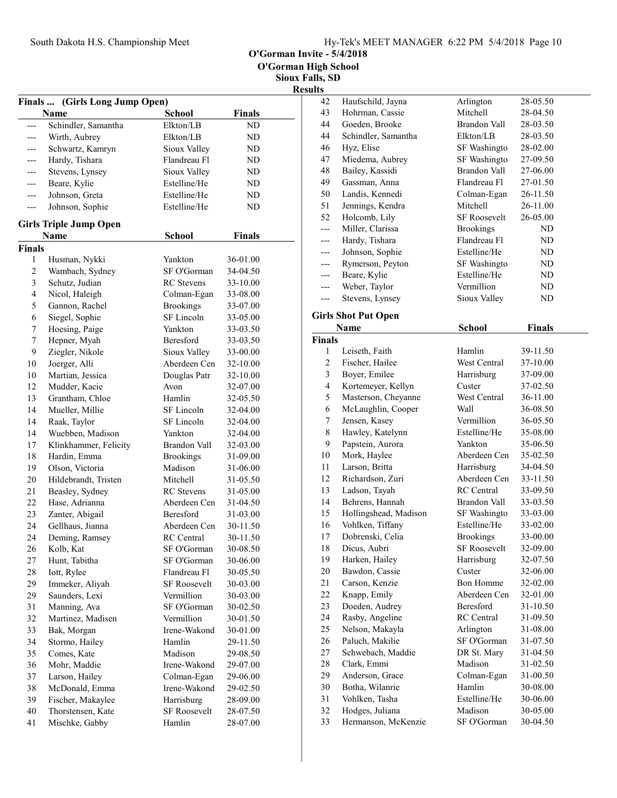O'Gorman Invite - 5/4/2018

|                     |                                          |                        |                      | $\mathbf{R}$ |
|---------------------|------------------------------------------|------------------------|----------------------|--------------|
|                     | (Girls Long Jump Open)<br>Finals<br>Name | <b>School</b>          | <b>Finals</b>        |              |
|                     | Schindler, Samantha                      | Elkton/LB              | ND                   |              |
| ---                 | Wirth, Aubrey                            | Elkton/LB              | ND                   |              |
| ---                 | Schwartz, Kamryn                         | Sioux Valley           | ND                   |              |
|                     | Hardy, Tishara                           | Flandreau Fl           | ND                   |              |
| ---                 | Stevens, Lynsey                          | Sioux Valley           | ND                   |              |
| ---                 | Beare, Kylie                             | Estelline/He           | ND                   |              |
| ---                 | Johnson, Greta                           | Estelline/He           | ND                   |              |
| $---$               | Johnson, Sophie                          | Estelline/He           | ND                   |              |
|                     | <b>Girls Triple Jump Open</b>            |                        |                      |              |
|                     | <b>Name</b>                              | <b>School</b>          | <b>Finals</b>        |              |
| <b>Finals</b>       |                                          |                        |                      |              |
| 1<br>$\overline{c}$ | Husman, Nykki                            | Yankton<br>SF O'Gorman | 36-01.00<br>34-04.50 |              |
|                     | Wambach, Sydney                          |                        |                      |              |
| 3                   | Schutz, Judian                           | <b>RC</b> Stevens      | 33-10.00             |              |
| $\overline{4}$      | Nicol, Haleigh                           | Colman-Egan            | 33-08.00             |              |
| 5                   | Gannon, Rachel                           | <b>Brookings</b>       | 33-07.00             |              |
| 6                   | Siegel, Sophie                           | SF Lincoln             | 33-05.00             |              |
| 7                   | Hoesing, Paige                           | Yankton                | 33-03.50             |              |
| 7                   | Hepner, Myah                             | Beresford              | 33-03.50             |              |
| 9                   | Ziegler, Nikole                          | Sioux Valley           | 33-00.00             |              |
| 10                  | Joerger, Alli                            | Aberdeen Cen           | 32-10.00             |              |
| 10                  | Martian, Jessica                         | Douglas Patr           | 32-10.00             |              |
| 12                  | Mudder, Kacie                            | Avon                   | 32-07.00             |              |
| 13                  | Grantham, Chloe                          | Hamlin                 | 32-05.50             |              |
| 14                  | Mueller, Millie                          | SF Lincoln             | 32-04.00             |              |
| 14                  | Raak, Taylor                             | SF Lincoln             | 32-04.00             |              |
| 14                  | Wuebben, Madison                         | Yankton                | 32-04.00             |              |
| 17                  | Klinkhammer, Felicity                    | Brandon Vall           | 32-03.00             |              |
| 18                  | Hardin, Emma                             | <b>Brookings</b>       | 31-09.00             |              |
| 19                  | Olson, Victoria                          | Madison                | 31-06.00             |              |
| 20                  | Hildebrandt, Tristen                     | Mitchell               | 31-05.50             |              |
| 21                  | Beasley, Sydney                          | <b>RC</b> Stevens      | 31-05.00             |              |
| 22                  | Hase, Adrianna                           | Aberdeen Cen           | 31-04.50             |              |
| 23                  | Zanter, Abigail                          | Beresford              | 31-03.00             |              |
| 24                  | Gellhaus, Jianna                         | Aberdeen Cen           | 30-11.50             |              |
| 24                  | Deming, Ramsey                           | RC Central             | 30-11.50             |              |
| 26                  | Kolb, Kat                                | SF O'Gorman            | 30-08.50             |              |
| 27                  | Hunt, Tabitha                            | SF O'Gorman            | 30-06.00             |              |
| 28                  | Iott, Rylee                              | Flandreau Fl           | 30-05.50             |              |
| 29                  | Immeker, Aliyah                          | SF Roosevelt           | 30-03.00             |              |
| 29                  | Saunders, Lexi                           | Vermillion             | 30-03.00             |              |
| 31                  | Manning, Ava                             | SF O'Gorman            | 30-02.50             |              |
| 32                  | Martinez, Madisen                        | Vermillion             | 30-01.50             |              |
| 33                  | Bak, Morgan                              | Irene-Wakond           | 30-01.00             |              |
| 34                  | Stormo, Hailey                           | Hamlin                 | 29-11.50             |              |
| 35                  | Comes, Kate                              | Madison                | 29-08.50             |              |
| 36                  | Mohr, Maddie                             | Irene-Wakond           | 29-07.00             |              |
| 37                  | Larson, Hailey                           | Colman-Egan            | 29-06.00             |              |
| 38                  | McDonald, Emma                           | Irene-Wakond           | 29-02.50             |              |
| 39                  | Fischer, Makaylee                        | Harrisburg             | 28-09.00             |              |
| 40                  | Thorstensen, Kate                        | SF Roosevelt           | 28-07.50             |              |
| 41                  | Mischke, Gabby                           | Hamlin                 | 28-07.00             |              |

| Haufschild, Jayna<br>42<br>Arlington<br>28-05.50<br>Mitchell<br>43<br>Hohrman, Cassie<br>28-04.50<br>44<br>Goeden, Brooke<br>Brandon Vall<br>28-03.50<br>44<br>Schindler, Samantha<br>Elkton/LB<br>28-03.50<br>46<br>Hyz, Elise<br>SF Washingto<br>28-02.00<br>47<br>Miedema, Aubrey<br>SF Washingto<br>27-09.50<br>Bailey, Kassidi<br><b>Brandon Vall</b><br>48<br>27-06.00<br>Gassman, Anna<br>49<br>Flandreau Fl<br>27-01.50 |               |
|---------------------------------------------------------------------------------------------------------------------------------------------------------------------------------------------------------------------------------------------------------------------------------------------------------------------------------------------------------------------------------------------------------------------------------|---------------|
|                                                                                                                                                                                                                                                                                                                                                                                                                                 |               |
|                                                                                                                                                                                                                                                                                                                                                                                                                                 |               |
|                                                                                                                                                                                                                                                                                                                                                                                                                                 |               |
|                                                                                                                                                                                                                                                                                                                                                                                                                                 |               |
|                                                                                                                                                                                                                                                                                                                                                                                                                                 |               |
|                                                                                                                                                                                                                                                                                                                                                                                                                                 |               |
|                                                                                                                                                                                                                                                                                                                                                                                                                                 |               |
|                                                                                                                                                                                                                                                                                                                                                                                                                                 |               |
| 50<br>Landis, Kennedi<br>26-11.50<br>Colman-Egan                                                                                                                                                                                                                                                                                                                                                                                |               |
| Mitchell<br>51<br>Jennings, Kendra<br>26-11.00                                                                                                                                                                                                                                                                                                                                                                                  |               |
| 52<br>Holcomb, Lily<br><b>SF Roosevelt</b><br>26-05.00                                                                                                                                                                                                                                                                                                                                                                          |               |
| Miller, Clarissa<br><b>Brookings</b><br>---                                                                                                                                                                                                                                                                                                                                                                                     | ND            |
| Hardy, Tishara<br>Flandreau Fl<br>---                                                                                                                                                                                                                                                                                                                                                                                           | ND            |
| Johnson, Sophie<br>Estelline/He                                                                                                                                                                                                                                                                                                                                                                                                 | ND            |
| Rymerson, Peyton<br>SF Washingto<br>---                                                                                                                                                                                                                                                                                                                                                                                         | ND            |
| Beare, Kylie<br>Estelline/He<br>---                                                                                                                                                                                                                                                                                                                                                                                             | ND            |
| Weber, Taylor<br>Vermillion<br>---                                                                                                                                                                                                                                                                                                                                                                                              | ND            |
| Stevens, Lynsey<br>Sioux Valley<br>---                                                                                                                                                                                                                                                                                                                                                                                          | ND            |
|                                                                                                                                                                                                                                                                                                                                                                                                                                 |               |
| <b>Girls Shot Put Open</b>                                                                                                                                                                                                                                                                                                                                                                                                      |               |
| <b>Name</b><br><b>School</b>                                                                                                                                                                                                                                                                                                                                                                                                    | <b>Finals</b> |
| <b>Finals</b>                                                                                                                                                                                                                                                                                                                                                                                                                   |               |
| Hamlin<br>39-11.50<br>1<br>Leiseth, Faith                                                                                                                                                                                                                                                                                                                                                                                       |               |
| $\overline{c}$<br>Fischer, Hailee<br>West Central<br>37-10.00                                                                                                                                                                                                                                                                                                                                                                   |               |
| 3<br>Boyer, Emilee<br>Harrisburg<br>37-09.00                                                                                                                                                                                                                                                                                                                                                                                    |               |
| 4<br>Kortemeyer, Kellyn<br>37-02.50<br>Custer                                                                                                                                                                                                                                                                                                                                                                                   |               |
| 5<br>Masterson, Cheyanne<br>West Central<br>36-11.00                                                                                                                                                                                                                                                                                                                                                                            |               |
| 6<br>McLaughlin, Cooper<br>36-08.50<br>Wall                                                                                                                                                                                                                                                                                                                                                                                     |               |
|                                                                                                                                                                                                                                                                                                                                                                                                                                 |               |
| Jensen, Kasey<br>Vermillion<br>36-05.50<br>7                                                                                                                                                                                                                                                                                                                                                                                    |               |
| Estelline/He<br>8<br>Hawley, Katelynn<br>35-08.00                                                                                                                                                                                                                                                                                                                                                                               |               |
| Papstein, Aurora<br>9<br>Yankton<br>35-06.50                                                                                                                                                                                                                                                                                                                                                                                    |               |
| Aberdeen Cen<br>10<br>Mork, Haylee<br>35-02.50                                                                                                                                                                                                                                                                                                                                                                                  |               |
| Larson, Britta<br>Harrisburg<br>34-04.50<br>11                                                                                                                                                                                                                                                                                                                                                                                  |               |
| Aberdeen Cen<br>12<br>Richardson, Zuri<br>33-11.50                                                                                                                                                                                                                                                                                                                                                                              |               |
| 13<br>Ladson, Tayah<br><b>RC</b> Central<br>33-09.50                                                                                                                                                                                                                                                                                                                                                                            |               |
| Behrens, Hannah<br>14<br>Brandon Vall<br>33-03.50                                                                                                                                                                                                                                                                                                                                                                               |               |
| Hollingshead, Madison<br>15<br>SF Washingto<br>33-03.00                                                                                                                                                                                                                                                                                                                                                                         |               |
| Vohlken, Tiffany<br>Estelline/He<br>16<br>33-02.00                                                                                                                                                                                                                                                                                                                                                                              |               |
| Dobrenski, Celia<br><b>Brookings</b><br>33-00.00<br>17                                                                                                                                                                                                                                                                                                                                                                          |               |
| 18<br>Dicus, Aubri<br><b>SF Roosevelt</b><br>32-09.00                                                                                                                                                                                                                                                                                                                                                                           |               |
| 32-07.50<br>19<br>Harken, Hailey<br>Harrisburg                                                                                                                                                                                                                                                                                                                                                                                  |               |
| Bawdon, Cassie<br>20<br>Custer<br>32-06.00                                                                                                                                                                                                                                                                                                                                                                                      |               |
| 21<br>Carson, Kenzie<br><b>Bon Homme</b><br>32-02.00                                                                                                                                                                                                                                                                                                                                                                            |               |
| 22<br>Knapp, Emily<br>Aberdeen Cen<br>32-01.00                                                                                                                                                                                                                                                                                                                                                                                  |               |
| Doeden, Audrey<br>23<br>Beresford<br>31-10.50                                                                                                                                                                                                                                                                                                                                                                                   |               |
| 24<br>Rasby, Angeline<br><b>RC</b> Central<br>31-09.50                                                                                                                                                                                                                                                                                                                                                                          |               |
| 25<br>Nelson, Makayla<br>Arlington<br>31-08.00                                                                                                                                                                                                                                                                                                                                                                                  |               |
| 26<br>Paluch, Makilie<br>SF O'Gorman<br>31-07.50                                                                                                                                                                                                                                                                                                                                                                                |               |
| 27<br>Schwebach, Maddie<br>DR St. Mary<br>31-04.50                                                                                                                                                                                                                                                                                                                                                                              |               |
| 28<br>Clark, Emmi<br>Madison<br>31-02.50                                                                                                                                                                                                                                                                                                                                                                                        |               |
| 29<br>Anderson, Grace<br>Colman-Egan<br>31-00.50                                                                                                                                                                                                                                                                                                                                                                                |               |
| Botha, Wilanrie<br>30<br>Hamlin<br>30-08.00                                                                                                                                                                                                                                                                                                                                                                                     |               |
| 31<br>Vohlken, Tasha<br>Estelline/He<br>30-06.00                                                                                                                                                                                                                                                                                                                                                                                |               |
| Hodges, Juliana<br>32<br>Madison<br>30-05.00<br>Hermanson, McKenzie<br>33<br>SF O'Gorman<br>30-04.50                                                                                                                                                                                                                                                                                                                            |               |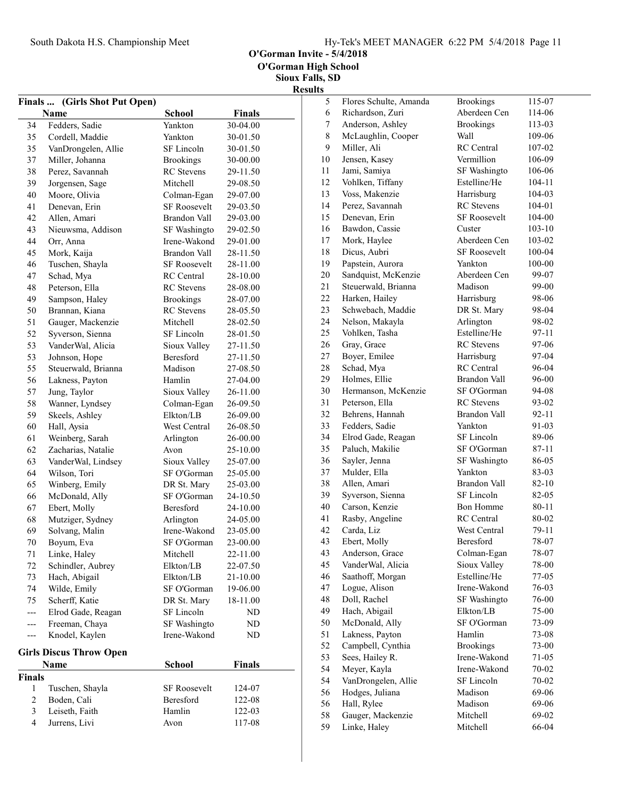O'Gorman Invite - 5/4/2018

|                                | Finals  (Girls Shot Put Open) |                     |               |
|--------------------------------|-------------------------------|---------------------|---------------|
|                                | Name                          | <b>School</b>       | <b>Finals</b> |
| 34                             | Fedders, Sadie                | Yankton             | 30-04.00      |
| 35                             | Cordell, Maddie               | Yankton             | 30-01.50      |
| 35                             | VanDrongelen, Allie           | SF Lincoln          | 30-01.50      |
| 37                             | Miller, Johanna               | <b>Brookings</b>    | 30-00.00      |
| 38                             | Perez, Savannah               | <b>RC</b> Stevens   | 29-11.50      |
| 39                             | Jorgensen, Sage               | Mitchell            | 29-08.50      |
| 40                             | Moore, Olivia                 | Colman-Egan         | 29-07.00      |
| 41                             | Denevan, Erin                 | <b>SF Roosevelt</b> | 29-03.50      |
| 42                             | Allen, Amari                  | Brandon Vall        | 29-03.00      |
| 43                             | Nieuwsma, Addison             | SF Washingto        | 29-02.50      |
| 44                             | Orr, Anna                     | Irene-Wakond        | 29-01.00      |
| 45                             | Mork, Kaija                   | Brandon Vall        | 28-11.50      |
| 46                             | Tuschen, Shayla               | <b>SF Roosevelt</b> | 28-11.00      |
| 47                             | Schad, Mya                    | <b>RC</b> Central   | 28-10.00      |
| 48                             | Peterson, Ella                | <b>RC</b> Stevens   | 28-08.00      |
| 49                             | Sampson, Haley                | <b>Brookings</b>    | 28-07.00      |
| 50                             | Brannan, Kiana                | <b>RC</b> Stevens   | 28-05.50      |
| 51                             | Gauger, Mackenzie             | Mitchell            | 28-02.50      |
| 52                             | Syverson, Sienna              | SF Lincoln          | 28-01.50      |
| 53                             | VanderWal, Alicia             | Sioux Valley        | 27-11.50      |
| 53                             | Johnson, Hope                 | <b>Beresford</b>    | 27-11.50      |
| 55                             | Steuerwald, Brianna           | Madison             | 27-08.50      |
| 56                             | Lakness, Payton               | Hamlin              | 27-04.00      |
| 57                             | Jung, Taylor                  | Sioux Valley        | 26-11.00      |
| 58                             | Wanner, Lyndsey               | Colman-Egan         | 26-09.50      |
| 59                             | Skeels, Ashley                | Elkton/LB           | 26-09.00      |
| 60                             | Hall, Aysia                   | West Central        | 26-08.50      |
| 61                             | Weinberg, Sarah               | Arlington           | 26-00.00      |
| 62                             | Zacharias, Natalie            | Avon                | 25-10.00      |
| 63                             | VanderWal, Lindsey            | Sioux Valley        | 25-07.00      |
| 64                             | Wilson, Tori                  | SF O'Gorman         | 25-05.00      |
| 65                             | Winberg, Emily                | DR St. Mary         | 25-03.00      |
| 66                             | McDonald, Ally                | SF O'Gorman         | 24-10.50      |
| 67                             | Ebert, Molly                  | Beresford           | 24-10.00      |
| 68                             | Mutziger, Sydney              | Arlington           | 24-05.00      |
| 69                             | Solvang, Malin                | Irene-Wakond        | 23-05.00      |
| $70\,$                         | Boyum, Eva                    | SF O'Gorman         | 23-00.00      |
| 71                             | Linke, Haley                  | Mitchell            | 22-11.00      |
| 72                             | Schindler, Aubrey             | Elkton/LB           | 22-07.50      |
| 73                             | Hach, Abigail                 | Elkton/LB           | 21-10.00      |
| 74                             | Wilde, Emily                  | SF O'Gorman         | 19-06.00      |
| 75                             | Scherff, Katie                | DR St. Mary         | 18-11.00      |
| ---                            | Elrod Gade, Reagan            | SF Lincoln          | ND            |
| ---                            | Freeman, Chaya                | SF Washingto        | ND            |
| ---                            | Knodel, Kaylen                | Irene-Wakond        | ND            |
|                                |                               |                     |               |
| <b>Girls Discus Throw Open</b> |                               |                     |               |
|                                | Name                          | <b>School</b>       | Finals        |
| Finals<br>1                    | Tuschen, Shayla               | SF Roosevelt        | 124-07        |
| $\sqrt{2}$                     | Boden, Cali                   | Beresford           | 122-08        |
| 3                              | Leiseth, Faith                | Hamlin              | 122-03        |
| 4                              | Jurrens, Livi                 |                     | 117-08        |
|                                |                               | Avon                |               |

| 5        | Flores Schulte, Amanda | <b>Brookings</b>      | 115-07     |
|----------|------------------------|-----------------------|------------|
| 6        | Richardson, Zuri       | Aberdeen Cen          | 114-06     |
| 7        | Anderson, Ashley       | <b>Brookings</b>      | 113-03     |
| 8        | McLaughlin, Cooper     | Wall                  | 109-06     |
| 9        | Miller, Ali            | <b>RC</b> Central     | 107-02     |
| 10       | Jensen, Kasey          | Vermillion            | 106-09     |
| 11       | Jami, Samiya           | SF Washingto          | 106-06     |
| 12       | Vohlken, Tiffany       | Estelline/He          | 104-11     |
| 13       | Voss, Makenzie         | Harrisburg            | $104 - 03$ |
| 14       | Perez, Savannah        | <b>RC</b> Stevens     | 104-01     |
| 15       | Denevan, Erin          | <b>SF Roosevelt</b>   | $104 - 00$ |
| 16       | Bawdon, Cassie         | Custer                | 103-10     |
| 17       | Mork, Haylee           | Aberdeen Cen          | 103-02     |
| 18       | Dicus, Aubri           | <b>SF Roosevelt</b>   | 100-04     |
| 19       | Papstein, Aurora       | Yankton               | $100 - 00$ |
| 20       | Sandquist, McKenzie    | Aberdeen Cen          | 99-07      |
| 21       | Steuerwald, Brianna    | Madison               | 99-00      |
| 22       | Harken, Hailey         | Harrisburg            | 98-06      |
| 23       | Schwebach, Maddie      | DR St. Mary           | 98-04      |
| 24       | Nelson, Makayla        | Arlington             | 98-02      |
| 25       | Vohlken, Tasha         | Estelline/He          | 97-11      |
| 26       | Gray, Grace            | <b>RC</b> Stevens     | 97-06      |
| 27       | Boyer, Emilee          | Harrisburg            | 97-04      |
| 28       | Schad, Mya             | RC Central            | 96-04      |
| 29       | Holmes, Ellie          | Brandon Vall          | 96-00      |
| 30       | Hermanson, McKenzie    | SF O'Gorman           | 94-08      |
| 31       | Peterson, Ella         | <b>RC</b> Stevens     | 93-02      |
| 32       | Behrens, Hannah        | Brandon Vall          | 92-11      |
| 33       | Fedders, Sadie         | Yankton               | 91-03      |
| 34       | Elrod Gade, Reagan     | SF Lincoln            | 89-06      |
| 35       | Paluch, Makilie        | SF O'Gorman           | 87-11      |
| 36       | Sayler, Jenna          | SF Washingto          | 86-05      |
| 37       | Mulder, Ella           | Yankton               | 83-03      |
| 38       | Allen, Amari           | <b>Brandon Vall</b>   | 82-10      |
| 39       | Syverson, Sienna       | SF Lincoln            | 82-05      |
| 40       | Carson, Kenzie         | <b>Bon Homme</b>      | 80-11      |
| 41       | Rasby, Angeline        | <b>RC</b> Central     | 80-02      |
| 42       | Carda, Liz             | West Central          | 79-11      |
| 43       | Ebert, Molly           | Beresford             | 78-07      |
| 43       | Anderson, Grace        | Colman-Egan           | 78-07      |
| 45       | VanderWal, Alicia      | Sioux Valley          | 78-00      |
| 46       | Saathoff, Morgan       | Estelline/He          | $77-05$    |
| 47       | Logue, Alison          | Irene-Wakond          | 76-03      |
| 48       | Doll, Rachel           | SF Washingto          | 76-00      |
| 49       | Hach, Abigail          | Elkton/LB             | 75-00      |
| 50       | McDonald, Ally         | SF O'Gorman           | 73-09      |
| 51       | Lakness, Payton        | Hamlin                | 73-08      |
| 52       | Campbell, Cynthia      | <b>Brookings</b>      | 73-00      |
| 53       | Sees, Hailey R.        | Irene-Wakond          | 71-05      |
| 54       |                        |                       |            |
|          | Meyer, Kayla           | Irene-Wakond          | 70-02      |
| 54       | VanDrongelen, Allie    | SF Lincoln<br>Madison | 70-02      |
| 56       | Hodges, Juliana        |                       | 69-06      |
| 56<br>58 | Hall, Rylee            | Madison<br>Mitchell   | 69-06      |
|          | Gauger, Mackenzie      |                       | 69-02      |
| 59       | Linke, Haley           | Mitchell              | 66-04      |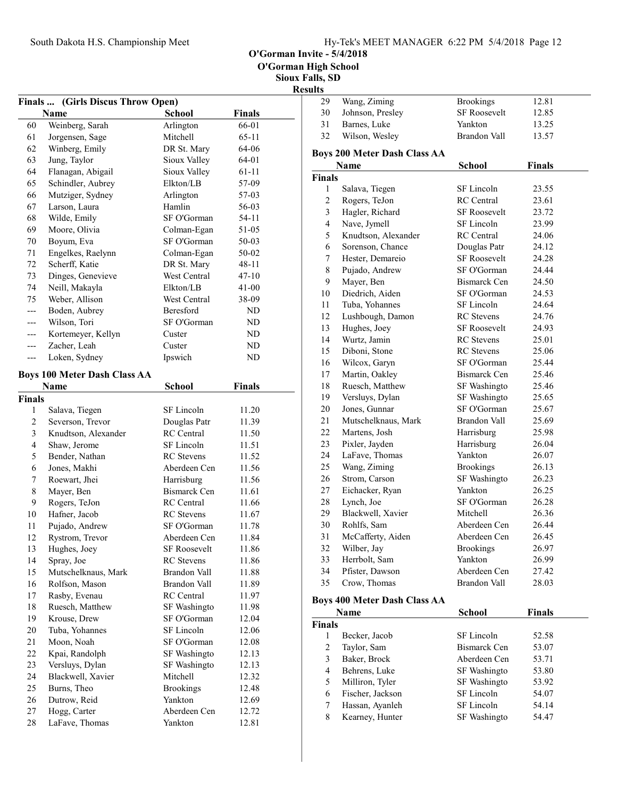O'Gorman Invite - 5/4/2018

Sioux Falls, SD

### Results

|                | Finals  (Girls Discus Throw Open)   |                                     |                |  |
|----------------|-------------------------------------|-------------------------------------|----------------|--|
|                | <b>Name</b>                         | <b>School</b>                       | <b>Finals</b>  |  |
| 60             | Weinberg, Sarah                     | Arlington                           | 66-01          |  |
| 61             | Jorgensen, Sage                     | Mitchell                            | $65 - 11$      |  |
| 62             | Winberg, Emily                      | DR St. Mary                         | 64-06          |  |
| 63             | Jung, Taylor                        | Sioux Valley                        | 64-01          |  |
| 64             | Flanagan, Abigail                   | Sioux Valley                        | 61-11          |  |
| 65             | Schindler, Aubrey                   | Elkton/LB                           | 57-09          |  |
| 66             | Mutziger, Sydney                    | Arlington                           | 57-03          |  |
| 67             | Larson, Laura                       | Hamlin                              | 56-03          |  |
| 68             | Wilde, Emily                        | SF O'Gorman                         | 54-11          |  |
| 69             | Moore, Olivia                       | Colman-Egan                         | 51-05          |  |
| 70             | Boyum, Eva                          | SF O'Gorman                         | 50-03          |  |
| 71             | Engelkes, Raelynn                   | Colman-Egan                         | 50-02          |  |
| 72             | Scherff, Katie                      | DR St. Mary                         | $48 - 11$      |  |
| 73             | Dinges, Genevieve                   | West Central                        | $47 - 10$      |  |
| 74             | Neill, Makayla                      | Elkton/LB                           | $41 - 00$      |  |
| 75             | Weber, Allison                      | West Central                        | 38-09          |  |
| $---$          | Boden, Aubrey                       | Beresford                           | ND             |  |
| ---            | Wilson, Tori                        | SF O'Gorman                         | ND             |  |
| ---            | Kortemeyer, Kellyn                  | Custer                              | ND             |  |
| ---            | Zacher, Leah                        | Custer                              | ND             |  |
| ---            | Loken, Sydney                       | Ipswich                             | ND             |  |
|                |                                     |                                     |                |  |
|                | <b>Boys 100 Meter Dash Class AA</b> |                                     |                |  |
|                | Name                                | <b>School</b>                       | <b>Finals</b>  |  |
| <b>Finals</b>  |                                     |                                     |                |  |
| 1              | Salava, Tiegen                      | SF Lincoln                          | 11.20          |  |
| $\sqrt{2}$     | Severson, Trevor                    | Douglas Patr                        | 11.39          |  |
| 3              | Knudtson, Alexander                 | <b>RC</b> Central                   | 11.50          |  |
| $\overline{4}$ | Shaw, Jerome                        | SF Lincoln                          | 11.51          |  |
| 5              | Bender, Nathan                      | <b>RC</b> Stevens                   | 11.52          |  |
| 6              | Jones, Makhi                        | Aberdeen Cen                        | 11.56          |  |
| 7              | Roewart, Jhei                       | Harrisburg                          | 11.56          |  |
| 8              | Mayer, Ben                          | Bismarck Cen                        | 11.61          |  |
| 9              | Rogers, TeJon                       | <b>RC</b> Central                   | 11.66          |  |
| 10             | Hafner, Jacob                       | <b>RC</b> Stevens                   | 11.67          |  |
| 11             | Pujado, Andrew                      | SF O'Gorman                         | 11.78          |  |
| 12             | Rystrom, Trevor                     | Aberdeen Cen                        | 11.84          |  |
| 13             | Hughes, Joey                        | SF Roosevelt                        | 11.86          |  |
| 14             | Spray, Joe                          | <b>RC</b> Stevens                   | 11.86          |  |
| 15             | Mutschelknaus, Mark                 | <b>Brandon Vall</b><br>Brandon Vall | 11.88          |  |
| 16             | Rolfson, Mason                      | <b>RC</b> Central                   | 11.89          |  |
| 17             | Rasby, Evenau                       |                                     | 11.97          |  |
| 18             | Ruesch, Matthew                     | SF Washingto                        | 11.98          |  |
| 19             | Krouse, Drew                        | SF O'Gorman                         | 12.04          |  |
| 20             | Tuba, Yohannes                      | SF Lincoln                          | 12.06          |  |
| 21             | Moon, Noah                          | SF O'Gorman                         | 12.08          |  |
| 22             | Kpai, Randolph                      | SF Washingto                        | 12.13          |  |
| 23             | Versluys, Dylan                     | SF Washingto                        | 12.13          |  |
| 24<br>25       | Blackwell, Xavier                   | Mitchell                            | 12.32          |  |
| 26             | Burns, Theo                         | <b>Brookings</b><br>Yankton         | 12.48<br>12.69 |  |
| 27             | Dutrow, Reid<br>Hogg, Carter        | Aberdeen Cen                        | 12.72          |  |
| 28             | LaFave, Thomas                      | Yankton                             | 12.81          |  |
|                |                                     |                                     |                |  |

| 29            | Wang, Ziming                        | <b>Brookings</b>    | 12.81         |
|---------------|-------------------------------------|---------------------|---------------|
| 30            | Johnson, Presley                    | <b>SF Roosevelt</b> | 12.85         |
| 31            | Barnes, Luke                        | Yankton             | 13.25         |
| 32            | Wilson, Wesley                      | <b>Brandon Vall</b> | 13.57         |
|               | <b>Boys 200 Meter Dash Class AA</b> |                     |               |
|               | Name                                | <b>School</b>       | <b>Finals</b> |
| <b>Finals</b> |                                     |                     |               |
| 1             | Salava, Tiegen                      | SF Lincoln          | 23.55         |
| 2             | Rogers, TeJon                       | <b>RC</b> Central   | 23.61         |
| 3             | Hagler, Richard                     | <b>SF Roosevelt</b> | 23.72         |
| 4             | Nave, Jymell                        | SF Lincoln          | 23.99         |
| 5             | Knudtson, Alexander                 | <b>RC</b> Central   | 24.06         |
| 6             | Sorenson, Chance                    | Douglas Patr        | 24.12         |
| 7             | Hester, Demareio                    | <b>SF Roosevelt</b> | 24.28         |
| $\,$ $\,$     | Pujado, Andrew                      | SF O'Gorman         | 24.44         |
| 9             | Mayer, Ben                          | Bismarck Cen        | 24.50         |
| 10            | Diedrich, Aiden                     | SF O'Gorman         | 24.53         |
| 11            | Tuba, Yohannes                      | SF Lincoln          | 24.64         |
| 12            | Lushbough, Damon                    | <b>RC</b> Stevens   | 24.76         |
| 13            | Hughes, Joey                        | <b>SF Roosevelt</b> | 24.93         |
| 14            | Wurtz, Jamin                        | <b>RC</b> Stevens   | 25.01         |
| 15            | Diboni, Stone                       | <b>RC</b> Stevens   | 25.06         |
| 16            | Wilcox, Garyn                       | SF O'Gorman         | 25.44         |
| 17            | Martin, Oakley                      | <b>Bismarck Cen</b> | 25.46         |
| 18            | Ruesch, Matthew                     | SF Washingto        | 25.46         |
| 19            | Versluys, Dylan                     | SF Washingto        | 25.65         |
| 20            | Jones, Gunnar                       | SF O'Gorman         | 25.67         |
| 21            | Mutschelknaus, Mark                 | <b>Brandon Vall</b> | 25.69         |
| 22            | Martens, Josh                       | Harrisburg          | 25.98         |
| 23            | Pixler, Jayden                      | Harrisburg          | 26.04         |
| 24            | LaFave, Thomas                      | Yankton             | 26.07         |
| 25            | Wang, Ziming                        | <b>Brookings</b>    | 26.13         |
| 26            | Strom, Carson                       | SF Washingto        | 26.23         |
| 27            | Eichacker, Ryan                     | Yankton             | 26.25         |
| 28            | Lynch, Joe                          | SF O'Gorman         | 26.28         |
| 29            | Blackwell, Xavier                   | Mitchell            | 26.36         |
| 30            | Rohlfs, Sam                         | Aberdeen Cen        | 26.44         |
| 31            | McCafferty, Aiden                   | Aberdeen Cen        | 26.45         |
| 32            | Wilber, Jay                         | <b>Brookings</b>    | 26.97         |
| 33            | Herrbolt, Sam                       | Yankton             | 26.99         |
| 34            | Pfister, Dawson                     | Aberdeen Cen        | 27.42         |
| 35            | Crow, Thomas                        | <b>Brandon Vall</b> | 28.03         |

#### Boys 400 Meter Dash Class AA

|               | Name             | <b>School</b> | <b>Finals</b> |
|---------------|------------------|---------------|---------------|
| <b>Finals</b> |                  |               |               |
|               | Becker, Jacob    | SF Lincoln    | 52.58         |
| 2             | Taylor, Sam      | Bismarck Cen  | 53.07         |
| 3             | Baker, Brock     | Aberdeen Cen  | 53.71         |
| 4             | Behrens, Luke    | SF Washingto  | 53.80         |
| 5             | Milliron, Tyler  | SF Washingto  | 53.92         |
| 6             | Fischer, Jackson | SF Lincoln    | 54.07         |
| 7             | Hassan, Ayanleh  | SF Lincoln    | 54.14         |
| 8             | Kearney, Hunter  | SF Washingto  | 54.47         |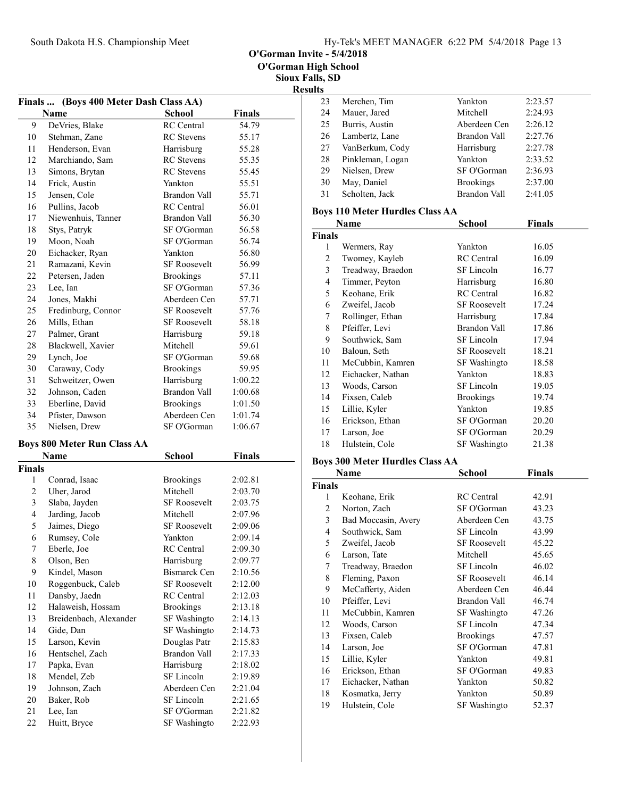O'Gorman Invite - 5/4/2018

Sioux Falls, SD **Results** 

#### Finals ... (Boys 400 Meter Dash Class AA) Name School Finals 9 54.79 DeVries, Blake RC Central 10 Stehman, Zane RC Stevens 55.17 11 Henderson, Evan Harrisburg 55.28 12 Marchiando, Sam RC Stevens 55.35 13 Simons, Brytan RC Stevens 55.45 14 Frick, Austin Yankton 55.51 15 Jensen, Cole Brandon Vall 55.71 16 56.01 Pullins, Jacob RC Central 17 56.30 Niewenhuis, Tanner Brandon Vall 18 Stys, Patryk SF O'Gorman 56.58 19 Moon, Noah SF O'Gorman 56.74 20 56.80 Eichacker, Ryan Yankton 21 Ramazani, Kevin SF Roosevelt 56.99 22 Petersen, Jaden Brookings 57.11 23 Lee, Ian SF O'Gorman 57.36 24 Jones, Makhi Aberdeen Cen 57.71 25 Fredinburg, Connor SF Roosevelt 57.76 26 Mills, Ethan SF Roosevelt 58.18 27 Palmer, Grant Harrisburg 59.18 28 Blackwell, Xavier Mitchell 59.61 29 59.68 Lynch, Joe SF O'Gorman 30 59.95 Caraway, Cody Brookings 31 Schweitzer, Owen Harrisburg 1:00.22 32 1:00.68 Johnson, Caden Brandon Vall 33 Eberline, David Brookings 1:01.50 34 Pfister, Dawson Aberdeen Cen 1:01.74 35 Nielsen, Drew SF O'Gorman 1:06.67 Boys 800 Meter Run Class AA Name School Finals Finals 1 2:02.81 Conrad, Isaac Brookings 2 Uher, Jarod Mitchell 2:03.70 3 2:03.75 Slaba, Jayden SF Roosevelt 4 2:07.96 Jarding, Jacob Mitchell 5 Jaimes, Diego SF Roosevelt 2:09.06 6 2:09.14 Rumsey, Cole Yankton 7 2:09.30 Eberle, Joe RC Central 8 Olson, Ben Harrisburg 2:09.77 9 Kindel, Mason Bismarck Cen 2:10.56 10 Roggenbuck, Caleb SF Roosevelt 2:12.00 11 Dansby, Jaedn RC Central 2:12.03 12 Halaweish, Hossam Brookings 2:13.18 13 Breidenbach, Alexander SF Washingto 2:14.13 14 Gide, Dan SF Washingto 2:14.73 15 Larson, Kevin Douglas Patr 2:15.83 16 Hentschel, Zach Brandon Vall 2:17.33 17 Papka, Evan Harrisburg 2:18.02 18 Mendel, Zeb SF Lincoln 2:19.89 19 Johnson, Zach Aberdeen Cen 2:21.04

20 Baker, Rob SF Lincoln 2:21.65 21 Lee, Ian SF O'Gorman 2:21.82 22 Huitt, Bryce SF Washingto 2:22.93

| s  |                  |                     |         |
|----|------------------|---------------------|---------|
| 23 | Merchen, Tim     | Yankton             | 2:23.57 |
| 24 | Mauer, Jared     | Mitchell            | 2:24.93 |
| 25 | Burris, Austin   | Aberdeen Cen        | 2:26.12 |
| 26 | Lambertz, Lane   | <b>Brandon Vall</b> | 2:27.76 |
| 27 | VanBerkum, Cody  | Harrisburg          | 2:27.78 |
| 28 | Pinkleman, Logan | Yankton             | 2:33.52 |
| 29 | Nielsen, Drew    | SF O'Gorman         | 2:36.93 |
| 30 | May, Daniel      | <b>Brookings</b>    | 2:37.00 |
| 31 | Scholten, Jack   | <b>Brandon Vall</b> | 2:41.05 |

#### Boys 110 Meter Hurdles Class AA

|               | Name              | School              | Finals |
|---------------|-------------------|---------------------|--------|
| <b>Finals</b> |                   |                     |        |
| 1             | Wermers, Ray      | Yankton             | 16.05  |
| 2             | Twomey, Kayleb    | <b>RC</b> Central   | 16.09  |
| 3             | Treadway, Braedon | SF Lincoln          | 16.77  |
| 4             | Timmer, Peyton    | Harrisburg          | 16.80  |
| 5             | Keohane, Erik     | <b>RC</b> Central   | 16.82  |
| 6             | Zweifel, Jacob    | <b>SF Roosevelt</b> | 17.24  |
| 7             | Rollinger, Ethan  | Harrisburg          | 17.84  |
| 8             | Pfeiffer, Levi    | Brandon Vall        | 17.86  |
| 9             | Southwick, Sam    | SF Lincoln          | 17.94  |
| 10            | Baloun, Seth      | <b>SF Roosevelt</b> | 18.21  |
| 11            | McCubbin, Kamren  | SF Washingto        | 18.58  |
| 12            | Eichacker, Nathan | Yankton             | 18.83  |
| 13            | Woods, Carson     | SF Lincoln          | 19.05  |
| 14            | Fixsen, Caleb     | <b>Brookings</b>    | 19.74  |
| 15            | Lillie, Kyler     | Yankton             | 19.85  |
| 16            | Erickson, Ethan   | SF O'Gorman         | 20.20  |
| 17            | Larson, Joe       | SF O'Gorman         | 20.29  |
| 18            | Hulstein, Cole    | SF Washingto        | 21.38  |

#### Boys 300 Meter Hurdles Class AA

|               | Name                | School              | <b>Finals</b> |  |
|---------------|---------------------|---------------------|---------------|--|
| <b>Finals</b> |                     |                     |               |  |
| 1             | Keohane, Erik       | <b>RC</b> Central   | 42.91         |  |
| 2             | Norton, Zach        | SF O'Gorman         | 43.23         |  |
| 3             | Bad Moccasin, Avery | Aberdeen Cen        | 43.75         |  |
| 4             | Southwick, Sam      | SF Lincoln          | 43.99         |  |
| 5             | Zweifel, Jacob      | <b>SF Roosevelt</b> | 45.22         |  |
| 6             | Larson, Tate        | Mitchell            | 45.65         |  |
| 7             | Treadway, Braedon   | SF Lincoln          | 46.02         |  |
| 8             | Fleming, Paxon      | <b>SF Roosevelt</b> | 46.14         |  |
| 9             | McCafferty, Aiden   | Aberdeen Cen        | 46.44         |  |
| 10            | Pfeiffer, Levi      | Brandon Vall        | 46.74         |  |
| 11            | McCubbin, Kamren    | SF Washingto        | 47.26         |  |
| 12            | Woods, Carson       | SF Lincoln          | 47.34         |  |
| 13            | Fixsen, Caleb       | <b>Brookings</b>    | 47.57         |  |
| 14            | Larson, Joe         | SF O'Gorman         | 47.81         |  |
| 15            | Lillie, Kyler       | Yankton             | 49.81         |  |
| 16            | Erickson, Ethan     | SF O'Gorman         | 49.83         |  |
| 17            | Eichacker, Nathan   | Yankton             | 50.82         |  |
| 18            | Kosmatka, Jerry     | Yankton             | 50.89         |  |
| 19            | Hulstein, Cole      | SF Washingto        | 52.37         |  |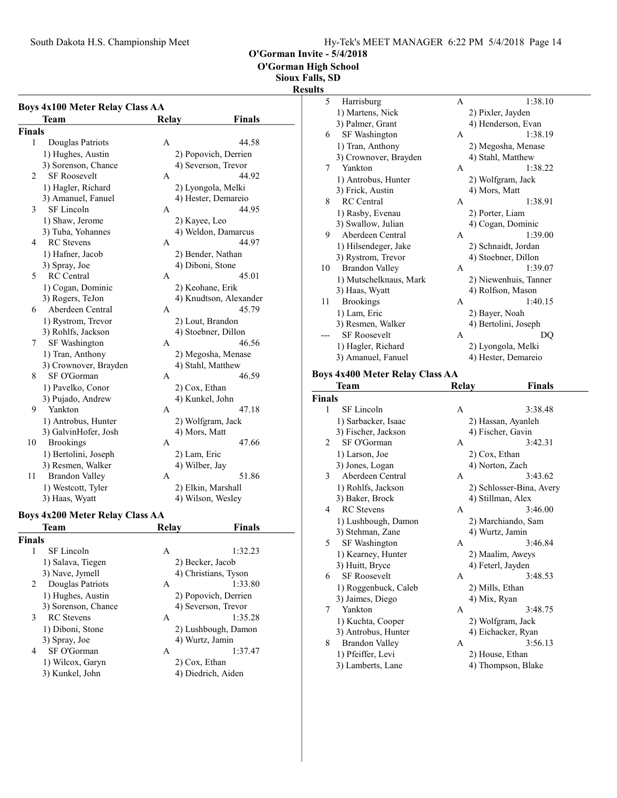O'Gorman High School

#### Sioux Falls, SD

#### Results

| <b>Boys 4x100 Meter Relay Class AA</b> |                                 |                |                        |  |
|----------------------------------------|---------------------------------|----------------|------------------------|--|
|                                        | Team                            | <b>Relay</b>   | Finals                 |  |
| Finals                                 |                                 |                |                        |  |
| 1                                      | Douglas Patriots                | А              | 44.58                  |  |
|                                        | 1) Hughes, Austin               |                | 2) Popovich, Derrien   |  |
|                                        | 3) Sorenson, Chance             |                | 4) Severson, Trevor    |  |
| 2                                      | <b>SF Roosevelt</b>             | А              | 44.92                  |  |
|                                        | 1) Hagler, Richard              |                | 2) Lyongola, Melki     |  |
|                                        | 3) Amanuel, Fanuel              |                | 4) Hester, Demareio    |  |
| 3                                      | <b>SF</b> Lincoln               | А              | 44.95                  |  |
|                                        | 1) Shaw, Jerome                 | 2) Kayee, Leo  |                        |  |
|                                        | 3) Tuba, Yohannes               |                | 4) Weldon, Damarcus    |  |
| 4                                      | <b>RC</b> Stevens               | А              | 44.97                  |  |
|                                        | 1) Hafner, Jacob                |                | 2) Bender, Nathan      |  |
|                                        | 3) Spray, Joe                   |                | 4) Diboni, Stone       |  |
| 5                                      | <b>RC</b> Central               | А              | 45.01                  |  |
|                                        | 1) Cogan, Dominic               |                | 2) Keohane, Erik       |  |
|                                        | 3) Rogers, TeJon                |                | 4) Knudtson, Alexander |  |
| 6                                      | Aberdeen Central                | А              | 45.79                  |  |
|                                        | 1) Rystrom, Trevor              |                | 2) Lout, Brandon       |  |
|                                        | 3) Rohlfs, Jackson              |                | 4) Stoebner, Dillon    |  |
| 7                                      | SF Washington                   | А              | 46.56                  |  |
|                                        | 1) Tran, Anthony                |                | 2) Megosha, Menase     |  |
|                                        | 3) Crownover, Brayden           |                | 4) Stahl, Matthew      |  |
| 8                                      | SF O'Gorman                     | A              | 46.59                  |  |
|                                        | 1) Pavelko, Conor               | 2) Cox, Ethan  |                        |  |
|                                        | 3) Pujado, Andrew               |                | 4) Kunkel, John        |  |
| 9                                      | Yankton                         | A              | 47.18                  |  |
|                                        | 1) Antrobus, Hunter             |                | 2) Wolfgram, Jack      |  |
|                                        | 3) GalvinHofer, Josh            | 4) Mors, Matt  |                        |  |
| 10                                     | <b>Brookings</b>                | А              | 47.66                  |  |
|                                        | 1) Bertolini, Joseph            | 2) Lam, Eric   |                        |  |
|                                        | 3) Resmen, Walker               | 4) Wilber, Jay |                        |  |
| 11                                     | <b>Brandon Valley</b>           | A              | 51.86                  |  |
|                                        | 1) Westcott, Tyler              |                | 2) Elkin, Marshall     |  |
|                                        | 3) Haas, Wyatt                  |                | 4) Wilson, Wesley      |  |
|                                        |                                 |                |                        |  |
|                                        | Boys 4x200 Meter Relay Class AA |                |                        |  |
|                                        | Team                            | Relay          | Finals                 |  |
| Finals                                 |                                 |                |                        |  |
| 1                                      | SF Lincoln                      | Α              | 1:32.23                |  |
|                                        | 1) Salava, Tiegen               |                | 2) Becker, Jacob       |  |
|                                        | 3) Nave, Jymell                 |                | 4) Christians, Tyson   |  |
| 2                                      | Douglas Patriots                | Α              | 1:33.80                |  |

2 Douglas Patriots A<br>1) Hughes, Austin

1) Wilcox, Garyn<br>3) Kunkel, John

1) Hughes, Austin 2) Popovich, Derrien<br>3) Sorenson, Chance 4) Severson, Trevor

3 RC Stevens A 1:35.28<br>1) Diboni, Stone 2) Lushbough, Damon 1) Diboni, Stone 2) Lushbough, Damon<br>
3) Spray, Joe 4) Wurtz, Jamin

4 SF O'Gorman A<br>
1) Wilcox, Garyn 2) Cox, Ethan

4) Severson, Trevor

 $\frac{4}{3}$  Wurtz, Jamin<br>1:37.47

4) Diedrich, Aiden

| ults          |                                        |       |                       |  |
|---------------|----------------------------------------|-------|-----------------------|--|
| 5             | Harrisburg                             | A     | 1:38.10               |  |
|               | 1) Martens, Nick                       |       | 2) Pixler, Jayden     |  |
|               | 3) Palmer, Grant                       |       | 4) Henderson, Evan    |  |
| 6             | SF Washington                          | A     | 1:38.19               |  |
|               | 1) Tran, Anthony                       |       | 2) Megosha, Menase    |  |
|               | 3) Crownover, Brayden                  |       | 4) Stahl, Matthew     |  |
| 7             | Yankton                                | A     | 1:38.22               |  |
|               | 1) Antrobus, Hunter                    |       | 2) Wolfgram, Jack     |  |
|               | 3) Frick, Austin                       |       | 4) Mors, Matt         |  |
| 8             | <b>RC</b> Central                      | A     | 1:38.91               |  |
|               | 1) Rasby, Evenau                       |       | 2) Porter, Liam       |  |
|               | 3) Swallow, Julian                     |       | 4) Cogan, Dominic     |  |
| 9             | Aberdeen Central                       | A     | 1:39.00               |  |
|               | 1) Hilsendeger, Jake                   |       | 2) Schnaidt, Jordan   |  |
|               | 3) Rystrom, Trevor                     |       | 4) Stoebner, Dillon   |  |
| 10            | <b>Brandon Valley</b>                  | A     | 1:39.07               |  |
|               | 1) Mutschelknaus, Mark                 |       | 2) Niewenhuis, Tanner |  |
|               | 3) Haas, Wyatt                         |       | 4) Rolfson, Mason     |  |
| 11            | <b>Brookings</b>                       | A     | 1:40.15               |  |
|               | 1) Lam, Eric                           |       | 2) Bayer, Noah        |  |
|               | 3) Resmen, Walker                      |       | 4) Bertolini, Joseph  |  |
|               | <b>SF Roosevelt</b>                    | A     | DO                    |  |
|               | 1) Hagler, Richard                     |       | 2) Lyongola, Melki    |  |
|               | 3) Amanuel, Fanuel                     |       | 4) Hester, Demareio   |  |
|               | <b>Boys 4x400 Meter Relay Class AA</b> |       |                       |  |
|               | Team                                   | Relay | <b>Finals</b>         |  |
| <b>Finals</b> |                                        |       |                       |  |
| 1             | SF Lincoln                             | A     | 3:38.48               |  |
|               | 1) Sarbacker, Isaac                    |       | 2) Hassan, Ayanleh    |  |
|               | 3) Fischer, Jackson                    |       | 4) Fischer, Gavin     |  |
|               |                                        |       |                       |  |

|   | 1) Sarbacker, Isaac   |   | 2) Hassan, Ayanleh       |
|---|-----------------------|---|--------------------------|
|   | 3) Fischer, Jackson   |   | 4) Fischer, Gavin        |
| 2 | SF O'Gorman           | A | 3:42.31                  |
|   | 1) Larson, Joe        |   | 2) Cox, Ethan            |
|   | 3) Jones, Logan       |   | 4) Norton, Zach          |
| 3 | Aberdeen Central      | A | 3:43.62                  |
|   | 1) Rohlfs, Jackson    |   | 2) Schlosser-Bina, Avery |
|   | 3) Baker, Brock       |   | 4) Stillman, Alex        |
| 4 | <b>RC</b> Stevens     | A | 3:46.00                  |
|   | 1) Lushbough, Damon   |   | 2) Marchiando, Sam       |
|   | 3) Stehman, Zane      |   | 4) Wurtz, Jamin          |
| 5 | <b>SF</b> Washington  | A | 3:46.84                  |
|   | 1) Kearney, Hunter    |   | 2) Maalim, Aweys         |
|   | 3) Huitt, Bryce       |   | 4) Feterl, Jayden        |
| 6 | <b>SF Roosevelt</b>   | A | 3:48.53                  |
|   | 1) Roggenbuck, Caleb  |   | 2) Mills, Ethan          |
|   | 3) Jaimes, Diego      |   | 4) Mix, Ryan             |
| 7 | Yankton               | A | 3:48.75                  |
|   | 1) Kuchta, Cooper     |   | 2) Wolfgram, Jack        |
|   | 3) Antrobus, Hunter   |   | 4) Eichacker, Ryan       |
| 8 | <b>Brandon Valley</b> | A | 3:56.13                  |
|   | 1) Pfeiffer, Levi     |   | 2) House, Ethan          |
|   | 3) Lamberts, Lane     |   | 4) Thompson, Blake       |
|   |                       |   |                          |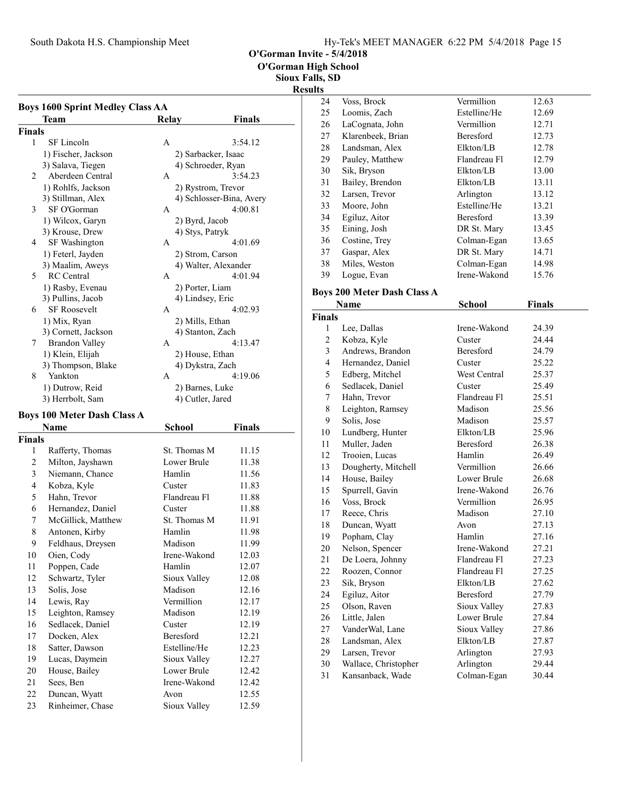South Dakota H.S. Championship Meet Hy-Tek's MEET MANAGER 6:22 PM 5/4/2018 Page 15

O'Gorman Invite - 5/4/2018

O'Gorman High School

Sioux Falls, SD

#### Results

| Team<br>Finals<br><b>Relay</b><br><b>Finals</b><br>1<br>SF Lincoln<br>3:54.12<br>A<br>1) Fischer, Jackson<br>2) Sarbacker, Isaac<br>3) Salava, Tiegen<br>4) Schroeder, Ryan<br>Aberdeen Central<br>3:54.23<br>2<br>А<br>1) Rohlfs, Jackson<br>2) Rystrom, Trevor<br>3) Stillman, Alex<br>4) Schlosser-Bina, Avery<br>3<br>SF O'Gorman<br>4:00.81<br>A<br>1) Wilcox, Garyn<br>2) Byrd, Jacob<br>3) Krouse, Drew<br>4) Stys, Patryk<br>4<br>SF Washington<br>4:01.69<br>A<br>1) Feterl, Jayden<br>2) Strom, Carson<br>3) Maalim, Aweys<br>4) Walter, Alexander<br><b>RC</b> Central<br>4:01.94<br>5<br>A<br>1) Rasby, Evenau<br>2) Porter, Liam<br>3) Pullins, Jacob<br>4) Lindsey, Eric<br><b>SF Roosevelt</b><br>6<br>А<br>4:02.93<br>1) Mix, Ryan<br>2) Mills, Ethan<br>3) Cornett, Jackson<br>4) Stanton, Zach<br><b>Brandon Valley</b><br>A<br>4:13.47<br>7<br>1) Klein, Elijah<br>2) House, Ethan<br>3) Thompson, Blake<br>4) Dykstra, Zach<br>8<br>Yankton<br>4:19.06<br>А<br>1) Dutrow, Reid<br>2) Barnes, Luke<br>3) Herrbolt, Sam<br>4) Cutler, Jared<br><b>Boys 100 Meter Dash Class A</b><br>Name<br>School<br>Finals<br><b>Finals</b><br>1<br>St. Thomas M<br>11.15<br>Rafferty, Thomas<br>2<br>Milton, Jayshawn<br>Lower Brule<br>11.38<br>3<br>Niemann, Chance<br>Hamlin<br>11.56<br>4<br>Kobza, Kyle<br>11.83<br>Custer<br>5<br>Flandreau Fl<br>Hahn, Trevor<br>11.88<br>6<br>Hernandez, Daniel<br>11.88<br>Custer<br>McGillick, Matthew<br>7<br>St. Thomas M<br>11.91<br>8<br>Hamlin<br>Antonen, Kirby<br>11.98<br>9<br>Feldhaus, Dreysen<br>Madison<br>11.99<br>Irene-Wakond<br>Oien, Cody<br>12.03<br>10<br>11<br>Hamlin<br>Poppen, Cade<br>12.07<br>12<br>Schwartz, Tyler<br>Sioux Valley<br>12.08<br>13<br>Solis, Jose<br>Madison<br>12.16<br>14<br>Lewis, Ray<br>Vermillion<br>12.17<br>15<br>Leighton, Ramsey<br>Madison<br>12.19<br>16<br>Sedlacek, Daniel<br>Custer<br>12.19<br>17<br>Docken, Alex<br>Beresford<br>12.21<br>Estelline/He<br>18<br>Satter, Dawson<br>12.23<br>19<br>Lucas, Daymein<br>Sioux Valley<br>12.27<br>20<br>House, Bailey<br>Lower Brule<br>12.42<br>21<br>Sees, Ben<br>Irene-Wakond<br>12.42<br>22<br>Duncan, Wyatt<br>Avon<br>12.55 | <b>Boys 1600 Sprint Medley Class AA</b> |  |  |  |  |  |
|--------------------------------------------------------------------------------------------------------------------------------------------------------------------------------------------------------------------------------------------------------------------------------------------------------------------------------------------------------------------------------------------------------------------------------------------------------------------------------------------------------------------------------------------------------------------------------------------------------------------------------------------------------------------------------------------------------------------------------------------------------------------------------------------------------------------------------------------------------------------------------------------------------------------------------------------------------------------------------------------------------------------------------------------------------------------------------------------------------------------------------------------------------------------------------------------------------------------------------------------------------------------------------------------------------------------------------------------------------------------------------------------------------------------------------------------------------------------------------------------------------------------------------------------------------------------------------------------------------------------------------------------------------------------------------------------------------------------------------------------------------------------------------------------------------------------------------------------------------------------------------------------------------------------------------------------------------------------------------------------------------------------------------------------------------------------------------------------------------------------------------------------------------------------------------------|-----------------------------------------|--|--|--|--|--|
|                                                                                                                                                                                                                                                                                                                                                                                                                                                                                                                                                                                                                                                                                                                                                                                                                                                                                                                                                                                                                                                                                                                                                                                                                                                                                                                                                                                                                                                                                                                                                                                                                                                                                                                                                                                                                                                                                                                                                                                                                                                                                                                                                                                      |                                         |  |  |  |  |  |
|                                                                                                                                                                                                                                                                                                                                                                                                                                                                                                                                                                                                                                                                                                                                                                                                                                                                                                                                                                                                                                                                                                                                                                                                                                                                                                                                                                                                                                                                                                                                                                                                                                                                                                                                                                                                                                                                                                                                                                                                                                                                                                                                                                                      |                                         |  |  |  |  |  |
|                                                                                                                                                                                                                                                                                                                                                                                                                                                                                                                                                                                                                                                                                                                                                                                                                                                                                                                                                                                                                                                                                                                                                                                                                                                                                                                                                                                                                                                                                                                                                                                                                                                                                                                                                                                                                                                                                                                                                                                                                                                                                                                                                                                      |                                         |  |  |  |  |  |
|                                                                                                                                                                                                                                                                                                                                                                                                                                                                                                                                                                                                                                                                                                                                                                                                                                                                                                                                                                                                                                                                                                                                                                                                                                                                                                                                                                                                                                                                                                                                                                                                                                                                                                                                                                                                                                                                                                                                                                                                                                                                                                                                                                                      |                                         |  |  |  |  |  |
|                                                                                                                                                                                                                                                                                                                                                                                                                                                                                                                                                                                                                                                                                                                                                                                                                                                                                                                                                                                                                                                                                                                                                                                                                                                                                                                                                                                                                                                                                                                                                                                                                                                                                                                                                                                                                                                                                                                                                                                                                                                                                                                                                                                      |                                         |  |  |  |  |  |
|                                                                                                                                                                                                                                                                                                                                                                                                                                                                                                                                                                                                                                                                                                                                                                                                                                                                                                                                                                                                                                                                                                                                                                                                                                                                                                                                                                                                                                                                                                                                                                                                                                                                                                                                                                                                                                                                                                                                                                                                                                                                                                                                                                                      |                                         |  |  |  |  |  |
|                                                                                                                                                                                                                                                                                                                                                                                                                                                                                                                                                                                                                                                                                                                                                                                                                                                                                                                                                                                                                                                                                                                                                                                                                                                                                                                                                                                                                                                                                                                                                                                                                                                                                                                                                                                                                                                                                                                                                                                                                                                                                                                                                                                      |                                         |  |  |  |  |  |
|                                                                                                                                                                                                                                                                                                                                                                                                                                                                                                                                                                                                                                                                                                                                                                                                                                                                                                                                                                                                                                                                                                                                                                                                                                                                                                                                                                                                                                                                                                                                                                                                                                                                                                                                                                                                                                                                                                                                                                                                                                                                                                                                                                                      |                                         |  |  |  |  |  |
|                                                                                                                                                                                                                                                                                                                                                                                                                                                                                                                                                                                                                                                                                                                                                                                                                                                                                                                                                                                                                                                                                                                                                                                                                                                                                                                                                                                                                                                                                                                                                                                                                                                                                                                                                                                                                                                                                                                                                                                                                                                                                                                                                                                      |                                         |  |  |  |  |  |
|                                                                                                                                                                                                                                                                                                                                                                                                                                                                                                                                                                                                                                                                                                                                                                                                                                                                                                                                                                                                                                                                                                                                                                                                                                                                                                                                                                                                                                                                                                                                                                                                                                                                                                                                                                                                                                                                                                                                                                                                                                                                                                                                                                                      |                                         |  |  |  |  |  |
|                                                                                                                                                                                                                                                                                                                                                                                                                                                                                                                                                                                                                                                                                                                                                                                                                                                                                                                                                                                                                                                                                                                                                                                                                                                                                                                                                                                                                                                                                                                                                                                                                                                                                                                                                                                                                                                                                                                                                                                                                                                                                                                                                                                      |                                         |  |  |  |  |  |
|                                                                                                                                                                                                                                                                                                                                                                                                                                                                                                                                                                                                                                                                                                                                                                                                                                                                                                                                                                                                                                                                                                                                                                                                                                                                                                                                                                                                                                                                                                                                                                                                                                                                                                                                                                                                                                                                                                                                                                                                                                                                                                                                                                                      |                                         |  |  |  |  |  |
|                                                                                                                                                                                                                                                                                                                                                                                                                                                                                                                                                                                                                                                                                                                                                                                                                                                                                                                                                                                                                                                                                                                                                                                                                                                                                                                                                                                                                                                                                                                                                                                                                                                                                                                                                                                                                                                                                                                                                                                                                                                                                                                                                                                      |                                         |  |  |  |  |  |
|                                                                                                                                                                                                                                                                                                                                                                                                                                                                                                                                                                                                                                                                                                                                                                                                                                                                                                                                                                                                                                                                                                                                                                                                                                                                                                                                                                                                                                                                                                                                                                                                                                                                                                                                                                                                                                                                                                                                                                                                                                                                                                                                                                                      |                                         |  |  |  |  |  |
|                                                                                                                                                                                                                                                                                                                                                                                                                                                                                                                                                                                                                                                                                                                                                                                                                                                                                                                                                                                                                                                                                                                                                                                                                                                                                                                                                                                                                                                                                                                                                                                                                                                                                                                                                                                                                                                                                                                                                                                                                                                                                                                                                                                      |                                         |  |  |  |  |  |
|                                                                                                                                                                                                                                                                                                                                                                                                                                                                                                                                                                                                                                                                                                                                                                                                                                                                                                                                                                                                                                                                                                                                                                                                                                                                                                                                                                                                                                                                                                                                                                                                                                                                                                                                                                                                                                                                                                                                                                                                                                                                                                                                                                                      |                                         |  |  |  |  |  |
|                                                                                                                                                                                                                                                                                                                                                                                                                                                                                                                                                                                                                                                                                                                                                                                                                                                                                                                                                                                                                                                                                                                                                                                                                                                                                                                                                                                                                                                                                                                                                                                                                                                                                                                                                                                                                                                                                                                                                                                                                                                                                                                                                                                      |                                         |  |  |  |  |  |
|                                                                                                                                                                                                                                                                                                                                                                                                                                                                                                                                                                                                                                                                                                                                                                                                                                                                                                                                                                                                                                                                                                                                                                                                                                                                                                                                                                                                                                                                                                                                                                                                                                                                                                                                                                                                                                                                                                                                                                                                                                                                                                                                                                                      |                                         |  |  |  |  |  |
|                                                                                                                                                                                                                                                                                                                                                                                                                                                                                                                                                                                                                                                                                                                                                                                                                                                                                                                                                                                                                                                                                                                                                                                                                                                                                                                                                                                                                                                                                                                                                                                                                                                                                                                                                                                                                                                                                                                                                                                                                                                                                                                                                                                      |                                         |  |  |  |  |  |
|                                                                                                                                                                                                                                                                                                                                                                                                                                                                                                                                                                                                                                                                                                                                                                                                                                                                                                                                                                                                                                                                                                                                                                                                                                                                                                                                                                                                                                                                                                                                                                                                                                                                                                                                                                                                                                                                                                                                                                                                                                                                                                                                                                                      |                                         |  |  |  |  |  |
|                                                                                                                                                                                                                                                                                                                                                                                                                                                                                                                                                                                                                                                                                                                                                                                                                                                                                                                                                                                                                                                                                                                                                                                                                                                                                                                                                                                                                                                                                                                                                                                                                                                                                                                                                                                                                                                                                                                                                                                                                                                                                                                                                                                      |                                         |  |  |  |  |  |
|                                                                                                                                                                                                                                                                                                                                                                                                                                                                                                                                                                                                                                                                                                                                                                                                                                                                                                                                                                                                                                                                                                                                                                                                                                                                                                                                                                                                                                                                                                                                                                                                                                                                                                                                                                                                                                                                                                                                                                                                                                                                                                                                                                                      |                                         |  |  |  |  |  |
|                                                                                                                                                                                                                                                                                                                                                                                                                                                                                                                                                                                                                                                                                                                                                                                                                                                                                                                                                                                                                                                                                                                                                                                                                                                                                                                                                                                                                                                                                                                                                                                                                                                                                                                                                                                                                                                                                                                                                                                                                                                                                                                                                                                      |                                         |  |  |  |  |  |
|                                                                                                                                                                                                                                                                                                                                                                                                                                                                                                                                                                                                                                                                                                                                                                                                                                                                                                                                                                                                                                                                                                                                                                                                                                                                                                                                                                                                                                                                                                                                                                                                                                                                                                                                                                                                                                                                                                                                                                                                                                                                                                                                                                                      |                                         |  |  |  |  |  |
|                                                                                                                                                                                                                                                                                                                                                                                                                                                                                                                                                                                                                                                                                                                                                                                                                                                                                                                                                                                                                                                                                                                                                                                                                                                                                                                                                                                                                                                                                                                                                                                                                                                                                                                                                                                                                                                                                                                                                                                                                                                                                                                                                                                      |                                         |  |  |  |  |  |
|                                                                                                                                                                                                                                                                                                                                                                                                                                                                                                                                                                                                                                                                                                                                                                                                                                                                                                                                                                                                                                                                                                                                                                                                                                                                                                                                                                                                                                                                                                                                                                                                                                                                                                                                                                                                                                                                                                                                                                                                                                                                                                                                                                                      |                                         |  |  |  |  |  |
|                                                                                                                                                                                                                                                                                                                                                                                                                                                                                                                                                                                                                                                                                                                                                                                                                                                                                                                                                                                                                                                                                                                                                                                                                                                                                                                                                                                                                                                                                                                                                                                                                                                                                                                                                                                                                                                                                                                                                                                                                                                                                                                                                                                      |                                         |  |  |  |  |  |
|                                                                                                                                                                                                                                                                                                                                                                                                                                                                                                                                                                                                                                                                                                                                                                                                                                                                                                                                                                                                                                                                                                                                                                                                                                                                                                                                                                                                                                                                                                                                                                                                                                                                                                                                                                                                                                                                                                                                                                                                                                                                                                                                                                                      |                                         |  |  |  |  |  |
|                                                                                                                                                                                                                                                                                                                                                                                                                                                                                                                                                                                                                                                                                                                                                                                                                                                                                                                                                                                                                                                                                                                                                                                                                                                                                                                                                                                                                                                                                                                                                                                                                                                                                                                                                                                                                                                                                                                                                                                                                                                                                                                                                                                      |                                         |  |  |  |  |  |
|                                                                                                                                                                                                                                                                                                                                                                                                                                                                                                                                                                                                                                                                                                                                                                                                                                                                                                                                                                                                                                                                                                                                                                                                                                                                                                                                                                                                                                                                                                                                                                                                                                                                                                                                                                                                                                                                                                                                                                                                                                                                                                                                                                                      |                                         |  |  |  |  |  |
|                                                                                                                                                                                                                                                                                                                                                                                                                                                                                                                                                                                                                                                                                                                                                                                                                                                                                                                                                                                                                                                                                                                                                                                                                                                                                                                                                                                                                                                                                                                                                                                                                                                                                                                                                                                                                                                                                                                                                                                                                                                                                                                                                                                      |                                         |  |  |  |  |  |
|                                                                                                                                                                                                                                                                                                                                                                                                                                                                                                                                                                                                                                                                                                                                                                                                                                                                                                                                                                                                                                                                                                                                                                                                                                                                                                                                                                                                                                                                                                                                                                                                                                                                                                                                                                                                                                                                                                                                                                                                                                                                                                                                                                                      |                                         |  |  |  |  |  |
|                                                                                                                                                                                                                                                                                                                                                                                                                                                                                                                                                                                                                                                                                                                                                                                                                                                                                                                                                                                                                                                                                                                                                                                                                                                                                                                                                                                                                                                                                                                                                                                                                                                                                                                                                                                                                                                                                                                                                                                                                                                                                                                                                                                      |                                         |  |  |  |  |  |
|                                                                                                                                                                                                                                                                                                                                                                                                                                                                                                                                                                                                                                                                                                                                                                                                                                                                                                                                                                                                                                                                                                                                                                                                                                                                                                                                                                                                                                                                                                                                                                                                                                                                                                                                                                                                                                                                                                                                                                                                                                                                                                                                                                                      |                                         |  |  |  |  |  |
|                                                                                                                                                                                                                                                                                                                                                                                                                                                                                                                                                                                                                                                                                                                                                                                                                                                                                                                                                                                                                                                                                                                                                                                                                                                                                                                                                                                                                                                                                                                                                                                                                                                                                                                                                                                                                                                                                                                                                                                                                                                                                                                                                                                      |                                         |  |  |  |  |  |
|                                                                                                                                                                                                                                                                                                                                                                                                                                                                                                                                                                                                                                                                                                                                                                                                                                                                                                                                                                                                                                                                                                                                                                                                                                                                                                                                                                                                                                                                                                                                                                                                                                                                                                                                                                                                                                                                                                                                                                                                                                                                                                                                                                                      |                                         |  |  |  |  |  |
|                                                                                                                                                                                                                                                                                                                                                                                                                                                                                                                                                                                                                                                                                                                                                                                                                                                                                                                                                                                                                                                                                                                                                                                                                                                                                                                                                                                                                                                                                                                                                                                                                                                                                                                                                                                                                                                                                                                                                                                                                                                                                                                                                                                      |                                         |  |  |  |  |  |
|                                                                                                                                                                                                                                                                                                                                                                                                                                                                                                                                                                                                                                                                                                                                                                                                                                                                                                                                                                                                                                                                                                                                                                                                                                                                                                                                                                                                                                                                                                                                                                                                                                                                                                                                                                                                                                                                                                                                                                                                                                                                                                                                                                                      |                                         |  |  |  |  |  |
|                                                                                                                                                                                                                                                                                                                                                                                                                                                                                                                                                                                                                                                                                                                                                                                                                                                                                                                                                                                                                                                                                                                                                                                                                                                                                                                                                                                                                                                                                                                                                                                                                                                                                                                                                                                                                                                                                                                                                                                                                                                                                                                                                                                      |                                         |  |  |  |  |  |
|                                                                                                                                                                                                                                                                                                                                                                                                                                                                                                                                                                                                                                                                                                                                                                                                                                                                                                                                                                                                                                                                                                                                                                                                                                                                                                                                                                                                                                                                                                                                                                                                                                                                                                                                                                                                                                                                                                                                                                                                                                                                                                                                                                                      |                                         |  |  |  |  |  |
|                                                                                                                                                                                                                                                                                                                                                                                                                                                                                                                                                                                                                                                                                                                                                                                                                                                                                                                                                                                                                                                                                                                                                                                                                                                                                                                                                                                                                                                                                                                                                                                                                                                                                                                                                                                                                                                                                                                                                                                                                                                                                                                                                                                      |                                         |  |  |  |  |  |
|                                                                                                                                                                                                                                                                                                                                                                                                                                                                                                                                                                                                                                                                                                                                                                                                                                                                                                                                                                                                                                                                                                                                                                                                                                                                                                                                                                                                                                                                                                                                                                                                                                                                                                                                                                                                                                                                                                                                                                                                                                                                                                                                                                                      |                                         |  |  |  |  |  |
|                                                                                                                                                                                                                                                                                                                                                                                                                                                                                                                                                                                                                                                                                                                                                                                                                                                                                                                                                                                                                                                                                                                                                                                                                                                                                                                                                                                                                                                                                                                                                                                                                                                                                                                                                                                                                                                                                                                                                                                                                                                                                                                                                                                      |                                         |  |  |  |  |  |
|                                                                                                                                                                                                                                                                                                                                                                                                                                                                                                                                                                                                                                                                                                                                                                                                                                                                                                                                                                                                                                                                                                                                                                                                                                                                                                                                                                                                                                                                                                                                                                                                                                                                                                                                                                                                                                                                                                                                                                                                                                                                                                                                                                                      |                                         |  |  |  |  |  |
|                                                                                                                                                                                                                                                                                                                                                                                                                                                                                                                                                                                                                                                                                                                                                                                                                                                                                                                                                                                                                                                                                                                                                                                                                                                                                                                                                                                                                                                                                                                                                                                                                                                                                                                                                                                                                                                                                                                                                                                                                                                                                                                                                                                      |                                         |  |  |  |  |  |
|                                                                                                                                                                                                                                                                                                                                                                                                                                                                                                                                                                                                                                                                                                                                                                                                                                                                                                                                                                                                                                                                                                                                                                                                                                                                                                                                                                                                                                                                                                                                                                                                                                                                                                                                                                                                                                                                                                                                                                                                                                                                                                                                                                                      |                                         |  |  |  |  |  |
|                                                                                                                                                                                                                                                                                                                                                                                                                                                                                                                                                                                                                                                                                                                                                                                                                                                                                                                                                                                                                                                                                                                                                                                                                                                                                                                                                                                                                                                                                                                                                                                                                                                                                                                                                                                                                                                                                                                                                                                                                                                                                                                                                                                      |                                         |  |  |  |  |  |
|                                                                                                                                                                                                                                                                                                                                                                                                                                                                                                                                                                                                                                                                                                                                                                                                                                                                                                                                                                                                                                                                                                                                                                                                                                                                                                                                                                                                                                                                                                                                                                                                                                                                                                                                                                                                                                                                                                                                                                                                                                                                                                                                                                                      |                                         |  |  |  |  |  |
|                                                                                                                                                                                                                                                                                                                                                                                                                                                                                                                                                                                                                                                                                                                                                                                                                                                                                                                                                                                                                                                                                                                                                                                                                                                                                                                                                                                                                                                                                                                                                                                                                                                                                                                                                                                                                                                                                                                                                                                                                                                                                                                                                                                      |                                         |  |  |  |  |  |
|                                                                                                                                                                                                                                                                                                                                                                                                                                                                                                                                                                                                                                                                                                                                                                                                                                                                                                                                                                                                                                                                                                                                                                                                                                                                                                                                                                                                                                                                                                                                                                                                                                                                                                                                                                                                                                                                                                                                                                                                                                                                                                                                                                                      |                                         |  |  |  |  |  |
|                                                                                                                                                                                                                                                                                                                                                                                                                                                                                                                                                                                                                                                                                                                                                                                                                                                                                                                                                                                                                                                                                                                                                                                                                                                                                                                                                                                                                                                                                                                                                                                                                                                                                                                                                                                                                                                                                                                                                                                                                                                                                                                                                                                      |                                         |  |  |  |  |  |

23 Rinheimer, Chase Sioux Valley 12.59

| ılts |                                    |                  |        |  |  |
|------|------------------------------------|------------------|--------|--|--|
| 24   | Voss, Brock                        | Vermillion       | 12.63  |  |  |
| 25   | Loomis, Zach                       | Estelline/He     | 12.69  |  |  |
| 26   | LaCognata, John                    | Vermillion       | 12.71  |  |  |
| 27   | Klarenbeek, Brian                  | <b>Beresford</b> | 12.73  |  |  |
| 28   | Landsman, Alex                     | Elkton/LB        | 12.78  |  |  |
| 29   | Pauley, Matthew                    | Flandreau Fl     | 12.79  |  |  |
| 30   | Sik, Bryson                        | Elkton/LB        | 13.00  |  |  |
| 31   | Bailey, Brendon                    | Elkton/LB        | 13.11  |  |  |
| 32   | Larsen, Trevor                     | Arlington        | 13.12  |  |  |
| 33   | Moore, John                        | Estelline/He     | 13.21  |  |  |
| 34   | Egiluz, Aitor                      | <b>Beresford</b> | 13.39  |  |  |
| 35   | Eining, Josh                       | DR St. Mary      | 13.45  |  |  |
| 36   | Costine, Trey                      | Colman-Egan      | 13.65  |  |  |
| 37   | Gaspar, Alex                       | DR St. Mary      | 14.71  |  |  |
| 38   | Miles, Weston                      | Colman-Egan      | 14.98  |  |  |
| 39   | Logue, Evan                        | Irene-Wakond     | 15.76  |  |  |
|      | <b>Boys 200 Meter Dash Class A</b> |                  |        |  |  |
|      | Name                               | School           | Finals |  |  |

| <b>Finals</b>  |                      |                  |       |
|----------------|----------------------|------------------|-------|
| 1              | Lee, Dallas          | Irene-Wakond     | 24.39 |
| $\mathbf{2}$   | Kobza, Kyle          | Custer           | 24.44 |
| 3              | Andrews, Brandon     | <b>Beresford</b> | 24.79 |
| $\overline{4}$ | Hernandez, Daniel    | Custer           | 25.22 |
| 5              | Edberg, Mitchel      | West Central     | 25.37 |
| 6              | Sedlacek, Daniel     | Custer           | 25.49 |
| 7              | Hahn, Trevor         | Flandreau Fl     | 25.51 |
| 8              | Leighton, Ramsey     | Madison          | 25.56 |
| 9              | Solis, Jose          | Madison          | 25.57 |
| 10             | Lundberg, Hunter     | Elkton/LB        | 25.96 |
| 11             | Muller, Jaden        | <b>Beresford</b> | 26.38 |
| 12             | Trooien, Lucas       | Hamlin           | 26.49 |
| 13             | Dougherty, Mitchell  | Vermillion       | 26.66 |
| 14             | House, Bailey        | Lower Brule      | 26.68 |
| 15             | Spurrell, Gavin      | Irene-Wakond     | 26.76 |
| 16             | Voss, Brock          | Vermillion       | 26.95 |
| 17             | Reece, Chris         | Madison          | 27.10 |
| 18             | Duncan, Wyatt        | Avon             | 27.13 |
| 19             | Popham, Clay         | Hamlin           | 27.16 |
| 20             | Nelson, Spencer      | Irene-Wakond     | 27.21 |
| 21             | De Loera, Johnny     | Flandreau Fl     | 27.23 |
| 22             | Roozen, Connor       | Flandreau Fl     | 27.25 |
| 23             | Sik, Bryson          | Elkton/LB        | 27.62 |
| 24             | Egiluz, Aitor        | Beresford        | 27.79 |
| 25             | Olson, Raven         | Sioux Valley     | 27.83 |
| 26             | Little, Jalen        | Lower Brule      | 27.84 |
| 27             | VanderWal, Lane      | Sioux Valley     | 27.86 |
| 28             | Landsman, Alex       | Elkton/LB        | 27.87 |
| 29             | Larsen, Trevor       | Arlington        | 27.93 |
| 30             | Wallace, Christopher | Arlington        | 29.44 |
| 31             | Kansanback, Wade     | Colman-Egan      | 30.44 |
|                |                      |                  |       |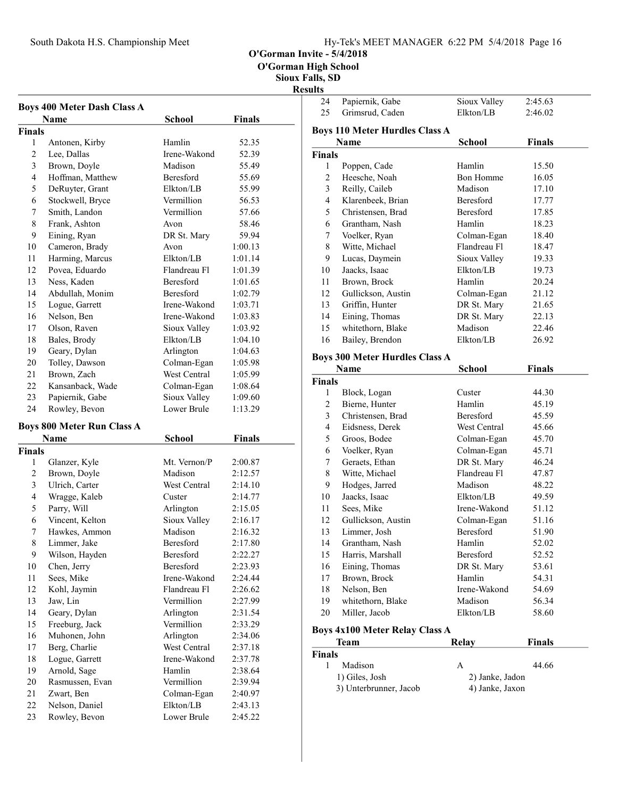South Dakota H.S. Championship Meet

|  | Hy-Tek's MEET MANAGER 6:22 PM 5/4/2018 Page 16 |  |  |
|--|------------------------------------------------|--|--|
|  |                                                |  |  |

O'Gorman Invite - 5/4/2018

O'Gorman High School

Sioux Falls, SD

|                | <b>Boys 400 Meter Dash Class A</b><br>Name | <b>School</b>            | <b>Finals</b>      |
|----------------|--------------------------------------------|--------------------------|--------------------|
|                |                                            |                          |                    |
| Finals<br>1    |                                            | Hamlin                   | 52.35              |
| $\overline{c}$ | Antonen, Kirby<br>Lee, Dallas              | Irene-Wakond             | 52.39              |
| 3              | Brown, Doyle                               | Madison                  | 55.49              |
| $\overline{4}$ | Hoffman, Matthew                           | Beresford                | 55.69              |
| 5              | DeRuyter, Grant                            | Elkton/LB                | 55.99              |
| 6              |                                            | Vermillion               |                    |
|                | Stockwell, Bryce                           | Vermillion               | 56.53              |
| 7<br>8         | Smith, Landon<br>Frank, Ashton             |                          | 57.66              |
|                |                                            | Avon                     | 58.46              |
| 9              | Eining, Ryan                               | DR St. Mary              | 59.94              |
| 10             | Cameron, Brady                             | Avon                     | 1:00.13            |
| 11             | Harming, Marcus                            | Elkton/LB                | 1:01.14            |
| 12             | Povea, Eduardo                             | Flandreau Fl             | 1:01.39            |
| 13             | Ness, Kaden                                | Beresford                | 1:01.65            |
| 14             | Abdullah, Monim                            | Beresford                | 1:02.79            |
| 15             | Logue, Garrett                             | Irene-Wakond             | 1:03.71            |
| 16             | Nelson, Ben                                | Irene-Wakond             | 1:03.83            |
| 17             | Olson, Raven                               | Sioux Valley             | 1:03.92            |
| 18             | Bales, Brody                               | Elkton/LB                | 1:04.10            |
| 19             | Geary, Dylan                               | Arlington                | 1:04.63            |
| 20             | Tolley, Dawson                             | Colman-Egan              | 1:05.98            |
| 21             | Brown, Zach                                | West Central             | 1:05.99            |
| 22             | Kansanback, Wade                           | Colman-Egan              | 1:08.64            |
| 23             | Papiernik, Gabe                            | Sioux Valley             | 1:09.60            |
| 24             | Rowley, Bevon                              | Lower Brule              | 1:13.29            |
|                | <b>Boys 800 Meter Run Class A</b>          |                          |                    |
|                | Name                                       | <b>School</b>            | <b>Finals</b>      |
| Finals         |                                            |                          |                    |
| 1              | Glanzer, Kyle                              | Mt. Vernon/P             | 2:00.87            |
| $\mathfrak{2}$ | Brown, Doyle                               | Madison                  | 2:12.57            |
| 3              | Ulrich, Carter                             | West Central             | 2:14.10            |
| 4              | Wragge, Kaleb                              | Custer                   | 2:14.77            |
| 5              | Parry, Will                                | Arlington                | 2:15.05            |
| 6              | Vincent, Kelton                            | Sioux Valley             | 2:16.17            |
| 7              | Hawkes, Ammon                              | Madison                  | 2:16.32            |
| 8              | Limmer, Jake                               | Beresford                | 2:17.80            |
| 9              | Wilson, Hayden                             | Beresford                | 2:22.27            |
| 10             | Chen, Jerry                                | Beresford                | 2:23.93            |
| 11             | Sees, Mike                                 | Irene-Wakond             | 2:24.44            |
| 12             | Kohl, Jaymin                               | Flandreau Fl             | 2:26.62            |
| 13             | Jaw, Lin                                   | Vermillion               | 2:27.99            |
| 14             | Geary, Dylan                               | Arlington                | 2:31.54            |
| 15             | Freeburg, Jack                             | Vermillion               | 2:33.29            |
| 16             | Muhonen, John                              | Arlington                | 2:34.06            |
| 17             | Berg, Charlie                              | West Central             | 2:37.18            |
| 18             | Logue, Garrett                             | Irene-Wakond             | 2:37.78            |
|                | Arnold, Sage                               | Hamlin                   | 2:38.64            |
| 19             |                                            |                          |                    |
|                |                                            | Vermillion               |                    |
| 20             | Rasmussen, Evan                            |                          | 2:39.94            |
| 21<br>22       | Zwart, Ben<br>Nelson, Daniel               | Colman-Egan<br>Elkton/LB | 2:40.97<br>2:43.13 |

| 24             | Papiernik, Gabe                       | Sioux Valley         | 2:45.63       |
|----------------|---------------------------------------|----------------------|---------------|
| 25             | Grimsrud, Caden                       | Elkton/LB            | 2:46.02       |
|                | <b>Boys 110 Meter Hurdles Class A</b> |                      |               |
|                | Name                                  | <b>School</b>        | <b>Finals</b> |
| <b>Finals</b>  |                                       |                      |               |
| 1              | Poppen, Cade                          | Hamlin               | 15.50         |
| 2              | Heesche, Noah                         | <b>Bon Homme</b>     | 16.05         |
| 3              | Reilly, Caileb                        | Madison              | 17.10         |
| $\overline{4}$ | Klarenbeek, Brian                     | <b>Beresford</b>     | 17.77         |
| 5              | Christensen. Brad                     | <b>Beresford</b>     | 17.85         |
| 6              | Grantham, Nash                        | Hamlin               | 18.23         |
| 7              | Voelker, Ryan                         | Colman-Egan          | 18.40         |
| 8              | Witte, Michael                        | Flandreau Fl         | 18.47         |
| 9              | Lucas, Daymein                        | Sioux Valley         | 19.33         |
| 10             | Jaacks, Isaac                         | Elkton/LB            | 19.73         |
| 11             | Brown, Brock                          | Hamlin               | 20.24         |
| 12             | Gullickson, Austin                    | Colman-Egan          | 21.12         |
| 13             | Griffin, Hunter                       | DR St. Mary          | 21.65         |
| 14             | Eining, Thomas                        | DR St. Mary          | 22.13         |
| 15             | whitethorn, Blake                     | Madison              | 22.46         |
| 16             | Bailey, Brendon                       | Elkton/LB            | 26.92         |
|                |                                       |                      |               |
|                | <b>Boys 300 Meter Hurdles Class A</b> |                      |               |
|                | <b>Name</b>                           | <b>School</b>        | <b>Finals</b> |
| <b>Finals</b>  |                                       |                      |               |
| $\mathbf{1}$   | Block, Logan                          | Custer               | 44.30         |
| 2              | Bierne, Hunter                        | Hamlin               | 45.19         |
| 3              | Christensen, Brad                     | <b>Beresford</b>     | 45.59         |
| 4              | Eidsness, Derek                       | West Central         | 45.66         |
| 5              | Groos, Bodee                          | Colman-Egan          | 45.70         |
| 6              | Voelker, Ryan                         | Colman-Egan          | 45.71         |
| 7              | Geraets, Ethan                        | DR St. Mary          | 46.24         |
| 8              | Witte, Michael                        | Flandreau Fl         | 47.87         |
| 9              | Hodges, Jarred                        | Madison              | 48.22         |
| 10             | Jaacks, Isaac                         | Elkton/LB            | 49.59         |
| 11             | Sees, Mike                            | Irene-Wakond         | 51.12         |
| 12             | Gullickson, Austin                    | Colman-Egan          | 51.16         |
| 13             | Limmer, Josh                          | Beresford            | 51.90         |
| 14             | Grantham, Nash                        | Hamlin               | 52.02         |
| 15             | Harris, Marshall                      | Beresford            | 52.52         |
| 16             | Eining, Thomas                        | DR St. Mary          | 53.61         |
| 17             | Brown, Brock                          | Hamlin               | 54.31         |
| 18             | Nelson, Ben                           | Irene-Wakond         | 54.69         |
|                | whitethorn, Blake                     | Madison              | 56.34         |
| 19             | Miller, Jacob                         | Elkton/LB            | 58.60         |
| 20             |                                       |                      |               |
|                |                                       |                      |               |
|                | <b>Boys 4x100 Meter Relay Class A</b> |                      |               |
|                | Team                                  | <b>Relay</b>         | Finals        |
| <b>Finals</b>  |                                       |                      |               |
| 1              | Madison<br>1) Giles, Josh             | A<br>2) Janke, Jadon | 44.66         |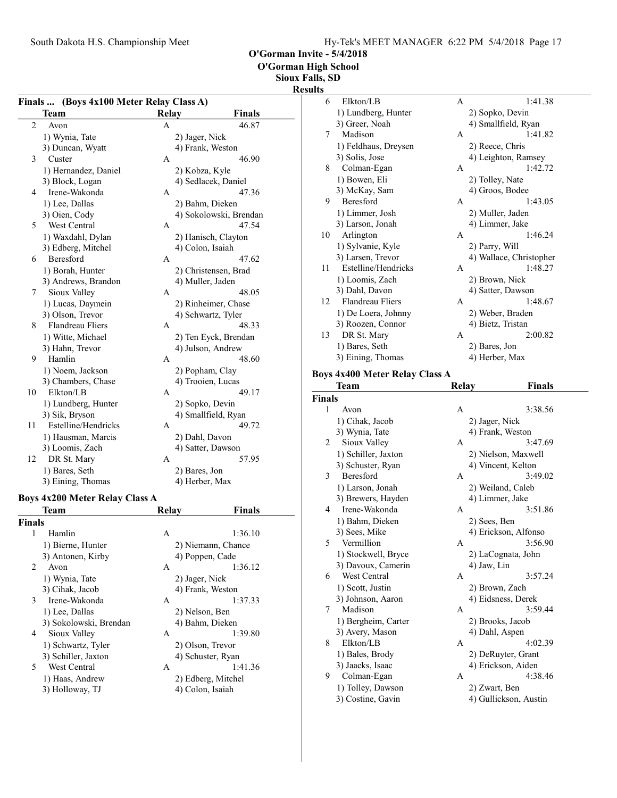O'Gorman High School

Sioux Falls, SD

#### Results

| Finals  (Boys 4x100 Meter Relay Class A) |                         |              |                        |               |  |  |
|------------------------------------------|-------------------------|--------------|------------------------|---------------|--|--|
|                                          | <b>Team</b>             | <b>Relay</b> |                        | <b>Finals</b> |  |  |
| $\overline{c}$                           | Avon                    | A            |                        | 46.87         |  |  |
|                                          | 1) Wynia, Tate          |              | 2) Jager, Nick         |               |  |  |
|                                          | 3) Duncan, Wyatt        |              | 4) Frank, Weston       |               |  |  |
| 3                                        | Custer                  | A            |                        | 46.90         |  |  |
|                                          | 1) Hernandez, Daniel    |              | 2) Kobza, Kyle         |               |  |  |
|                                          | 3) Block, Logan         |              | 4) Sedlacek, Daniel    |               |  |  |
| 4                                        | Irene-Wakonda           | A            |                        | 47.36         |  |  |
|                                          | 1) Lee, Dallas          |              | 2) Bahm, Dieken        |               |  |  |
|                                          | 3) Oien, Cody           |              | 4) Sokolowski, Brendan |               |  |  |
| 5                                        | West Central            | A            |                        | 47.54         |  |  |
|                                          | 1) Waxdahl, Dylan       |              | 2) Hanisch, Clayton    |               |  |  |
|                                          | 3) Edberg, Mitchel      |              | 4) Colon, Isaiah       |               |  |  |
| 6                                        | Beresford               | A            |                        | 47.62         |  |  |
|                                          | 1) Borah, Hunter        |              | 2) Christensen, Brad   |               |  |  |
|                                          | 3) Andrews, Brandon     |              | 4) Muller, Jaden       |               |  |  |
| 7                                        | Sioux Valley            | A            |                        | 48.05         |  |  |
|                                          | 1) Lucas, Daymein       |              | 2) Rinheimer, Chase    |               |  |  |
|                                          | 3) Olson, Trevor        |              | 4) Schwartz, Tyler     |               |  |  |
| 8                                        | <b>Flandreau Fliers</b> | A            |                        | 48.33         |  |  |
|                                          | 1) Witte, Michael       |              | 2) Ten Eyck, Brendan   |               |  |  |
|                                          | 3) Hahn, Trevor         |              | 4) Julson, Andrew      |               |  |  |
| 9                                        | Hamlin                  | А            |                        | 48.60         |  |  |
|                                          | 1) Noem, Jackson        |              | 2) Popham, Clay        |               |  |  |
|                                          | 3) Chambers, Chase      |              | 4) Trooien, Lucas      |               |  |  |
| 10                                       | Elkton/LB               | A            |                        | 49.17         |  |  |
|                                          | 1) Lundberg, Hunter     |              | 2) Sopko, Devin        |               |  |  |
|                                          | 3) Sik, Bryson          |              | 4) Smallfield, Ryan    |               |  |  |
| 11                                       | Estelline/Hendricks     | А            |                        | 49.72         |  |  |
|                                          | 1) Hausman, Marcis      |              | 2) Dahl, Davon         |               |  |  |
|                                          | 3) Loomis, Zach         |              | 4) Satter, Dawson      |               |  |  |
| 12                                       | DR St. Mary             | А            |                        | 57.95         |  |  |
|                                          | 1) Bares, Seth          |              | 2) Bares, Jon          |               |  |  |
|                                          | 3) Eining, Thomas       |              | 4) Herber, Max         |               |  |  |
|                                          |                         |              |                        |               |  |  |

## Boys 4x200 Meter Relay Class A

| Team                   | Relay          | <b>Finals</b>      |
|------------------------|----------------|--------------------|
| <b>Finals</b>          |                |                    |
| Hamlin                 | A              | 1:36.10            |
| 1) Bierne, Hunter      |                | 2) Niemann, Chance |
| 3) Antonen, Kirby      |                | 4) Poppen, Cade    |
| Avon                   | A              | 1:36.12            |
| 1) Wynia, Tate         | 2) Jager, Nick |                    |
| 3) Cihak, Jacob        |                | 4) Frank, Weston   |
| Irene-Wakonda          | A              | 1:37.33            |
| 1) Lee, Dallas         | 2) Nelson, Ben |                    |
| 3) Sokolowski, Brendan |                | 4) Bahm, Dieken    |
| Sioux Valley           | A              | 1:39.80            |
| 1) Schwartz, Tyler     |                | 2) Olson, Trevor   |
| 3) Schiller, Jaxton    |                | 4) Schuster, Ryan  |
| West Central           | A              | 1:41.36            |
| 1) Haas, Andrew        |                | 2) Edberg, Mitchel |
| 3) Holloway, TJ        |                | 4) Colon, Isaiah   |
|                        |                |                    |

| 6  | Elkton/LB               | A | 1:41.38                 |
|----|-------------------------|---|-------------------------|
|    | 1) Lundberg, Hunter     |   | 2) Sopko, Devin         |
|    | 3) Greer, Noah          |   | 4) Smallfield, Ryan     |
| 7  | Madison                 | A | 1:41.82                 |
|    | 1) Feldhaus, Dreysen    |   | 2) Reece, Chris         |
|    | 3) Solis, Jose          |   | 4) Leighton, Ramsey     |
| 8  | Colman-Egan             | A | 1:42.72                 |
|    | 1) Bowen, Eli           |   | 2) Tolley, Nate         |
|    | 3) McKay, Sam           |   | 4) Groos, Bodee         |
| 9  | Beresford               | A | 1:43.05                 |
|    | 1) Limmer, Josh         |   | 2) Muller, Jaden        |
|    | 3) Larson, Jonah        |   | 4) Limmer, Jake         |
| 10 | Arlington               | A | 1:46.24                 |
|    | 1) Sylvanie, Kyle       |   | 2) Parry, Will          |
|    | 3) Larsen, Trevor       |   | 4) Wallace, Christopher |
| 11 | Estelline/Hendricks     | A | 1:48.27                 |
|    | 1) Loomis, Zach         |   | 2) Brown, Nick          |
|    | 3) Dahl, Davon          |   | 4) Satter, Dawson       |
| 12 | <b>Flandreau Fliers</b> | A | 1:48.67                 |
|    | 1) De Loera, Johnny     |   | 2) Weber, Braden        |
|    | 3) Roozen, Connor       |   | 4) Bietz, Tristan       |
| 13 | DR St. Mary             | A | 2:00.82                 |
|    | 1) Bares, Seth          |   | 2) Bares, Jon           |
|    | 3) Eining, Thomas       |   | 4) Herber, Max          |

#### Boys 4x400 Meter Relay Class A

|               | <b>Team</b>         | Relay            | <b>Finals</b>         |  |
|---------------|---------------------|------------------|-----------------------|--|
| <b>Finals</b> |                     |                  |                       |  |
| 1             | Avon                | A                | 3:38.56               |  |
|               | 1) Cihak, Jacob     | 2) Jager, Nick   |                       |  |
|               | 3) Wynia, Tate      | 4) Frank, Weston |                       |  |
| 2             | Sioux Valley        | A                | 3:47.69               |  |
|               | 1) Schiller, Jaxton |                  | 2) Nielson, Maxwell   |  |
|               | 3) Schuster, Ryan   |                  | 4) Vincent, Kelton    |  |
| 3             | <b>Beresford</b>    | A                | 3:49.02               |  |
|               | 1) Larson, Jonah    |                  | 2) Weiland, Caleb     |  |
|               | 3) Brewers, Hayden  | 4) Limmer, Jake  |                       |  |
| 4             | Irene-Wakonda       | A                | 3:51.86               |  |
|               | 1) Bahm, Dieken     | 2) Sees, Ben     |                       |  |
|               | 3) Sees, Mike       |                  | 4) Erickson, Alfonso  |  |
| 5             | Vermillion          | A                | 3:56.90               |  |
|               | 1) Stockwell, Bryce |                  | 2) LaCognata, John    |  |
|               | 3) Davoux, Camerin  | 4) Jaw, Lin      |                       |  |
| 6             | West Central        | A                | 3:57.24               |  |
|               | 1) Scott, Justin    | 2) Brown, Zach   |                       |  |
|               | 3) Johnson, Aaron   |                  | 4) Eidsness, Derek    |  |
| 7             | Madison             | A                | 3:59.44               |  |
|               | 1) Bergheim, Carter | 2) Brooks, Jacob |                       |  |
|               | 3) Avery, Mason     | 4) Dahl, Aspen   |                       |  |
| 8             | Elkton/LB           | A                | 4:02.39               |  |
|               | 1) Bales, Brody     |                  | 2) DeRuyter, Grant    |  |
|               | 3) Jaacks, Isaac    |                  | 4) Erickson, Aiden    |  |
| 9             | Colman-Egan         | А                | 4:38.46               |  |
|               | 1) Tolley, Dawson   | 2) Zwart, Ben    |                       |  |
|               | 3) Costine, Gavin   |                  | 4) Gullickson, Austin |  |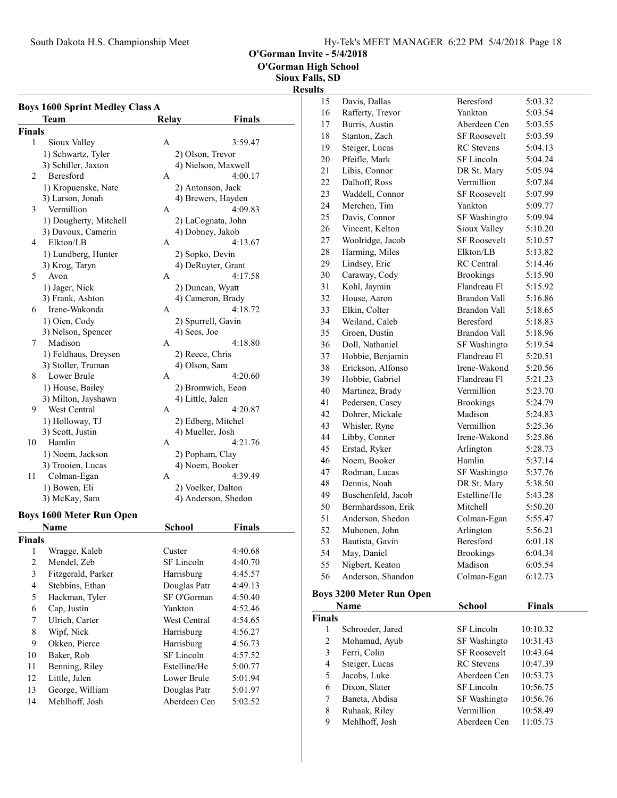South Dakota H.S. Championship Meet Hy-Tek's MEET MANAGER 6:22 PM 5/4/2018 Page 18

O'Gorman Invite - 5/4/2018

O'Gorman High School

Sioux Falls, SD

|                | <b>Boys 1600 Sprint Medley Class A</b><br>Team | Relay                      | Finals        |
|----------------|------------------------------------------------|----------------------------|---------------|
| <b>Finals</b>  |                                                |                            |               |
| 1              | Sioux Valley                                   | Α                          | 3:59.47       |
|                | 1) Schwartz, Tyler                             | 2) Olson, Trevor           |               |
|                | 3) Schiller, Jaxton                            | 4) Nielson, Maxwell        |               |
| 2              | Beresford                                      | А                          | 4:00.17       |
|                | 1) Kropuenske, Nate                            | 2) Antonson, Jack          |               |
|                | 3) Larson, Jonah                               | 4) Brewers, Hayden         |               |
| 3              | Vermillion                                     | А                          | 4:09.83       |
|                | 1) Dougherty, Mitchell                         | 2) LaCognata, John         |               |
|                | 3) Davoux, Camerin                             | 4) Dobney, Jakob           |               |
| 4              | Elkton/LB                                      | A                          | 4:13.67       |
|                | 1) Lundberg, Hunter                            | 2) Sopko, Devin            |               |
|                | 3) Krog, Taryn                                 | 4) DeRuyter, Grant         |               |
| 5              | Avon                                           | А                          | 4:17.58       |
|                | 1) Jager, Nick                                 | 2) Duncan, Wyatt           |               |
|                | 3) Frank, Ashton                               | 4) Cameron, Brady          |               |
| 6              | Irene-Wakonda                                  | A                          | 4:18.72       |
|                | 1) Oien, Cody                                  | 2) Spurrell, Gavin         |               |
|                | 3) Nelson, Spencer                             | 4) Sees, Joe               |               |
| 7              | Madison                                        | А                          | 4:18.80       |
|                | 1) Feldhaus, Dreysen                           | 2) Reece, Chris            |               |
|                | 3) Stoller, Truman                             | 4) Olson, Sam              |               |
| 8              | Lower Brule                                    | A                          | 4:20.60       |
|                | 1) House, Bailey                               | 2) Bromwich, Eeon          |               |
|                | 3) Milton, Jayshawn                            | 4) Little, Jalen           |               |
| 9.             | West Central                                   | А                          | 4:20.87       |
|                | 1) Holloway, TJ                                | 2) Edberg, Mitchel         |               |
|                | 3) Scott, Justin                               | 4) Mueller, Josh           |               |
| 10             | Hamlin                                         | A                          | 4:21.76       |
|                | 1) Noem, Jackson                               | 2) Popham, Clay            |               |
|                | 3) Trooien, Lucas                              | 4) Noem, Booker            |               |
| 11             | Colman-Egan                                    | А                          | 4:39.49       |
|                | 1) Bowen, Eli                                  | 2) Voelker, Dalton         |               |
|                | 3) McKay, Sam                                  | 4) Anderson, Shedon        |               |
|                | <b>Boys 1600 Meter Run Open</b>                |                            |               |
|                | Name                                           | School                     | <b>Finals</b> |
| <b>Finals</b>  |                                                |                            |               |
| 1              | Wragge, Kaleb                                  | Custer                     | 4:40.68       |
| $\overline{2}$ | Mendel, Zeb                                    | SF Lincoln                 | 4:40.70       |
| 3              | Fitzgerald, Parker                             | Harrisburg                 | 4:45.57       |
| 4              | Stebbins, Ethan                                | Douglas Patr               | 4:49.13       |
| 5              | Hackman, Tyler                                 | SF O'Gorman                | 4:50.40       |
| 6              | Cap, Justin                                    | Yankton                    | 4:52.46       |
| 7              | Ulrich, Carter                                 | West Central               | 4:54.65       |
| 8              | Wipf, Nick                                     | Harrisburg                 | 4:56.27       |
| 9              | Okken, Pierce                                  | Harrisburg                 | 4:56.73       |
|                |                                                |                            |               |
| 10             | Baker, Rob                                     | SF Lincoln<br>Estelline/He | 4:57.52       |
| 11             | Benning, Riley                                 |                            | 5:00.77       |
| 12             | Little, Jalen                                  | Lower Brule                | 5:01.94       |
| 13             | George, William                                | Douglas Patr               | 5:01.97       |
| 14             | Mehlhoff, Josh                                 | Aberdeen Cen               | 5:02.52       |

|                | <b>Results</b> |                                 |                     |         |
|----------------|----------------|---------------------------------|---------------------|---------|
|                | 15             | Davis, Dallas                   | Beresford           | 5:03.32 |
|                | 16             | Rafferty, Trevor                | Yankton             | 5:03.54 |
| $\overline{a}$ | 17             | Burris, Austin                  | Aberdeen Cen        | 5:03.55 |
|                | 18             | Stanton, Zach                   | <b>SF Roosevelt</b> | 5:03.59 |
|                | 19             | Steiger, Lucas                  | <b>RC</b> Stevens   | 5:04.13 |
|                | 20             | Pfeifle, Mark                   | SF Lincoln          | 5:04.24 |
|                | 21             | Libis, Connor                   | DR St. Mary         | 5:05.94 |
|                | 22             | Dalhoff, Ross                   | Vermillion          | 5:07.84 |
|                | 23             | Waddell, Connor                 | <b>SF Roosevelt</b> | 5:07.99 |
|                | 24             | Merchen, Tim                    | Yankton             | 5:09.77 |
|                | 25             | Davis, Connor                   | SF Washingto        | 5:09.94 |
|                | 26             | Vincent, Kelton                 | Sioux Valley        | 5:10.20 |
|                | 27             | Woolridge, Jacob                | <b>SF Roosevelt</b> | 5:10.57 |
|                | 28             | Harming, Miles                  | Elkton/LB           | 5:13.82 |
|                | 29             | Lindsey, Eric                   | <b>RC</b> Central   | 5:14.46 |
|                | 30             | Caraway, Cody                   | <b>Brookings</b>    | 5:15.90 |
|                | 31             | Kohl, Jaymin                    | Flandreau Fl        | 5:15.92 |
|                | 32             | House, Aaron                    | <b>Brandon Vall</b> | 5:16.86 |
|                | 33             | Elkin, Colter                   | <b>Brandon Vall</b> | 5:18.65 |
|                | 34             | Weiland, Caleb                  | <b>Beresford</b>    | 5:18.83 |
|                | 35             | Groen, Dustin                   | Brandon Vall        | 5:18.96 |
|                | 36             | Doll, Nathaniel                 | SF Washingto        | 5:19.54 |
|                | 37             | Hobbie, Benjamin                | Flandreau Fl        | 5:20.51 |
|                | 38             | Erickson, Alfonso               | Irene-Wakond        | 5:20.56 |
|                | 39             | Hobbie, Gabriel                 | Flandreau Fl        | 5:21.23 |
|                | 40             | Martinez, Brady                 | Vermillion          | 5:23.70 |
|                | 41             | Pedersen, Casey                 | <b>Brookings</b>    | 5:24.79 |
|                | 42             | Dohrer, Mickale                 | Madison             | 5:24.83 |
|                | 43             | Whisler, Ryne                   | Vermillion          | 5:25.36 |
|                | 44             | Libby, Conner                   | Irene-Wakond        | 5:25.86 |
|                | 45             | Erstad, Ryker                   | Arlington           | 5:28.73 |
|                | 46             | Noem, Booker                    | Hamlin              | 5:37.14 |
|                | 47             | Rodman, Lucas                   | SF Washingto        | 5:37.76 |
|                | 48             | Dennis, Noah                    | DR St. Mary         | 5:38.50 |
|                | 49             | Buschenfeld, Jacob              | Estelline/He        | 5:43.28 |
|                | 50             | Bermhardsson, Erik              | Mitchell            | 5:50.20 |
|                | 51             | Anderson, Shedon                | Colman-Egan         | 5:55.47 |
|                | 52             | Muhonen, John                   | Arlington           | 5:56.21 |
|                | 53             | Bautista, Gavin                 | Beresford           | 6:01.18 |
|                | 54             | May, Daniel                     | <b>Brookings</b>    | 6:04.34 |
|                | 55             | Nigbert, Keaton                 | Madison             | 6:05.54 |
|                | 56             | Anderson, Shandon               | Colman-Egan         | 6:12.73 |
|                |                | <b>Boys 3200 Meter Run Open</b> |                     |         |

| Name          |                  | School              | <b>Finals</b> |
|---------------|------------------|---------------------|---------------|
| <b>Finals</b> |                  |                     |               |
| 1             | Schroeder, Jared | SF Lincoln          | 10:10.32      |
| 2             | Mohamud, Ayub    | SF Washingto        | 10:31.43      |
| 3             | Ferri, Colin     | <b>SF Roosevelt</b> | 10:43.64      |
| 4             | Steiger, Lucas   | <b>RC</b> Stevens   | 10:47.39      |
| 5             | Jacobs, Luke     | Aberdeen Cen        | 10:53.73      |
| 6             | Dixon, Slater    | SF Lincoln          | 10:56.75      |
| 7             | Baneta, Abdisa   | SF Washingto        | 10:56.76      |
| 8             | Ruhaak, Riley    | Vermillion          | 10:58.49      |
| 9             | Mehlhoff, Josh   | Aberdeen Cen        | 11:05.73      |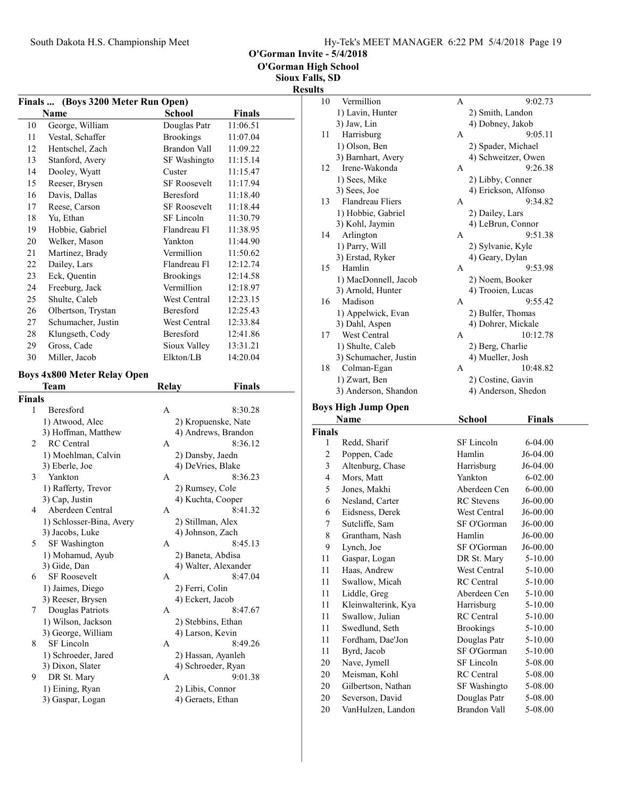O'Gorman Invite - 5/4/2018

Sioux Falls, SD

|               | Finals  (Boys 3200 Meter Run Open) |                      |               |  |
|---------------|------------------------------------|----------------------|---------------|--|
|               | <b>Name</b>                        | <b>School</b>        | <b>Finals</b> |  |
| 10            | George, William                    | Douglas Patr         | 11:06.51      |  |
| 11            | Vestal, Schaffer                   | <b>Brookings</b>     | 11:07.04      |  |
| 12            | Hentschel, Zach                    | Brandon Vall         | 11:09.22      |  |
| 13            | Stanford, Avery                    | SF Washingto         | 11:15.14      |  |
| 14            | Dooley, Wyatt                      | Custer               | 11:15.47      |  |
| 15            | Reeser, Brysen                     | <b>SF Roosevelt</b>  | 11:17.94      |  |
| 16            | Davis, Dallas                      | Beresford            | 11:18.40      |  |
| 17            | Reese, Carson                      | <b>SF Roosevelt</b>  | 11:18.44      |  |
| 18            | Yu, Ethan                          | SF Lincoln           | 11:30.79      |  |
| 19            | Hobbie, Gabriel                    | Flandreau Fl         | 11:38.95      |  |
| 20            | Welker, Mason                      | Yankton              | 11:44.90      |  |
| 21            | Martinez, Brady                    | Vermillion           | 11:50.62      |  |
| 22            | Dailey, Lars                       | Flandreau Fl         | 12:12.74      |  |
| 23            | Eck, Quentin                       | <b>Brookings</b>     | 12:14.58      |  |
| 24            | Freeburg, Jack                     | Vermillion           | 12:18.97      |  |
| 25            | Shulte, Caleb                      | West Central         | 12:23.15      |  |
| 26            | Olbertson, Trystan                 | Beresford            | 12:25.43      |  |
| 27            | Schumacher, Justin                 | West Central         | 12:33.84      |  |
| 28            | Klungseth, Cody                    | Beresford            | 12:41.86      |  |
| 29            | Gross, Cade                        | Sioux Valley         | 13:31.21      |  |
| 30            |                                    | Elkton/LB            | 14:20.04      |  |
|               | Miller, Jacob                      |                      |               |  |
|               | <b>Boys 4x800 Meter Relay Open</b> |                      | <b>Finals</b> |  |
| <b>Finals</b> | Team                               | <b>Relay</b>         |               |  |
| 1             | Beresford                          | A                    | 8:30.28       |  |
|               | 1) Atwood, Alec                    | 2) Kropuenske, Nate  |               |  |
|               | 3) Hoffman, Matthew                | 4) Andrews, Brandon  |               |  |
| 2             | <b>RC</b> Central                  | A                    | 8:36.12       |  |
|               | 1) Moehlman, Calvin                | 2) Dansby, Jaedn     |               |  |
|               | 3) Eberle, Joe                     | 4) DeVries, Blake    |               |  |
| 3             | Yankton                            | A                    | 8:36.23       |  |
|               | 1) Rafferty, Trevor                | 2) Rumsey, Cole      |               |  |
|               | 3) Cap, Justin                     | 4) Kuchta, Cooper    |               |  |
| 4             | Aberdeen Central                   | A                    | 8:41.32       |  |
|               | 1) Schlosser-Bina, Avery           | 2) Stillman, Alex    |               |  |
|               | 3) Jacobs, Luke                    | 4) Johnson, Zach     |               |  |
| 5.            | SF Washington                      | A                    | 8:45.13       |  |
|               | 1) Mohamud, Ayub                   | 2) Baneta, Abdisa    |               |  |
|               | 3) Gide, Dan                       | 4) Walter, Alexander |               |  |
| 6             | SF Roosevelt                       | A                    | 8:47.04       |  |
|               | 1) Jaimes, Diego                   | 2) Ferri, Colin      |               |  |
|               | 3) Reeser, Brysen                  | 4) Eckert, Jacob     |               |  |
| 7             | Douglas Patriots                   | А                    | 8:47.67       |  |
|               | 1) Wilson, Jackson                 | 2) Stebbins, Ethan   |               |  |
|               | 3) George, William                 | 4) Larson, Kevin     |               |  |
| 8             | SF Lincoln                         | A                    | 8:49.26       |  |
|               | 1) Schroeder, Jared                | 2) Hassan, Ayanleh   |               |  |
|               | 3) Dixon, Slater                   | 4) Schroeder, Ryan   |               |  |
| 9             | DR St. Mary                        | A                    | 9:01.38       |  |
|               | 1) Eining, Ryan                    | 2) Libis, Connor     |               |  |
|               |                                    |                      |               |  |

| 1118, Ə <i>d</i> |                            |                      |               |  |
|------------------|----------------------------|----------------------|---------------|--|
| ults             |                            |                      |               |  |
| 10               | Vermillion                 | A                    | 9:02.73       |  |
|                  | 1) Lavin, Hunter           | 2) Smith, Landon     |               |  |
|                  | 3) Jaw, Lin                | 4) Dobney, Jakob     |               |  |
| 11               | Harrisburg                 | A                    | 9:05.11       |  |
|                  | 1) Olson, Ben              | 2) Spader, Michael   |               |  |
|                  | 3) Barnhart, Avery         | 4) Schweitzer, Owen  |               |  |
| 12               | Irene-Wakonda              | А                    | 9:26.38       |  |
|                  | 1) Sees, Mike              | 2) Libby, Conner     |               |  |
|                  | 3) Sees, Joe               | 4) Erickson, Alfonso |               |  |
| 13               | <b>Flandreau Fliers</b>    | A                    | 9:34.82       |  |
|                  | 1) Hobbie, Gabriel         | 2) Dailey, Lars      |               |  |
|                  | 3) Kohl, Jaymin            | 4) LeBrun, Connor    |               |  |
| 14               | Arlington                  | A                    | 9:51.38       |  |
|                  | 1) Parry, Will             | 2) Sylvanie, Kyle    |               |  |
|                  | 3) Erstad, Ryker           | 4) Geary, Dylan      |               |  |
| 15               | Hamlin                     | A                    | 9:53.98       |  |
|                  | 1) MacDonnell, Jacob       | 2) Noem, Booker      |               |  |
|                  | 3) Arnold, Hunter          | 4) Trooien, Lucas    |               |  |
| 16               | Madison                    | A                    | 9:55.42       |  |
|                  | 1) Appelwick, Evan         | 2) Bulfer, Thomas    |               |  |
|                  | 3) Dahl, Aspen             | 4) Dohrer, Mickale   |               |  |
| 17               | West Central               | A                    | 10:12.78      |  |
|                  | 1) Shulte, Caleb           | 2) Berg, Charlie     |               |  |
|                  | 3) Schumacher, Justin      | 4) Mueller, Josh     |               |  |
| 18               | Colman-Egan                | A                    | 10:48.82      |  |
|                  | 1) Zwart, Ben              | 2) Costine, Gavin    |               |  |
|                  | 3) Anderson, Shandon       | 4) Anderson, Shedon  |               |  |
|                  | <b>Boys High Jump Open</b> |                      |               |  |
|                  | Name                       | <b>School</b>        | <b>Finals</b> |  |
| <b>Finals</b>    |                            |                      |               |  |
| 1                | Redd, Sharif               | SF Lincoln           | 6-04.00       |  |
| 2                | Poppen, Cade               | Hamlin               | J6-04.00      |  |
| 3                | Altenburg, Chase           | Harrisburg           | J6-04.00      |  |
| 4                | Mors, Matt                 | Yankton              | 6-02.00       |  |
| 5                | Jones, Makhi               | Aberdeen Cen         | $6 - 00.00$   |  |
| 6                |                            | RC Stevens           |               |  |
|                  | Nesland, Carter            |                      | J6-00.00      |  |
| 6                | Eidsness, Derek            | West Central         | J6-00.00      |  |
| 7                | Sutcliffe, Sam             | SF O'Gorman          | J6-00.00      |  |
| 8                | Grantham, Nash             | Hamlin               | $J6-00.00$    |  |
| 9                | Lynch, Joe                 | SF O'Gorman          | J6-00.00      |  |
| 11               | Gaspar, Logan              | DR St. Mary          | 5-10.00       |  |
| 11               | Haas, Andrew               | West Central         | 5-10.00       |  |
| 11               | Swallow, Micah             | RC Central           | 5-10.00       |  |
| 11               | Liddle, Greg               | Aberdeen Cen         | 5-10.00       |  |
| 11               | Kleinwalterink, Kya        | Harrisburg           | 5-10.00       |  |
| 11               | Swallow, Julian            | <b>RC</b> Central    | 5-10.00       |  |
| 11               | Swedlund, Seth             | <b>Brookings</b>     | 5-10.00       |  |

11 5-10.00 Fordham, Dae'Jon Douglas Patr 11 Byrd, Jacob SF O'Gorman 5-10.00 20 Nave, Jymell SF Lincoln 5-08.00 20 Meisman, Kohl RC Central 5-08.00 20 Gilbertson, Nathan SF Washingto 5-08.00<br>20 Severson, David Douglas Patr 5-08.00

20 5-08.00 VanHulzen, Landon Brandon Vall

Severson, David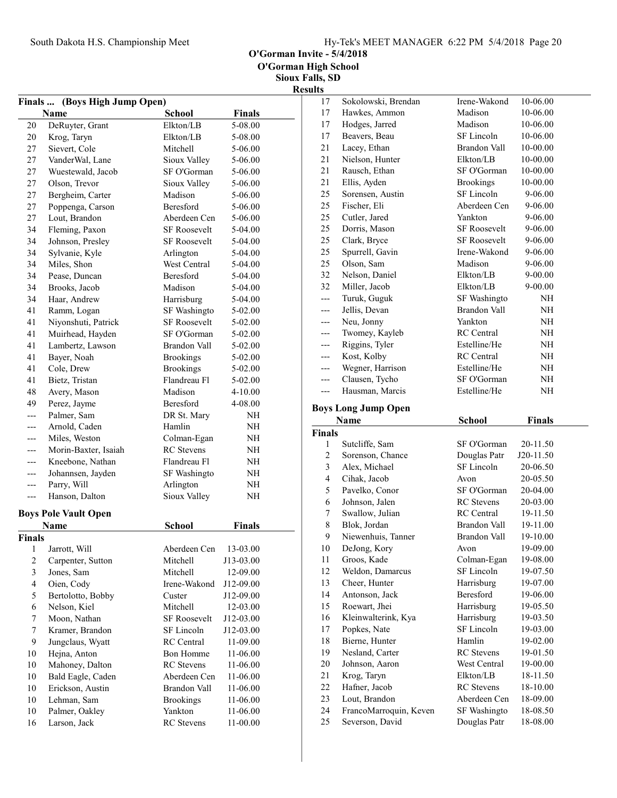O'Gorman Invite - 5/4/2018

| <b>Finals</b>           | (Boys High Jump Open)       |                     |               |  |
|-------------------------|-----------------------------|---------------------|---------------|--|
|                         | Name                        | <b>School</b>       | <b>Finals</b> |  |
| 20                      | DeRuyter, Grant             | Elkton/LB           | 5-08.00       |  |
| 20                      | Krog, Taryn                 | Elkton/LB           | 5-08.00       |  |
| 27                      | Sievert, Cole               | Mitchell            | 5-06.00       |  |
| 27                      | VanderWal, Lane             | Sioux Valley        | 5-06.00       |  |
| 27                      | Wuestewald, Jacob           | SF O'Gorman         | 5-06.00       |  |
| 27                      | Olson, Trevor               | Sioux Valley        | 5-06.00       |  |
| 27                      | Bergheim, Carter            | Madison             | 5-06.00       |  |
| 27                      | Poppenga, Carson            | <b>Beresford</b>    | 5-06.00       |  |
| 27                      | Lout, Brandon               | Aberdeen Cen        | 5-06.00       |  |
| 34                      | Fleming, Paxon              | <b>SF Roosevelt</b> | 5-04.00       |  |
| 34                      | Johnson, Presley            | <b>SF Roosevelt</b> | 5-04.00       |  |
| 34                      | Sylvanie, Kyle              | Arlington           | 5-04.00       |  |
| 34                      | Miles, Shon                 | West Central        | 5-04.00       |  |
| 34                      | Pease, Duncan               | <b>Beresford</b>    | 5-04.00       |  |
| 34                      | Brooks, Jacob               | Madison             | 5-04.00       |  |
| 34                      | Haar, Andrew                | Harrisburg          | 5-04.00       |  |
| 41                      | Ramm, Logan                 | SF Washingto        | 5-02.00       |  |
| 41                      | Niyonshuti, Patrick         | <b>SF Roosevelt</b> | 5-02.00       |  |
| 41                      | Muirhead, Hayden            | SF O'Gorman         | 5-02.00       |  |
| 41                      | Lambertz, Lawson            | Brandon Vall        | 5-02.00       |  |
| 41                      | Bayer, Noah                 | <b>Brookings</b>    | 5-02.00       |  |
| 41                      | Cole, Drew                  | <b>Brookings</b>    | 5-02.00       |  |
| 41                      | Bietz, Tristan              | Flandreau Fl        | 5-02.00       |  |
| 48                      | Avery, Mason                | Madison             | 4-10.00       |  |
| 49                      | Perez, Jayme                | Beresford           | 4-08.00       |  |
| $\overline{a}$          | Palmer, Sam                 | DR St. Mary         | NH            |  |
| ---                     | Arnold, Caden               | Hamlin              | NH            |  |
| ---                     | Miles, Weston               | Colman-Egan         | NH            |  |
| ---                     | Morin-Baxter, Isaiah        | <b>RC</b> Stevens   | NH            |  |
| ---                     | Kneebone, Nathan            | Flandreau Fl        | NΗ            |  |
| ---                     | Johannsen, Jayden           | SF Washingto        | NΗ            |  |
| ---                     | Parry, Will                 | Arlington           | NH            |  |
| ---                     | Hanson, Dalton              | Sioux Valley        | NH            |  |
|                         | <b>Boys Pole Vault Open</b> |                     |               |  |
|                         | Name                        | <b>School</b>       | <b>Finals</b> |  |
| Finals                  |                             |                     |               |  |
| $\mathbf{1}$            | Jarrott, Will               | Aberdeen Cen        | 13-03.00      |  |
| $\overline{c}$          | Carpenter, Sutton           | Mitchell            | J13-03.00     |  |
| 3                       | Jones, Sam                  | Mitchell            | 12-09.00      |  |
| $\overline{\mathbf{4}}$ | Oien, Cody                  | Irene-Wakond        | J12-09.00     |  |
| 5                       | Bertolotto, Bobby           | Custer              | J12-09.00     |  |
| 6                       | Nelson, Kiel                | Mitchell            | 12-03.00      |  |
| 7                       | Moon, Nathan                | SF Roosevelt        | J12-03.00     |  |
| 7                       | Kramer, Brandon             | SF Lincoln          | J12-03.00     |  |
| 9                       | Jungclaus, Wyatt            | <b>RC</b> Central   | 11-09.00      |  |
| 10                      | Hejna, Anton                | Bon Homme           | 11-06.00      |  |
| 10                      | Mahoney, Dalton             | <b>RC</b> Stevens   | 11-06.00      |  |
| 10                      | Bald Eagle, Caden           | Aberdeen Cen        | 11-06.00      |  |
| 10                      | Erickson, Austin            | Brandon Vall        | 11-06.00      |  |
| 10                      | Lehman, Sam                 | <b>Brookings</b>    | 11-06.00      |  |
| 10                      | Palmer, Oakley              | Yankton             | 11-06.00      |  |
| 16                      | Larson, Jack                | <b>RC</b> Stevens   | 11-00.00      |  |

| 17             | Sokolowski, Brendan                     | Irene-Wakond                      | 10-06.00             |
|----------------|-----------------------------------------|-----------------------------------|----------------------|
| 17             | Hawkes, Ammon                           | Madison                           | 10-06.00             |
| 17             | Hodges, Jarred                          | Madison                           | 10-06.00             |
| 17             | Beavers, Beau                           | SF Lincoln                        | 10-06.00             |
| 21             | Lacey, Ethan                            | <b>Brandon Vall</b>               | 10-00.00             |
| 21             | Nielson, Hunter                         | Elkton/LB                         | 10-00.00             |
| 21             | Rausch, Ethan                           | SF O'Gorman                       | 10-00.00             |
| 21             | Ellis, Ayden                            | <b>Brookings</b>                  | 10-00.00             |
| 25             | Sorensen, Austin                        | SF Lincoln                        | 9-06.00              |
| 25             | Fischer, Eli                            | Aberdeen Cen                      | 9-06.00              |
| 25             | Cutler, Jared                           | Yankton                           | 9-06.00              |
| 25             | Dorris, Mason                           | <b>SF Roosevelt</b>               | 9-06.00              |
| 25             | Clark, Bryce                            | <b>SF Roosevelt</b>               | 9-06.00              |
| 25             | Spurrell, Gavin                         | Irene-Wakond                      | 9-06.00              |
| 25             | Olson, Sam                              | Madison                           | 9-06.00              |
| 32             | Nelson, Daniel                          | Elkton/LB                         | $9 - 00.00$          |
| 32             | Miller, Jacob                           | Elkton/LB                         | 9-00.00              |
| ---            | Turuk, Guguk                            | SF Washingto                      | NH                   |
| ---            | Jellis, Devan                           | <b>Brandon Vall</b>               | NH                   |
| ---            | Neu, Jonny                              | Yankton                           | NΗ                   |
|                | Twomey, Kayleb                          | <b>RC</b> Central                 | NΗ                   |
| ---            | Riggins, Tyler                          | Estelline/He                      | NH                   |
| ---            | Kost, Kolby                             | <b>RC</b> Central                 | NH                   |
| ---            | Wegner, Harrison                        | Estelline/He                      | NH                   |
| ---            | Clausen, Tycho                          | SF O'Gorman                       | NH                   |
| ---            | Hausman, Marcis                         | Estelline/He                      | NΗ                   |
|                | <b>Boys Long Jump Open</b>              |                                   |                      |
|                |                                         |                                   |                      |
|                | <b>Name</b>                             | <b>School</b>                     | <b>Finals</b>        |
| <b>Finals</b>  |                                         |                                   |                      |
| 1              | Sutcliffe, Sam                          | SF O'Gorman                       | 20-11.50             |
| $\overline{c}$ | Sorenson, Chance                        | Douglas Patr                      | J20-11.50            |
| 3              | Alex, Michael                           | SF Lincoln                        | 20-06.50             |
| 4              | Cihak, Jacob                            | Avon                              | 20-05.50             |
| 5              | Pavelko, Conor                          | SF O'Gorman                       | 20-04.00             |
| 6              | Johnson, Jalen                          | <b>RC</b> Stevens                 | 20-03.00             |
| 7              | Swallow, Julian                         | <b>RC</b> Central                 | 19-11.50             |
| 8              | Blok, Jordan                            | Brandon Vall                      | 19-11.00             |
| 9              | Niewenhuis, Tanner                      | <b>Brandon Vall</b>               | 19-10.00             |
| 10             | DeJong, Kory                            | Avon                              | 19-09.00             |
| 11             | Groos, Kade                             | Colman-Egan                       | 19-08.00             |
| 12             | Weldon, Damarcus                        | SF Lincoln                        | 19-07.50             |
| 13             | Cheer, Hunter                           | Harrisburg                        | 19-07.00             |
| 14             | Antonson, Jack                          | Beresford                         | 19-06.00             |
| 15             | Roewart, Jhei                           | Harrisburg                        | 19-05.50             |
| 16             | Kleinwalterink, Kya                     | Harrisburg                        | 19-03.50             |
| 17             | Popkes, Nate                            | SF Lincoln                        | 19-03.00             |
| 18             | Bierne, Hunter                          | Hamlin                            | 19-02.00             |
| 19             | Nesland, Carter                         | <b>RC</b> Stevens                 | 19-01.50             |
| 20             | Johnson, Aaron                          | West Central                      | 19-00.00             |
| 21             | Krog, Taryn                             | Elkton/LB                         | 18-11.50             |
| 22<br>23       | Hafner, Jacob                           | <b>RC</b> Stevens<br>Aberdeen Cen | 18-10.00             |
| 24             | Lout, Brandon<br>FrancoMarroquin, Keven | SF Washingto                      | 18-09.00<br>18-08.50 |
| 25             | Severson, David                         | Douglas Patr                      | 18-08.00             |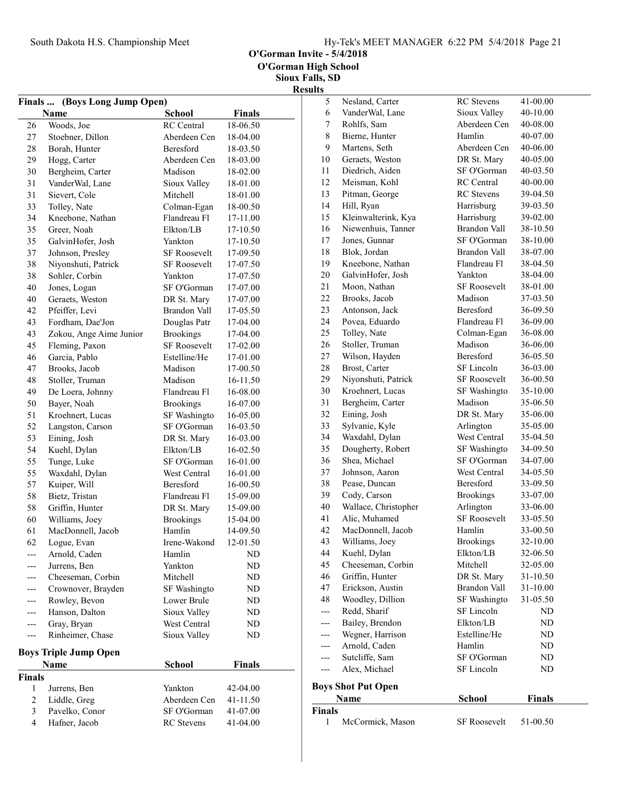O'Gorman Invite - 5/4/2018

| <b>Finals …</b> | (Boys Long Jump Open)        |                     |               |
|-----------------|------------------------------|---------------------|---------------|
|                 | Name                         | <b>School</b>       | <b>Finals</b> |
| 26              | Woods, Joe                   | <b>RC</b> Central   | 18-06.50      |
| 27              | Stoebner, Dillon             | Aberdeen Cen        | 18-04.00      |
| 28              | Borah, Hunter                | Beresford           | 18-03.50      |
| 29              | Hogg, Carter                 | Aberdeen Cen        | 18-03.00      |
| 30              | Bergheim, Carter             | Madison             | 18-02.00      |
| 31              | VanderWal, Lane              | Sioux Valley        | 18-01.00      |
| 31              | Sievert, Cole                | Mitchell            | 18-01.00      |
| 33              | Tolley, Nate                 | Colman-Egan         | 18-00.50      |
| 34              | Kneebone, Nathan             | Flandreau Fl        | 17-11.00      |
| 35              | Greer, Noah                  | Elkton/LB           | 17-10.50      |
| 35              |                              | Yankton             | 17-10.50      |
|                 | GalvinHofer, Josh            | <b>SF Roosevelt</b> |               |
| 37              | Johnson, Presley             | <b>SF Roosevelt</b> | 17-09.50      |
| 38              | Niyonshuti, Patrick          |                     | 17-07.50      |
| 38              | Sohler, Corbin               | Yankton             | 17-07.50      |
| 40              | Jones, Logan                 | SF O'Gorman         | 17-07.00      |
| 40              | Geraets, Weston              | DR St. Mary         | 17-07.00      |
| 42              | Pfeiffer, Levi               | <b>Brandon Vall</b> | 17-05.50      |
| 43              | Fordham, Dae'Jon             | Douglas Patr        | 17-04.00      |
| 43              | Zokou, Ange Aime Junior      | <b>Brookings</b>    | 17-04.00      |
| 45              | Fleming, Paxon               | <b>SF Roosevelt</b> | 17-02.00      |
| 46              | Garcia, Pablo                | Estelline/He        | 17-01.00      |
| 47              | Brooks, Jacob                | Madison             | 17-00.50      |
| 48              | Stoller, Truman              | Madison             | 16-11.50      |
| 49              | De Loera, Johnny             | Flandreau Fl        | 16-08.00      |
| 50              | Bayer, Noah                  | <b>Brookings</b>    | 16-07.00      |
| 51              | Kroehnert, Lucas             | SF Washingto        | 16-05.00      |
| 52              | Langston, Carson             | SF O'Gorman         | 16-03.50      |
| 53              | Eining, Josh                 | DR St. Mary         | 16-03.00      |
| 54              | Kuehl, Dylan                 | Elkton/LB           | 16-02.50      |
| 55              | Tunge, Luke                  | SF O'Gorman         | 16-01.00      |
| 55              | Waxdahl, Dylan               | West Central        | 16-01.00      |
| 57              | Kuiper, Will                 | Beresford           | 16-00.50      |
| 58              | Bietz, Tristan               | Flandreau Fl        | 15-09.00      |
| 58              | Griffin, Hunter              | DR St. Mary         | 15-09.00      |
| 60              | Williams, Joey               | <b>Brookings</b>    | 15-04.00      |
| 61              | MacDonnell, Jacob            | Hamlin              | 14-09.50      |
| 62              | Logue, Evan                  | Irene-Wakond        | 12-01.50      |
| ---             | Arnold, Caden                | Hamlin              | ND            |
|                 | Jurrens, Ben                 | Yankton             | ND            |
|                 | Cheeseman, Corbin            | Mitchell            | ND            |
|                 | Crownover, Brayden           | SF Washingto        | ND            |
| --              | Rowley, Bevon                | Lower Brule         | ND            |
| ---             | Hanson, Dalton               | Sioux Valley        | ND            |
| ---             | Gray, Bryan                  | West Central        | ND            |
| ---             | Rinheimer, Chase             | Sioux Valley        | ND            |
|                 |                              |                     |               |
|                 | <b>Boys Triple Jump Open</b> |                     |               |
|                 | <b>Name</b>                  | School              | Finals        |
| Finals          |                              |                     |               |
| 1               | Jurrens, Ben                 | Yankton             | 42-04.00      |
| $\overline{c}$  | Liddle, Greg                 | Aberdeen Cen        | 41-11.50      |
| 3               | Pavelko, Conor               | SF O'Gorman         | 41-07.00      |
| $\overline{4}$  | Hafner, Jacob                | <b>RC</b> Stevens   | 41-04.00      |

| ultə          |                           |                     |          |
|---------------|---------------------------|---------------------|----------|
| 5             | Nesland, Carter           | <b>RC</b> Stevens   | 41-00.00 |
| 6             | VanderWal, Lane           | Sioux Valley        | 40-10.00 |
| 7             | Rohlfs, Sam               | Aberdeen Cen        | 40-08.00 |
| 8             | Bierne, Hunter            | Hamlin              | 40-07.00 |
| 9             | Martens, Seth             | Aberdeen Cen        | 40-06.00 |
| 10            | Geraets, Weston           | DR St. Mary         | 40-05.00 |
| 11            | Diedrich, Aiden           | SF O'Gorman         | 40-03.50 |
| 12            | Meisman, Kohl             | <b>RC</b> Central   | 40-00.00 |
| 13            | Pitman, George            | <b>RC</b> Stevens   | 39-04.50 |
| 14            | Hill, Ryan                | Harrisburg          | 39-03.50 |
| 15            | Kleinwalterink, Kya       | Harrisburg          | 39-02.00 |
| 16            | Niewenhuis, Tanner        | Brandon Vall        | 38-10.50 |
| 17            | Jones, Gunnar             | SF O'Gorman         | 38-10.00 |
| 18            | Blok, Jordan              | Brandon Vall        | 38-07.00 |
| 19            | Kneebone, Nathan          | Flandreau Fl        | 38-04.50 |
| 20            | GalvinHofer, Josh         | Yankton             | 38-04.00 |
| 21            | Moon, Nathan              | <b>SF Roosevelt</b> | 38-01.00 |
| 22            | Brooks, Jacob             | Madison             | 37-03.50 |
| 23            | Antonson, Jack            | <b>Beresford</b>    | 36-09.50 |
| 24            | Povea, Eduardo            | Flandreau Fl        | 36-09.00 |
| 25            | Tolley, Nate              | Colman-Egan         | 36-08.00 |
| 26            | Stoller, Truman           | Madison             | 36-06.00 |
| 27            | Wilson, Hayden            | <b>Beresford</b>    | 36-05.50 |
| 28            | Brost, Carter             | SF Lincoln          | 36-03.00 |
| 29            | Niyonshuti, Patrick       | <b>SF Roosevelt</b> | 36-00.50 |
| 30            | Kroehnert, Lucas          | SF Washingto        | 35-10.00 |
| 31            | Bergheim, Carter          | Madison             | 35-06.50 |
| 32            | Eining, Josh              | DR St. Mary         | 35-06.00 |
| 33            | Sylvanie, Kyle            | Arlington           | 35-05.00 |
| 34            | Waxdahl, Dylan            | West Central        | 35-04.50 |
| 35            | Dougherty, Robert         | SF Washingto        | 34-09.50 |
| 36            | Shea, Michael             | SF O'Gorman         | 34-07.00 |
| 37            | Johnson, Aaron            | West Central        | 34-05.50 |
| 38            | Pease, Duncan             | Beresford           | 33-09.50 |
| 39            | Cody, Carson              | <b>Brookings</b>    | 33-07.00 |
| 40            | Wallace, Christopher      | Arlington           | 33-06.00 |
| 41            | Alic, Muhamed             | <b>SF Roosevelt</b> | 33-05.50 |
| 42            | MacDonnell, Jacob         | Hamlin              | 33-00.50 |
| 43            | Williams, Joey            | <b>Brookings</b>    | 32-10.00 |
| 44            | Kuehl, Dylan              | Elkton/LB           | 32-06.50 |
| 45            | Cheeseman, Corbin         | Mitchell            | 32-05.00 |
| 46            | Griffin, Hunter           | DR St. Mary         | 31-10.50 |
| 47            | Erickson, Austin          | Brandon Vall        | 31-10.00 |
| 48            | Woodley, Dillion          | SF Washingto        | 31-05.50 |
| ---           | Redd, Sharif              | SF Lincoln          | ND       |
| ---           | Bailey, Brendon           | Elkton/LB           | ND       |
| ---           | Wegner, Harrison          | Estelline/He        | ND       |
| ---           | Arnold, Caden             | Hamlin              | ND.      |
| ---           | Sutcliffe, Sam            | SF O'Gorman         | ND       |
| ---           | Alex, Michael             | SF Lincoln          | ND       |
|               | <b>Boys Shot Put Open</b> |                     |          |
|               | Name                      | School              | Finals   |
| <b>Finals</b> |                           |                     |          |

| шаю |                  |                     |          |
|-----|------------------|---------------------|----------|
|     | McCormick, Mason | <b>SF Roosevelt</b> | 51-00.50 |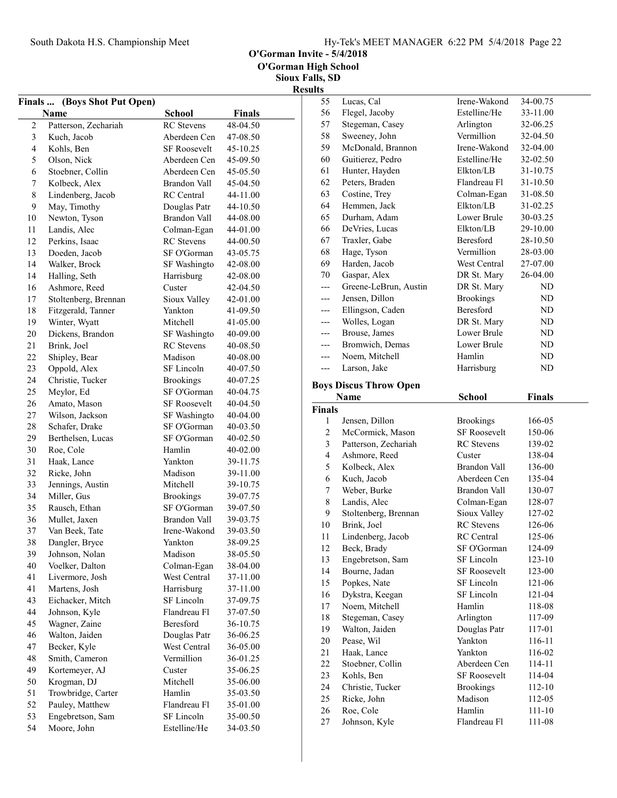O'Gorman Invite - 5/4/2018

Sioux Falls, SD

|                |                              |                     |          | <b>Results</b> |
|----------------|------------------------------|---------------------|----------|----------------|
|                | Finals  (Boys Shot Put Open) |                     |          | 5              |
|                | Name                         | <b>School</b>       | Finals   | 5              |
| $\overline{2}$ | Patterson, Zechariah         | <b>RC</b> Stevens   | 48-04.50 | 5              |
| 3              | Kuch, Jacob                  | Aberdeen Cen        | 47-08.50 | 5              |
| $\overline{4}$ | Kohls, Ben                   | <b>SF Roosevelt</b> | 45-10.25 | 5              |
| 5              | Olson, Nick                  | Aberdeen Cen        | 45-09.50 | 6              |
| 6              | Stoebner, Collin             | Aberdeen Cen        | 45-05.50 | 6              |
| 7              | Kolbeck, Alex                | Brandon Vall        | 45-04.50 | 6              |
| $\,$ 8 $\,$    | Lindenberg, Jacob            | <b>RC</b> Central   | 44-11.00 | 6              |
| 9              | May, Timothy                 | Douglas Patr        | 44-10.50 | 6              |
| 10             | Newton, Tyson                | Brandon Vall        | 44-08.00 | 6              |
| 11             | Landis, Alec                 | Colman-Egan         | 44-01.00 | 6              |
| 12             | Perkins, Isaac               | <b>RC</b> Stevens   | 44-00.50 | 6              |
| 13             | Doeden, Jacob                | SF O'Gorman         | 43-05.75 | 6              |
| 14             | Walker, Brock                | SF Washingto        | 42-08.00 | 6              |
| 14             | Halling, Seth                | Harrisburg          | 42-08.00 | 7              |
| 16             | Ashmore, Reed                | Custer              | 42-04.50 | <sup>-</sup>   |
| 17             | Stoltenberg, Brennan         | Sioux Valley        | 42-01.00 |                |
| 18             | Fitzgerald, Tanner           | Yankton             | 41-09.50 |                |
| 19             | Winter, Wyatt                | Mitchell            | 41-05.00 |                |
| 20             | Dickens, Brandon             | SF Washingto        | 40-09.00 |                |
| 21             | Brink, Joel                  | <b>RC</b> Stevens   | 40-08.50 |                |
| 22             | Shipley, Bear                | Madison             | 40-08.00 |                |
| 23             | Oppold, Alex                 | SF Lincoln          | 40-07.50 |                |
| 24             | Christie, Tucker             | <b>Brookings</b>    | 40-07.25 |                |
| 25             | Meylor, Ed                   | SF O'Gorman         | 40-04.75 | Boy            |
| 26             | Amato, Mason                 | <b>SF Roosevelt</b> | 40-04.50 |                |
| 27             | Wilson, Jackson              | SF Washingto        | 40-04.00 | Fin            |
| 28             | Schafer, Drake               | SF O'Gorman         | 40-03.50 |                |
| 29             | Berthelsen, Lucas            | SF O'Gorman         | 40-02.50 |                |
| 30             | Roe, Cole                    | Hamlin              | 40-02.00 |                |
| 31             | Haak, Lance                  | Yankton             | 39-11.75 |                |
| 32             | Ricke, John                  | Madison             | 39-11.00 |                |
| 33             | Jennings, Austin             | Mitchell            | 39-10.75 |                |
| 34             | Miller, Gus                  | <b>Brookings</b>    | 39-07.75 |                |
| 35             | Rausch, Ethan                | SF O'Gorman         | 39-07.50 |                |
| 36             | Mullet, Jaxen                | Brandon Vall        | 39-03.75 |                |
| 37             | Van Beek, Tate               | Irene-Wakond        | 39-03.50 | 1              |
| 38             | Dangler, Bryce               | Yankton             | 38-09.25 | 1              |
| 39             | Johnson, Nolan               | Madison             | 38-05.50 | 1              |
| 40             | Voelker, Dalton              | Colman-Egan         | 38-04.00 | 1              |
| 41             | Livermore, Josh              | West Central        | 37-11.00 | 1              |
| 41             | Martens, Josh                | Harrisburg          | 37-11.00 | 1              |
| 43             | Eichacker, Mitch             | SF Lincoln          | 37-09.75 | 1              |
| 44             | Johnson, Kyle                | Flandreau Fl        | 37-07.50 | 1              |
| 45             | Wagner, Zaine                | Beresford           | 36-10.75 | 1              |
| 46             | Walton, Jaiden               | Douglas Patr        | 36-06.25 | 1              |
| 47             | Becker, Kyle                 | West Central        | 36-05.00 | $\overline{c}$ |
| 48             | Smith, Cameron               | Vermillion          | 36-01.25 | $\overline{c}$ |
| 49             | Kortemeyer, AJ               | Custer              | 35-06.25 | $\overline{c}$ |
| 50             | Krogman, DJ                  | Mitchell            | 35-06.00 | $\overline{c}$ |
| 51             | Trowbridge, Carter           | Hamlin              | 35-03.50 | $\overline{c}$ |
| 52             | Pauley, Matthew              | Flandreau Fl        | 35-01.00 | $\overline{c}$ |
| 53             | Engebretson, Sam             | SF Lincoln          | 35-00.50 | $\overline{2}$ |
| 54             | Moore, John                  | Estelline/He        | 34-03.50 | $\overline{c}$ |
|                |                              |                     |          |                |

| 55             | Lucas, Cal                    | Irene-Wakond        | 34-00.75      |
|----------------|-------------------------------|---------------------|---------------|
| 56             | Flegel, Jacoby                | Estelline/He        | 33-11.00      |
| 57             | Stegeman, Casey               | Arlington           | 32-06.25      |
| 58             | Sweeney, John                 | Vermillion          | 32-04.50      |
| 59             | McDonald, Brannon             | Irene-Wakond        | 32-04.00      |
| 60             | Guitierez, Pedro              | Estelline/He        | 32-02.50      |
| 61             | Hunter, Hayden                | Elkton/LB           | 31-10.75      |
| 62             | Peters, Braden                | Flandreau Fl        | 31-10.50      |
| 63             | Costine, Trey                 | Colman-Egan         | 31-08.50      |
| 64             | Hemmen, Jack                  | Elkton/LB           | 31-02.25      |
| 65             | Durham, Adam                  | Lower Brule         | 30-03.25      |
| 66             | DeVries, Lucas                | Elkton/LB           | 29-10.00      |
| 67             | Traxler, Gabe                 | Beresford           | 28-10.50      |
| 68             | Hage, Tyson                   | Vermillion          | 28-03.00      |
| 69             | Harden, Jacob                 | West Central        | 27-07.00      |
| 70             | Gaspar, Alex                  | DR St. Mary         | 26-04.00      |
| ---            | Greene-LeBrun, Austin         | DR St. Mary         | ND            |
| ---            | Jensen, Dillon                | <b>Brookings</b>    | ND            |
| ---            | Ellingson, Caden              | <b>Beresford</b>    | ND            |
| ---            | Wolles, Logan                 | DR St. Mary         | ND            |
| $---$          | Brouse, James                 | Lower Brule         | ND            |
| $---$          | Bromwich, Demas               | Lower Brule         | ND            |
| $---$          | Noem, Mitchell                | Hamlin              | ND            |
| $---$          | Larson, Jake                  | Harrisburg          | ND            |
|                |                               |                     |               |
|                | <b>Boys Discus Throw Open</b> |                     |               |
|                | Name                          | <b>School</b>       | <b>Finals</b> |
| Finals         |                               |                     |               |
|                |                               |                     |               |
| 1              | Jensen, Dillon                | <b>Brookings</b>    | 166-05        |
| $\overline{c}$ | McCormick, Mason              | <b>SF Roosevelt</b> | 150-06        |
| 3              | Patterson, Zechariah          | <b>RC</b> Stevens   | 139-02        |
| $\overline{4}$ | Ashmore, Reed                 | Custer              | 138-04        |
| 5              | Kolbeck, Alex                 | Brandon Vall        | 136-00        |
| 6              | Kuch, Jacob                   | Aberdeen Cen        | 135-04        |
| 7              | Weber, Burke                  | <b>Brandon Vall</b> | 130-07        |
| 8              | Landis, Alec                  | Colman-Egan         | 128-07        |
| 9              | Stoltenberg, Brennan          | Sioux Valley        | 127-02        |
| 10             | Brink, Joel                   | <b>RC</b> Stevens   | 126-06        |
| 11             | Lindenberg, Jacob             | <b>RC</b> Central   | 125-06        |
| 12             | Beck, Brady                   | SF O'Gorman         | 124-09        |
| 13             | Engebretson, Sam              | SF Lincoln          | 123-10        |
| 14             | Bourne, Jadan                 | <b>SF Roosevelt</b> | 123-00        |
| 15             | Popkes, Nate                  | SF Lincoln          | 121-06        |
| 16             | Dykstra, Keegan               | SF Lincoln          | 121-04        |
| 17             | Noem, Mitchell                | Hamlin              | 118-08        |
| 18             | Stegeman, Casey               | Arlington           | 117-09        |
| 19             | Walton, Jaiden                | Douglas Patr        | 117-01        |
| 20             | Pease, Wil                    | Yankton             | 116-11        |
| 21             | Haak, Lance                   | Yankton             | 116-02        |
| 22             | Stoebner, Collin              | Aberdeen Cen        | 114-11        |
| 23             | Kohls, Ben                    | <b>SF Roosevelt</b> | 114-04        |
| 24             | Christie, Tucker              | <b>Brookings</b>    | 112-10        |
| 25             | Ricke, John                   | Madison             | 112-05        |
| 26             |                               | Hamlin              | 111-10        |
| 27             | Roe, Cole<br>Johnson, Kyle    | Flandreau Fl        | 111-08        |